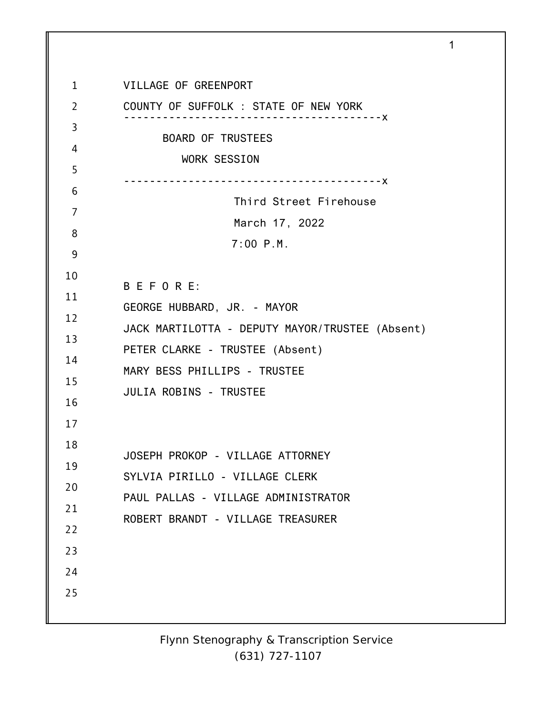1 2 3 4 5 6 7 8 9 10 11 12 13 14 15 16 17 18 19 20 21 22 23 24 25 VILLAGE OF GREENPORT COUNTY OF SUFFOLK : STATE OF NEW YORK ----------------------------------------x BOARD OF TRUSTEES WORK SESSION ----------------------------------------x Third Street Firehouse March 17, 2022 7:00 P.M. B E F O R E: GEORGE HUBBARD, JR. - MAYOR JACK MARTILOTTA - DEPUTY MAYOR/TRUSTEE (Absent) PETER CLARKE - TRUSTEE (Absent) MARY BESS PHILLIPS - TRUSTEE JULIA ROBINS - TRUSTEE JOSEPH PROKOP - VILLAGE ATTORNEY SYLVIA PIRILLO - VILLAGE CLERK PAUL PALLAS - VILLAGE ADMINISTRATOR ROBERT BRANDT - VILLAGE TREASURER

1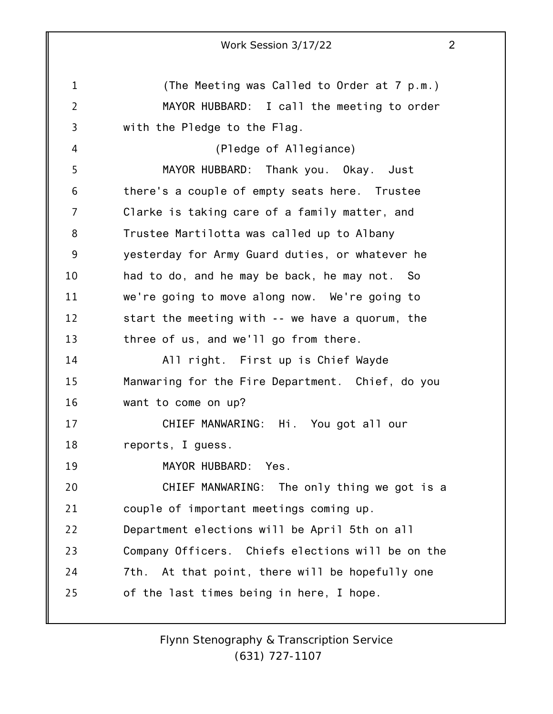1 2 3 4 5 6 7 8 9 10 11 12 13 14 15 16 17 18 19 20 21 22 23 24 25 Work Session 3/17/22 2 (The Meeting was Called to Order at 7 p.m.) MAYOR HUBBARD: I call the meeting to order with the Pledge to the Flag. (Pledge of Allegiance) MAYOR HUBBARD: Thank you. Okay. Just there's a couple of empty seats here. Trustee Clarke is taking care of a family matter, and Trustee Martilotta was called up to Albany yesterday for Army Guard duties, or whatever he had to do, and he may be back, he may not. So we're going to move along now. We're going to start the meeting with -- we have a quorum, the three of us, and we'll go from there. All right. First up is Chief Wayde Manwaring for the Fire Department. Chief, do you want to come on up? CHIEF MANWARING: Hi. You got all our reports, I guess. MAYOR HUBBARD: Yes. CHIEF MANWARING: The only thing we got is a couple of important meetings coming up. Department elections will be April 5th on all Company Officers. Chiefs elections will be on the 7th. At that point, there will be hopefully one of the last times being in here, I hope.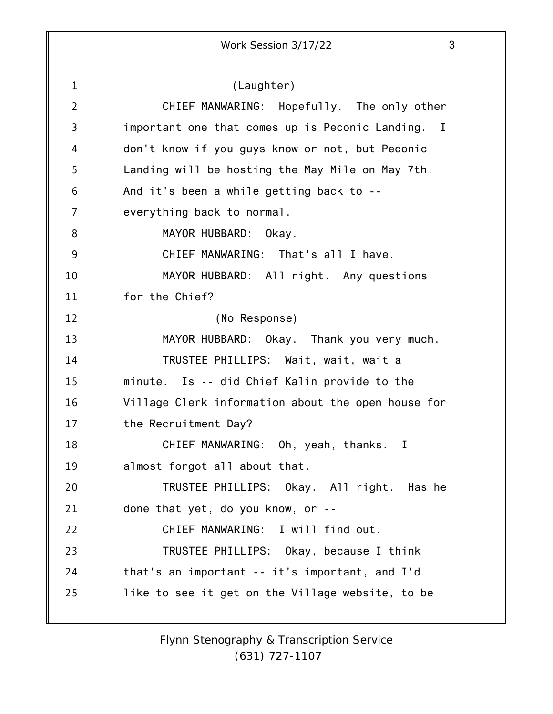1 2 3 4 5 6 7 8 9 10 11 12 13 14 15 16 17 18 19 20 21 22 23 24 25 (Laughter) CHIEF MANWARING: Hopefully. The only other important one that comes up is Peconic Landing. I don't know if you guys know or not, but Peconic Landing will be hosting the May Mile on May 7th. And it's been a while getting back to - everything back to normal. MAYOR HUBBARD: Okay. CHIEF MANWARING: That's all I have. MAYOR HUBBARD: All right. Any questions for the Chief? (No Response) MAYOR HUBBARD: Okay. Thank you very much. TRUSTEE PHILLIPS: Wait, wait, wait a minute. Is -- did Chief Kalin provide to the Village Clerk information about the open house for the Recruitment Day? CHIEF MANWARING: Oh, yeah, thanks. I almost forgot all about that. TRUSTEE PHILLIPS: Okay. All right. Has he done that yet, do you know, or -- CHIEF MANWARING: I will find out. TRUSTEE PHILLIPS: Okay, because I think that's an important -- it's important, and I'd like to see it get on the Village website, to be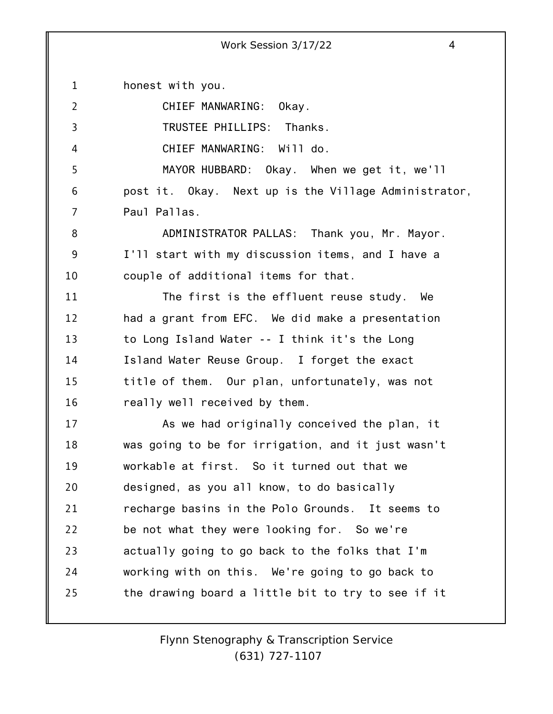1 2 3 4 5 6 7 8 9 10 11 12 13 14 15 16 17 18 19 20 21 22 23 24 25 honest with you. CHIEF MANWARING: Okay. TRUSTEE PHILLIPS: Thanks. CHIEF MANWARING: Will do. MAYOR HUBBARD: Okay. When we get it, we'll post it. Okay. Next up is the Village Administrator, Paul Pallas. ADMINISTRATOR PALLAS: Thank you, Mr. Mayor. I'll start with my discussion items, and I have a couple of additional items for that. The first is the effluent reuse study. We had a grant from EFC. We did make a presentation to Long Island Water -- I think it's the Long Island Water Reuse Group. I forget the exact title of them. Our plan, unfortunately, was not really well received by them. As we had originally conceived the plan, it was going to be for irrigation, and it just wasn't workable at first. So it turned out that we designed, as you all know, to do basically recharge basins in the Polo Grounds. It seems to be not what they were looking for. So we're actually going to go back to the folks that I'm working with on this. We're going to go back to the drawing board a little bit to try to see if it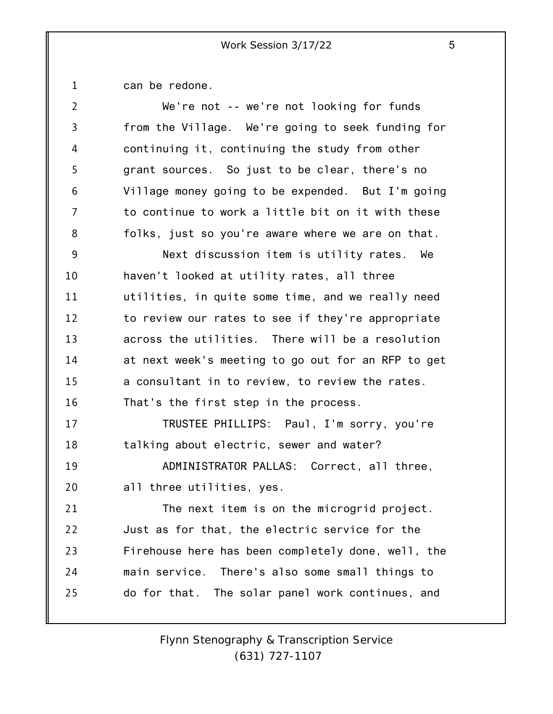1 can be redone.

| $\overline{2}$ | We're not -- we're not looking for funds           |
|----------------|----------------------------------------------------|
| 3              | from the Village. We're going to seek funding for  |
| 4              | continuing it, continuing the study from other     |
| 5              | grant sources. So just to be clear, there's no     |
| 6              | Village money going to be expended. But I'm going  |
| 7              | to continue to work a little bit on it with these  |
| 8              | folks, just so you're aware where we are on that.  |
| 9              | Next discussion item is utility rates. We          |
| 10             | haven't looked at utility rates, all three         |
| 11             | utilities, in quite some time, and we really need  |
| 12             | to review our rates to see if they're appropriate  |
| 13             | across the utilities. There will be a resolution   |
| 14             | at next week's meeting to go out for an RFP to get |
| 15             | a consultant in to review, to review the rates.    |
| 16             | That's the first step in the process.              |
| 17             | TRUSTEE PHILLIPS: Paul, I'm sorry, you're          |
| 18             | talking about electric, sewer and water?           |
| 19             | ADMINISTRATOR PALLAS: Correct, all three,          |
| 20             | all three utilities, yes.                          |
| 21             | The next item is on the microgrid project.         |
| 22             | Just as for that, the electric service for the     |
| 23             | Firehouse here has been completely done, well, the |
| 24             | There's also some small things to<br>main service. |
| 25             | do for that. The solar panel work continues, and   |
|                |                                                    |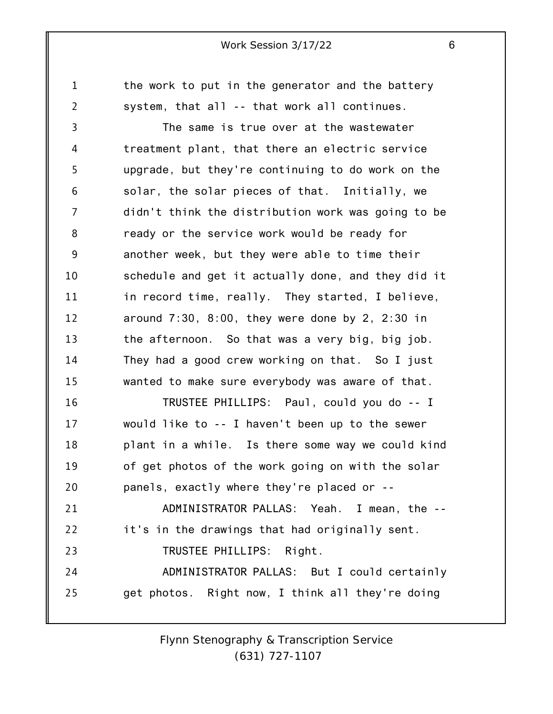the work to put in the generator and the battery system, that all -- that work all continues.

1

2

25

3 4 5 6 7 8 9 10 11 12 13 14 15 16 17 18 19 20 21 22 23 24 The same is true over at the wastewater treatment plant, that there an electric service upgrade, but they're continuing to do work on the solar, the solar pieces of that. Initially, we didn't think the distribution work was going to be ready or the service work would be ready for another week, but they were able to time their schedule and get it actually done, and they did it in record time, really. They started, I believe, around  $7:30$ ,  $8:00$ , they were done by  $2$ ,  $2:30$  in the afternoon. So that was a very big, big job. They had a good crew working on that. So I just wanted to make sure everybody was aware of that. TRUSTEE PHILLIPS: Paul, could you do -- I would like to -- I haven't been up to the sewer plant in a while. Is there some way we could kind of get photos of the work going on with the solar panels, exactly where they're placed or -- ADMINISTRATOR PALLAS: Yeah. I mean, the - it's in the drawings that had originally sent. TRUSTEE PHILLIPS: Right. ADMINISTRATOR PALLAS: But I could certainly

> *Flynn Stenography & Transcription Service (631) 727-1107*

get photos. Right now, I think all they're doing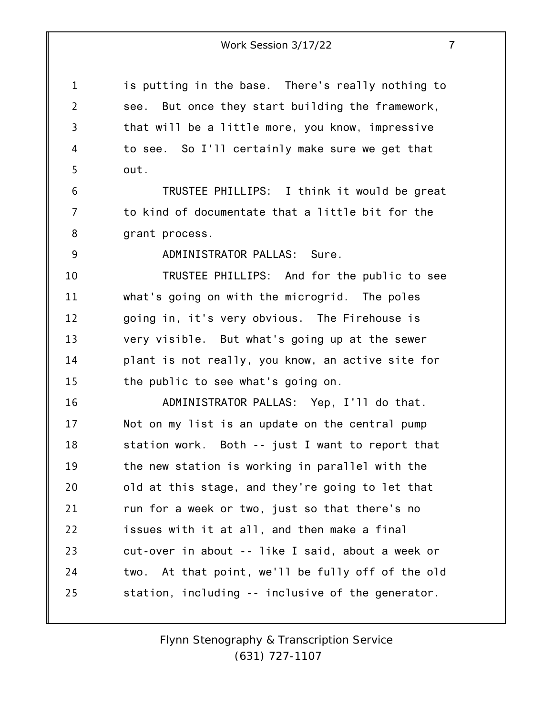is putting in the base. There's really nothing to see. But once they start building the framework, that will be a little more, you know, impressive to see. So I'll certainly make sure we get that out.

6 7 8 TRUSTEE PHILLIPS: I think it would be great to kind of documentate that a little bit for the grant process.

9

1

2

3

4

5

ADMINISTRATOR PALLAS: Sure.

10 11 12 13 14 15 TRUSTEE PHILLIPS: And for the public to see what's going on with the microgrid. The poles going in, it's very obvious. The Firehouse is very visible. But what's going up at the sewer plant is not really, you know, an active site for the public to see what's going on.

16 17 18 19 20 21 22 23 24 25 ADMINISTRATOR PALLAS: Yep, I'll do that. Not on my list is an update on the central pump station work. Both -- just I want to report that the new station is working in parallel with the old at this stage, and they're going to let that run for a week or two, just so that there's no issues with it at all, and then make a final cut-over in about -- like I said, about a week or two. At that point, we'll be fully off of the old station, including -- inclusive of the generator.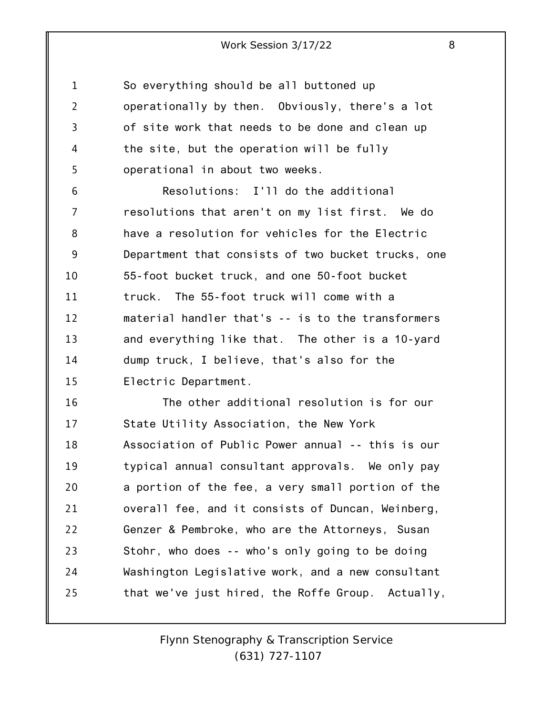1 2 3 4 5 So everything should be all buttoned up operationally by then. Obviously, there's a lot of site work that needs to be done and clean up the site, but the operation will be fully operational in about two weeks.

6 7 8 9 10 11 12 13 14 15 Resolutions: I'll do the additional resolutions that aren't on my list first. We do have a resolution for vehicles for the Electric Department that consists of two bucket trucks, one 55-foot bucket truck, and one 50-foot bucket truck. The 55-foot truck will come with a material handler that's -- is to the transformers and everything like that. The other is a 10-yard dump truck, I believe, that's also for the Electric Department.

16 17 18 19 20 21 22 23 24 25 The other additional resolution is for our State Utility Association, the New York Association of Public Power annual -- this is our typical annual consultant approvals. We only pay a portion of the fee, a very small portion of the overall fee, and it consists of Duncan, Weinberg, Genzer & Pembroke, who are the Attorneys, Susan Stohr, who does -- who's only going to be doing Washington Legislative work, and a new consultant that we've just hired, the Roffe Group. Actually,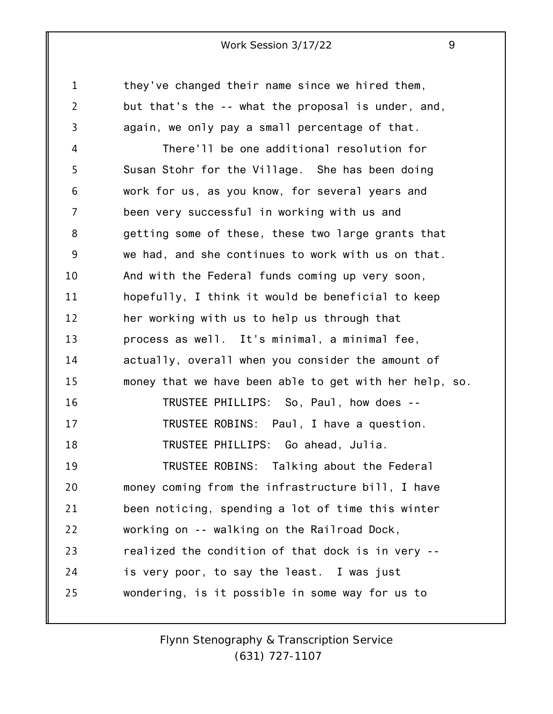1 2 3 4 5 6 7 8 9 10 11 12 13 14 15 16 17 18 19 20 21 22 23 24 25 they've changed their name since we hired them, but that's the -- what the proposal is under, and, again, we only pay a small percentage of that. There'll be one additional resolution for Susan Stohr for the Village. She has been doing work for us, as you know, for several years and been very successful in working with us and getting some of these, these two large grants that we had, and she continues to work with us on that. And with the Federal funds coming up very soon, hopefully, I think it would be beneficial to keep her working with us to help us through that process as well. It's minimal, a minimal fee, actually, overall when you consider the amount of money that we have been able to get with her help, so. TRUSTEE PHILLIPS: So, Paul, how does -- TRUSTEE ROBINS: Paul, I have a question. TRUSTEE PHILLIPS: Go ahead, Julia. TRUSTEE ROBINS: Talking about the Federal money coming from the infrastructure bill, I have been noticing, spending a lot of time this winter working on -- walking on the Railroad Dock, realized the condition of that dock is in very - is very poor, to say the least. I was just wondering, is it possible in some way for us to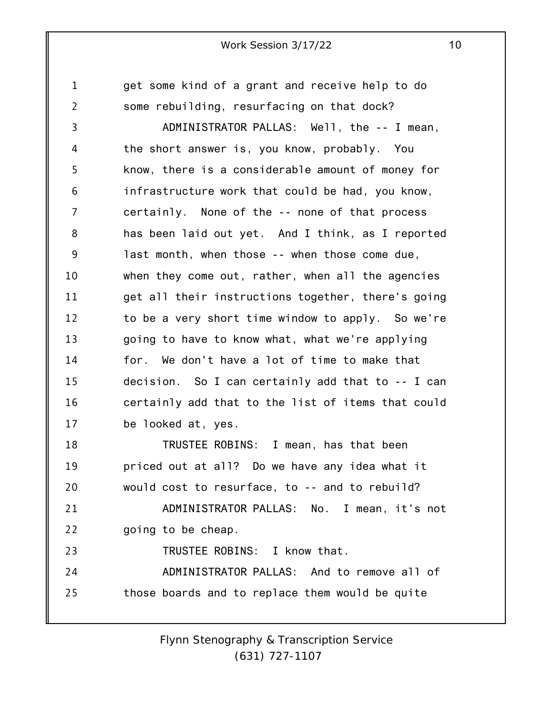1 2 3 4 5 6 7 8 9 10 11 12 13 14 15 16 17 18 19 20 21 22 23 24 25 get some kind of a grant and receive help to do some rebuilding, resurfacing on that dock? ADMINISTRATOR PALLAS: Well, the -- I mean, the short answer is, you know, probably. You know, there is a considerable amount of money for infrastructure work that could be had, you know, certainly. None of the -- none of that process has been laid out yet. And I think, as I reported last month, when those -- when those come due, when they come out, rather, when all the agencies get all their instructions together, there's going to be a very short time window to apply. So we're going to have to know what, what we're applying for. We don't have a lot of time to make that decision. So I can certainly add that to -- I can certainly add that to the list of items that could be looked at, yes. TRUSTEE ROBINS: I mean, has that been priced out at all? Do we have any idea what it would cost to resurface, to -- and to rebuild? ADMINISTRATOR PALLAS: No. I mean, it's not going to be cheap. TRUSTEE ROBINS: I know that. ADMINISTRATOR PALLAS: And to remove all of those boards and to replace them would be quite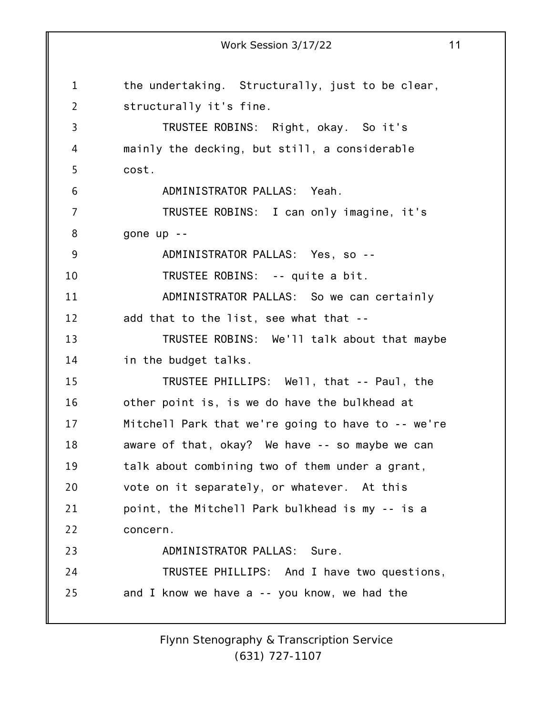1 2 3 4 5 6 7 8 9 10 11 12 13 14 15 16 17 18 19 20 21 22 23 24 25 Work Session 3/17/22 11 the undertaking. Structurally, just to be clear, structurally it's fine. TRUSTEE ROBINS: Right, okay. So it's mainly the decking, but still, a considerable cost. ADMINISTRATOR PALLAS: Yeah. TRUSTEE ROBINS: I can only imagine, it's gone up -- ADMINISTRATOR PALLAS: Yes, so -- TRUSTEE ROBINS: -- quite a bit. ADMINISTRATOR PALLAS: So we can certainly add that to the list, see what that -- TRUSTEE ROBINS: We'll talk about that maybe in the budget talks. TRUSTEE PHILLIPS: Well, that -- Paul, the other point is, is we do have the bulkhead at Mitchell Park that we're going to have to -- we're aware of that, okay? We have -- so maybe we can talk about combining two of them under a grant, vote on it separately, or whatever. At this point, the Mitchell Park bulkhead is my -- is a concern. ADMINISTRATOR PALLAS: Sure. TRUSTEE PHILLIPS: And I have two questions, and I know we have a -- you know, we had the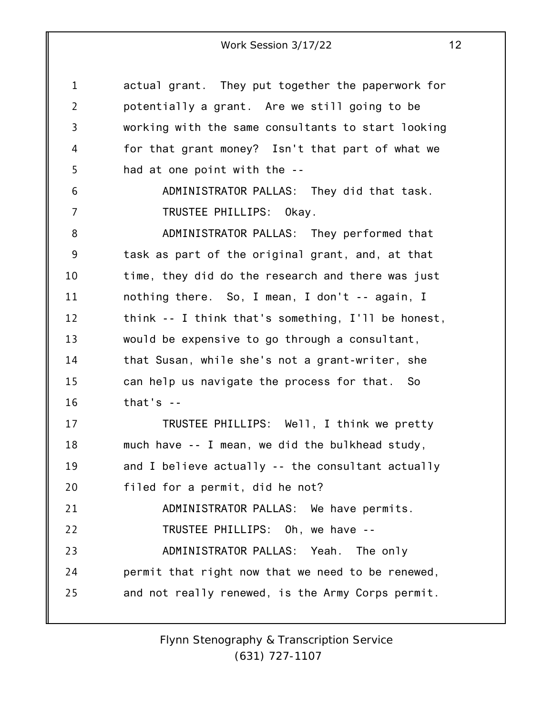1 2 3 4 5 6 7 8 9 10 11 12 13 14 15 16 17 18 19 20 21 22 23 24 25 actual grant. They put together the paperwork for potentially a grant. Are we still going to be working with the same consultants to start looking for that grant money? Isn't that part of what we had at one point with the -- ADMINISTRATOR PALLAS: They did that task. TRUSTEE PHILLIPS: Okay. ADMINISTRATOR PALLAS: They performed that task as part of the original grant, and, at that time, they did do the research and there was just nothing there. So, I mean, I don't -- again, I think -- I think that's something, I'll be honest, would be expensive to go through a consultant, that Susan, while she's not a grant-writer, she can help us navigate the process for that. So that's  $-$ TRUSTEE PHILLIPS: Well, I think we pretty much have -- I mean, we did the bulkhead study, and I believe actually -- the consultant actually filed for a permit, did he not? ADMINISTRATOR PALLAS: We have permits. TRUSTEE PHILLIPS: Oh, we have -- ADMINISTRATOR PALLAS: Yeah. The only permit that right now that we need to be renewed, and not really renewed, is the Army Corps permit.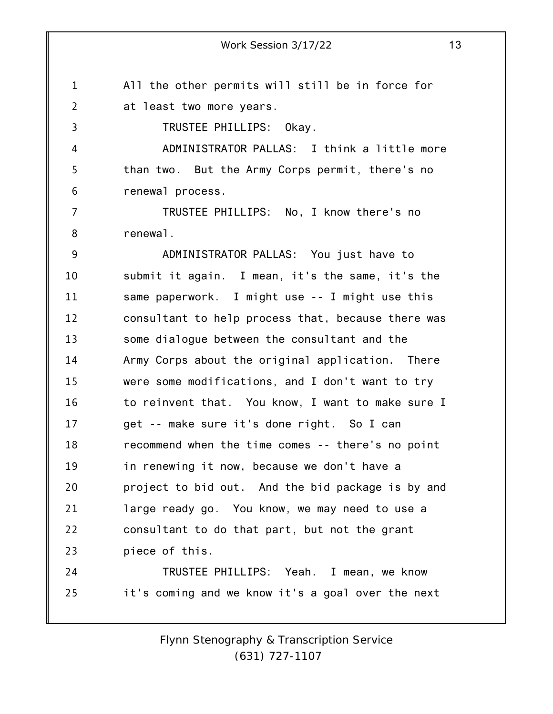1 2 All the other permits will still be in force for at least two more years.

TRUSTEE PHILLIPS: Okay.

3

4 5 6 ADMINISTRATOR PALLAS: I think a little more than two. But the Army Corps permit, there's no renewal process.

7 8 TRUSTEE PHILLIPS: No, I know there's no renewal.

9 10 11 12 13 14 15 16 17 18 19 20 21 22 23 ADMINISTRATOR PALLAS: You just have to submit it again. I mean, it's the same, it's the same paperwork. I might use -- I might use this consultant to help process that, because there was some dialogue between the consultant and the Army Corps about the original application. There were some modifications, and I don't want to try to reinvent that. You know, I want to make sure I get -- make sure it's done right. So I can recommend when the time comes -- there's no point in renewing it now, because we don't have a project to bid out. And the bid package is by and large ready go. You know, we may need to use a consultant to do that part, but not the grant piece of this.

24 25 TRUSTEE PHILLIPS: Yeah. I mean, we know it's coming and we know it's a goal over the next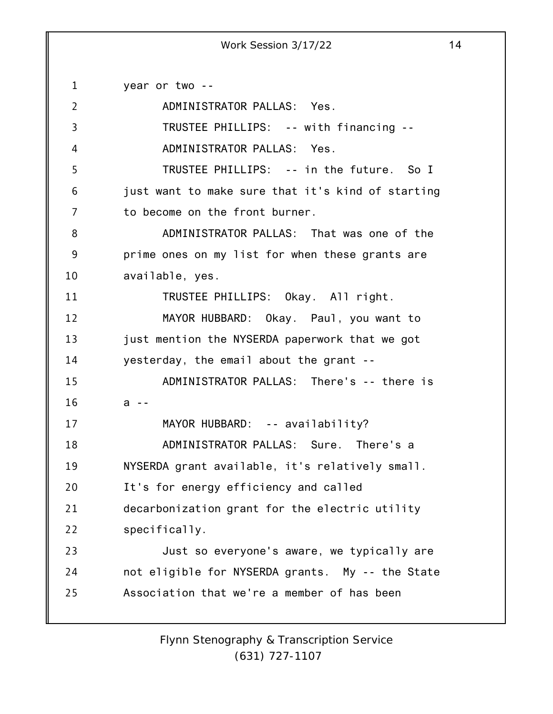1 2 3 4 5 6 7 8 9 10 11 12 13 14 15 16 17 18 19 20 21 22 23 24 25 year or two -- ADMINISTRATOR PALLAS: Yes. TRUSTEE PHILLIPS: -- with financing -- ADMINISTRATOR PALLAS: Yes. TRUSTEE PHILLIPS: -- in the future. So I just want to make sure that it's kind of starting to become on the front burner. ADMINISTRATOR PALLAS: That was one of the prime ones on my list for when these grants are available, yes. TRUSTEE PHILLIPS: Okay. All right. MAYOR HUBBARD: Okay. Paul, you want to just mention the NYSERDA paperwork that we got yesterday, the email about the grant -- ADMINISTRATOR PALLAS: There's -- there is a -- MAYOR HUBBARD: -- availability? ADMINISTRATOR PALLAS: Sure. There's a NYSERDA grant available, it's relatively small. It's for energy efficiency and called decarbonization grant for the electric utility specifically. Just so everyone's aware, we typically are not eligible for NYSERDA grants. My -- the State Association that we're a member of has been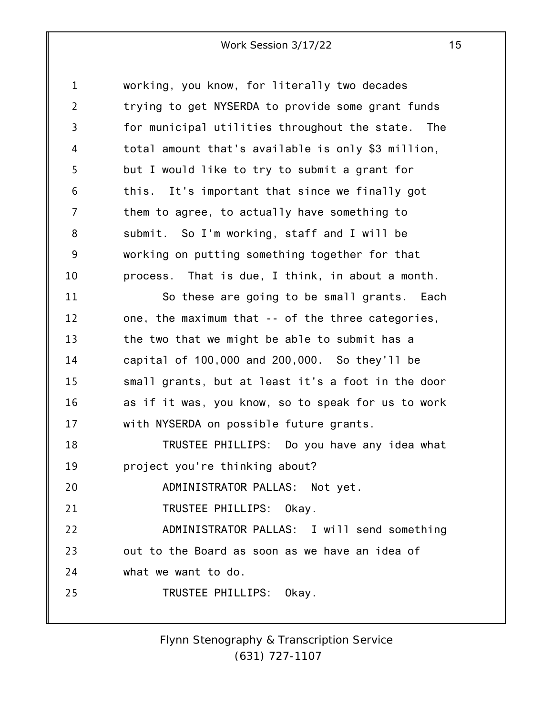1 2 3 4 5 6 7 8 9 10 11 12 13 14 15 16 17 18 19 20 21 22 23 24 25 working, you know, for literally two decades trying to get NYSERDA to provide some grant funds for municipal utilities throughout the state. The total amount that's available is only \$3 million, but I would like to try to submit a grant for this. It's important that since we finally got them to agree, to actually have something to submit. So I'm working, staff and I will be working on putting something together for that process. That is due, I think, in about a month. So these are going to be small grants. Each one, the maximum that -- of the three categories, the two that we might be able to submit has a capital of 100,000 and 200,000. So they'll be small grants, but at least it's a foot in the door as if it was, you know, so to speak for us to work with NYSERDA on possible future grants. TRUSTEE PHILLIPS: Do you have any idea what project you're thinking about? ADMINISTRATOR PALLAS: Not yet. TRUSTEE PHILLIPS: Okay. ADMINISTRATOR PALLAS: I will send something out to the Board as soon as we have an idea of what we want to do. TRUSTEE PHILLIPS: Okay.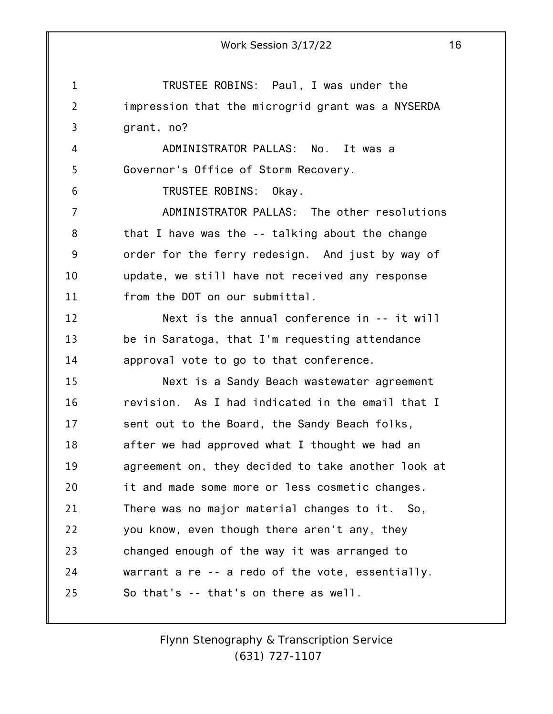1 2 3 4 5 6 7 8 9 10 11 12 13 14 15 16 17 18 19 20 21 22 23 24 25 Work Session 3/17/22 16 TRUSTEE ROBINS: Paul, I was under the impression that the microgrid grant was a NYSERDA grant, no? ADMINISTRATOR PALLAS: No. It was a Governor's Office of Storm Recovery. TRUSTEE ROBINS: Okay. ADMINISTRATOR PALLAS: The other resolutions that I have was the -- talking about the change order for the ferry redesign. And just by way of update, we still have not received any response from the DOT on our submittal. Next is the annual conference in -- it will be in Saratoga, that I'm requesting attendance approval vote to go to that conference. Next is a Sandy Beach wastewater agreement revision. As I had indicated in the email that I sent out to the Board, the Sandy Beach folks, after we had approved what I thought we had an agreement on, they decided to take another look at it and made some more or less cosmetic changes. There was no major material changes to it. So, you know, even though there aren't any, they changed enough of the way it was arranged to warrant a re -- a redo of the vote, essentially. So that's -- that's on there as well.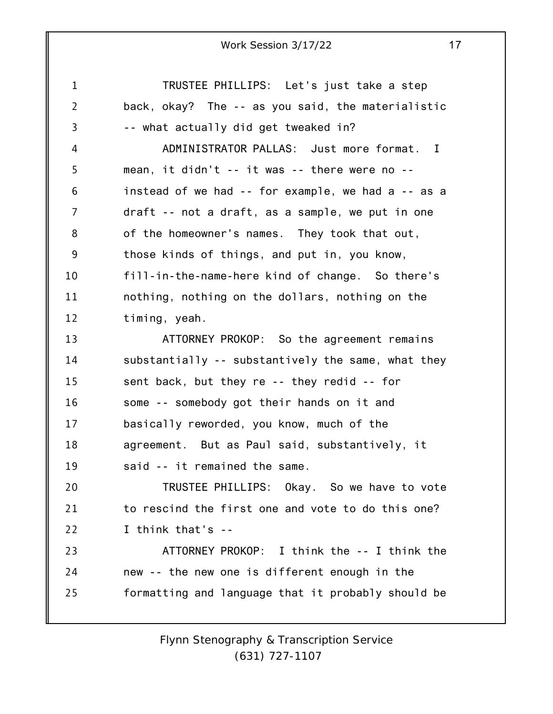1 2 3 4 5 6 7 8 9 10 11 12 13 14 15 16 17 18 19 20 21 22 23 24 25 TRUSTEE PHILLIPS: Let's just take a step back, okay? The -- as you said, the materialistic -- what actually did get tweaked in? ADMINISTRATOR PALLAS: Just more format. I mean, it didn't -- it was -- there were no - instead of we had -- for example, we had a -- as a draft -- not a draft, as a sample, we put in one of the homeowner's names. They took that out, those kinds of things, and put in, you know, fill-in-the-name-here kind of change. So there's nothing, nothing on the dollars, nothing on the timing, yeah. ATTORNEY PROKOP: So the agreement remains substantially -- substantively the same, what they sent back, but they re -- they redid -- for some -- somebody got their hands on it and basically reworded, you know, much of the agreement. But as Paul said, substantively, it said -- it remained the same. TRUSTEE PHILLIPS: Okay. So we have to vote to rescind the first one and vote to do this one? I think that's -- ATTORNEY PROKOP: I think the -- I think the new -- the new one is different enough in the formatting and language that it probably should be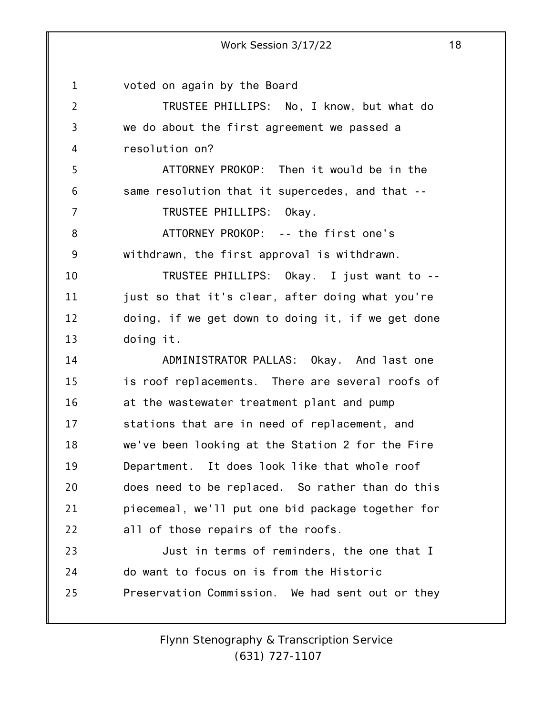1 2 3 4 5 6 7 8 9 10 11 12 13 14 15 16 17 18 19 20 21 22 23 24 25 Work Session 3/17/22 18 voted on again by the Board TRUSTEE PHILLIPS: No, I know, but what do we do about the first agreement we passed a resolution on? ATTORNEY PROKOP: Then it would be in the same resolution that it supercedes, and that -- TRUSTEE PHILLIPS: Okay. ATTORNEY PROKOP: -- the first one's withdrawn, the first approval is withdrawn. TRUSTEE PHILLIPS: Okay. I just want to - just so that it's clear, after doing what you're doing, if we get down to doing it, if we get done doing it. ADMINISTRATOR PALLAS: Okay. And last one is roof replacements. There are several roofs of at the wastewater treatment plant and pump stations that are in need of replacement, and we've been looking at the Station 2 for the Fire Department. It does look like that whole roof does need to be replaced. So rather than do this piecemeal, we'll put one bid package together for all of those repairs of the roofs. Just in terms of reminders, the one that I do want to focus on is from the Historic Preservation Commission. We had sent out or they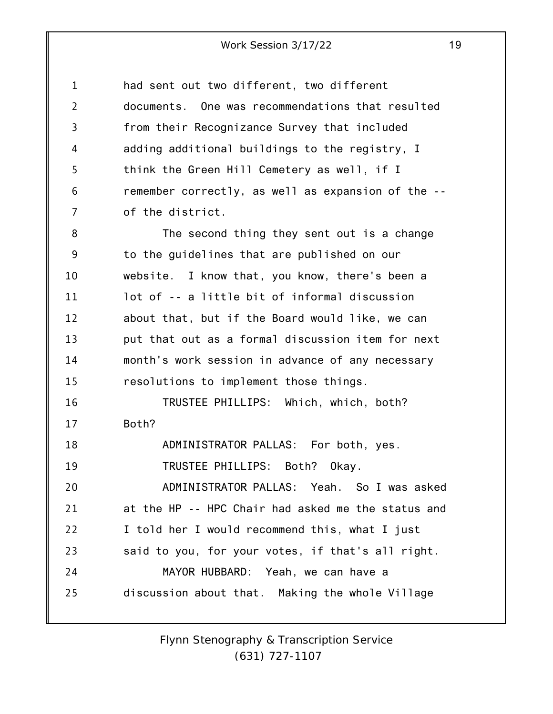| 1              | had sent out two different, two different          |
|----------------|----------------------------------------------------|
| $\overline{2}$ | documents. One was recommendations that resulted   |
| 3              | from their Recognizance Survey that included       |
| 4              | adding additional buildings to the registry, I     |
| 5              | think the Green Hill Cemetery as well, if I        |
| 6              | remember correctly, as well as expansion of the -- |
| 7              | of the district.                                   |
| 8              | The second thing they sent out is a change         |
| 9              | to the guidelines that are published on our        |
| 10             | website. I know that, you know, there's been a     |
| 11             | lot of -- a little bit of informal discussion      |
| 12             | about that, but if the Board would like, we can    |
| 13             | put that out as a formal discussion item for next  |
| 14             | month's work session in advance of any necessary   |
| 15             | resolutions to implement those things.             |
| 16             | TRUSTEE PHILLIPS: Which, which, both?              |
| 17             | Both?                                              |
| 18             | ADMINISTRATOR PALLAS: For both, yes.               |
| 19             | TRUSTEE PHILLIPS: Both?<br>Okay.                   |
| 20             | ADMINISTRATOR PALLAS: Yeah. So I was asked         |
| 21             | at the HP -- HPC Chair had asked me the status and |
| 22             | I told her I would recommend this, what I just     |
| 23             | said to you, for your votes, if that's all right.  |
| 24             | MAYOR HUBBARD: Yeah, we can have a                 |
| 25             | discussion about that. Making the whole Village    |
|                |                                                    |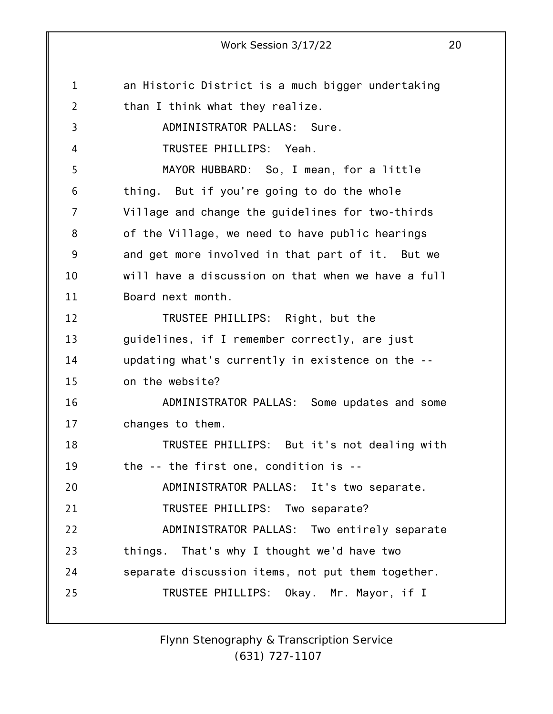1 2 3 4 5 6 7 8 9 10 11 12 13 14 15 16 17 18 19 20 21 22 23 24 25 an Historic District is a much bigger undertaking than I think what they realize. ADMINISTRATOR PALLAS: Sure. TRUSTEE PHILLIPS: Yeah. MAYOR HUBBARD: So, I mean, for a little thing. But if you're going to do the whole Village and change the guidelines for two-thirds of the Village, we need to have public hearings and get more involved in that part of it. But we will have a discussion on that when we have a full Board next month. TRUSTEE PHILLIPS: Right, but the guidelines, if I remember correctly, are just updating what's currently in existence on the - on the website? ADMINISTRATOR PALLAS: Some updates and some changes to them. TRUSTEE PHILLIPS: But it's not dealing with the -- the first one, condition is -- ADMINISTRATOR PALLAS: It's two separate. TRUSTEE PHILLIPS: Two separate? ADMINISTRATOR PALLAS: Two entirely separate things. That's why I thought we'd have two separate discussion items, not put them together. TRUSTEE PHILLIPS: Okay. Mr. Mayor, if I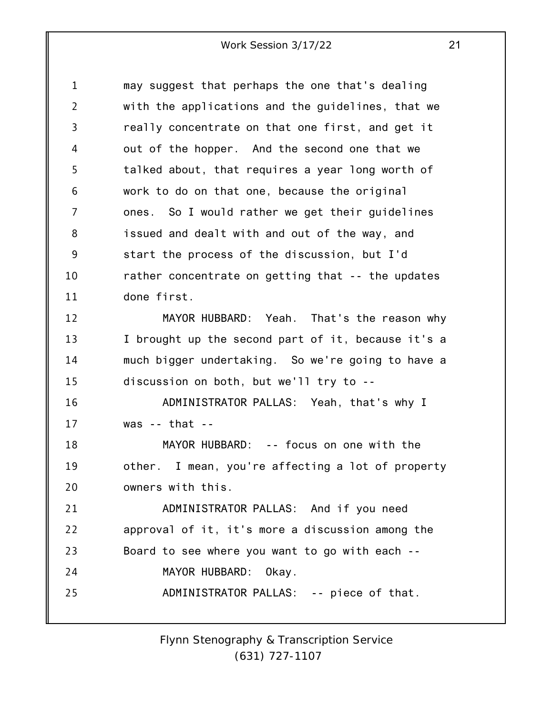1 2 3 4 5 6 7 8 9 10 11 may suggest that perhaps the one that's dealing with the applications and the guidelines, that we really concentrate on that one first, and get it out of the hopper. And the second one that we talked about, that requires a year long worth of work to do on that one, because the original ones. So I would rather we get their guidelines issued and dealt with and out of the way, and start the process of the discussion, but I'd rather concentrate on getting that -- the updates done first.

12 13 14 15 MAYOR HUBBARD: Yeah. That's the reason why I brought up the second part of it, because it's a much bigger undertaking. So we're going to have a discussion on both, but we'll try to --

16 17 ADMINISTRATOR PALLAS: Yeah, that's why I was  $-$  that  $-$ 

18 19 20 MAYOR HUBBARD: -- focus on one with the other. I mean, you're affecting a lot of property owners with this.

21 22 23 24 25 ADMINISTRATOR PALLAS: And if you need approval of it, it's more a discussion among the Board to see where you want to go with each -- MAYOR HUBBARD: Okay. ADMINISTRATOR PALLAS: -- piece of that.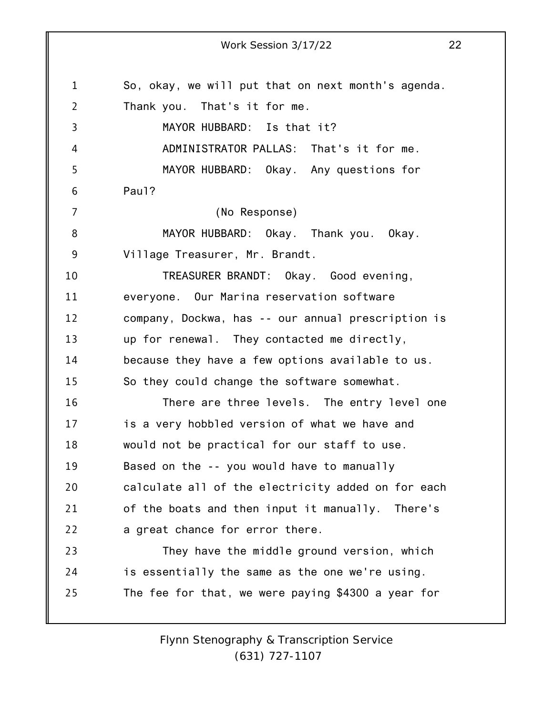| $\mathbf 1$    | So, okay, we will put that on next month's agenda. |
|----------------|----------------------------------------------------|
| $\overline{2}$ | Thank you. That's it for me.                       |
| 3              | MAYOR HUBBARD: Is that it?                         |
| 4              | ADMINISTRATOR PALLAS: That's it for me.            |
| 5              | MAYOR HUBBARD: Okay. Any questions for             |
| 6              | Paul?                                              |
| $\overline{7}$ | (No Response)                                      |
| 8              | MAYOR HUBBARD: Okay. Thank you. Okay.              |
| 9              | Village Treasurer, Mr. Brandt.                     |
| 10             | TREASURER BRANDT: Okay. Good evening,              |
| 11             | everyone. Our Marina reservation software          |
| 12             | company, Dockwa, has -- our annual prescription is |
| 13             | up for renewal. They contacted me directly,        |
| 14             | because they have a few options available to us.   |
| 15             | So they could change the software somewhat.        |
| 16             | There are three levels. The entry level one        |
| 17             | is a very hobbled version of what we have and      |
| 18             | would not be practical for our staff to use.       |
| 19             | Based on the -- you would have to manually         |
| 20             | calculate all of the electricity added on for each |
| 21             | of the boats and then input it manually. There's   |
| 22             | a great chance for error there.                    |
| 23             | They have the middle ground version, which         |
| 24             | is essentially the same as the one we're using.    |
| 25             | The fee for that, we were paying \$4300 a year for |
|                |                                                    |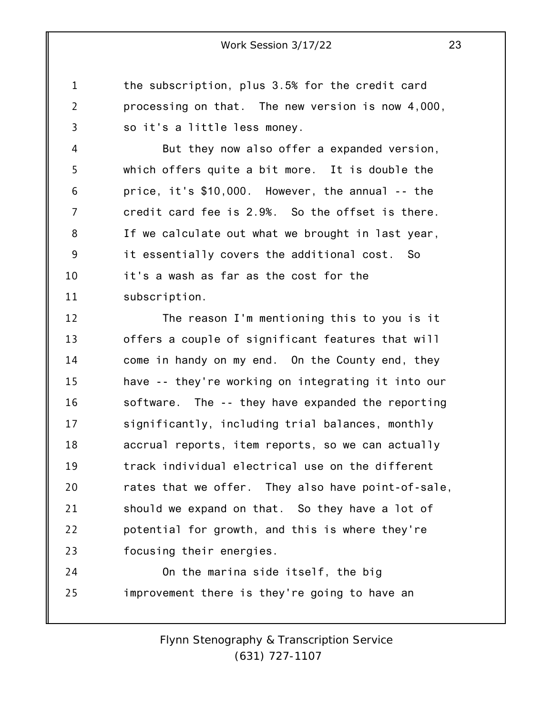the subscription, plus 3.5% for the credit card processing on that. The new version is now 4,000, so it's a little less money.

1

2

3

4 5 6 7 8 9 10 11 But they now also offer a expanded version, which offers quite a bit more. It is double the price, it's \$10,000. However, the annual -- the credit card fee is 2.9%. So the offset is there. If we calculate out what we brought in last year, it essentially covers the additional cost. So it's a wash as far as the cost for the subscription.

12 13 14 15 16 17 18 19 20 21 22 23 The reason I'm mentioning this to you is it offers a couple of significant features that will come in handy on my end. On the County end, they have -- they're working on integrating it into our software. The -- they have expanded the reporting significantly, including trial balances, monthly accrual reports, item reports, so we can actually track individual electrical use on the different rates that we offer. They also have point-of-sale, should we expand on that. So they have a lot of potential for growth, and this is where they're focusing their energies.

24 25 On the marina side itself, the big improvement there is they're going to have an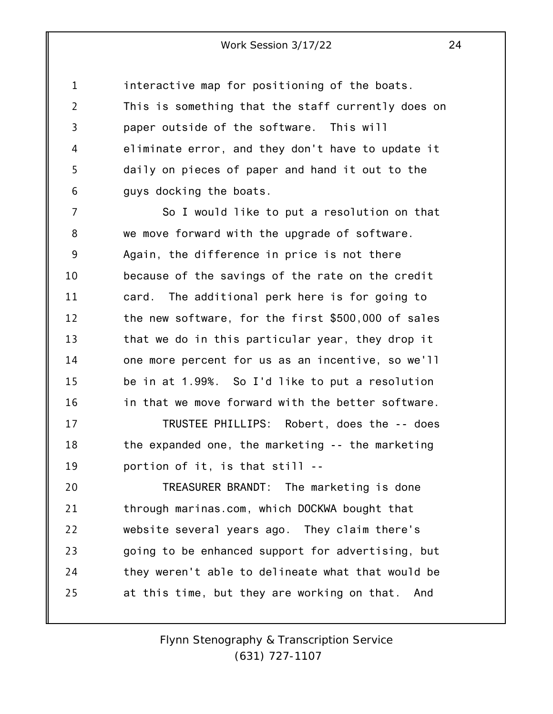1 2 3 4 5 6 interactive map for positioning of the boats. This is something that the staff currently does on paper outside of the software. This will eliminate error, and they don't have to update it daily on pieces of paper and hand it out to the guys docking the boats.

7 8 9 10 11 12 13 14 15 16 So I would like to put a resolution on that we move forward with the upgrade of software. Again, the difference in price is not there because of the savings of the rate on the credit card. The additional perk here is for going to the new software, for the first \$500,000 of sales that we do in this particular year, they drop it one more percent for us as an incentive, so we'll be in at 1.99%. So I'd like to put a resolution in that we move forward with the better software.

17 18 19 TRUSTEE PHILLIPS: Robert, does the -- does the expanded one, the marketing -- the marketing portion of it, is that still --

20 21 22 23 24 25 TREASURER BRANDT: The marketing is done through marinas.com, which DOCKWA bought that website several years ago. They claim there's going to be enhanced support for advertising, but they weren't able to delineate what that would be at this time, but they are working on that. And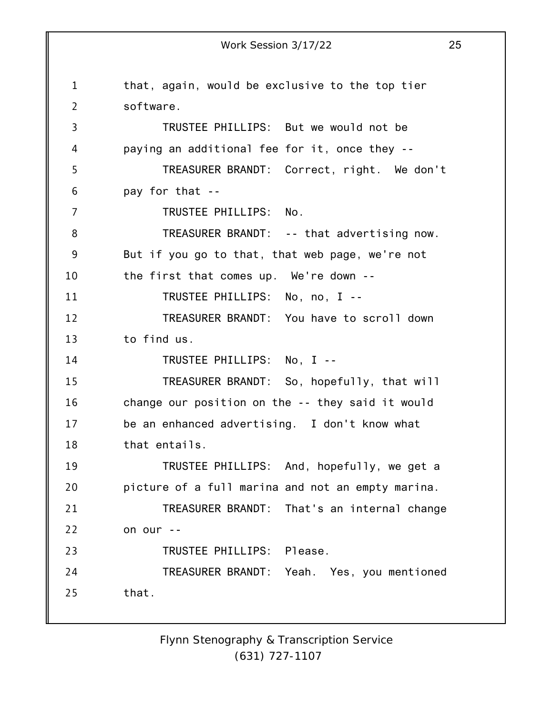1 2 3 4 5 6 7 8 9 10 11 12 13 14 15 16 17 18 19 20 21 22 23 24 25 Work Session 3/17/22 25 that, again, would be exclusive to the top tier software. TRUSTEE PHILLIPS: But we would not be paying an additional fee for it, once they -- TREASURER BRANDT: Correct, right. We don't pay for that -- TRUSTEE PHILLIPS: No. TREASURER BRANDT: -- that advertising now. But if you go to that, that web page, we're not the first that comes up. We're down -- TRUSTEE PHILLIPS: No, no, I -- TREASURER BRANDT: You have to scroll down to find us. TRUSTEE PHILLIPS: No, I -- TREASURER BRANDT: So, hopefully, that will change our position on the -- they said it would be an enhanced advertising. I don't know what that entails. TRUSTEE PHILLIPS: And, hopefully, we get a picture of a full marina and not an empty marina. TREASURER BRANDT: That's an internal change on our -- TRUSTEE PHILLIPS: Please. TREASURER BRANDT: Yeah. Yes, you mentioned that.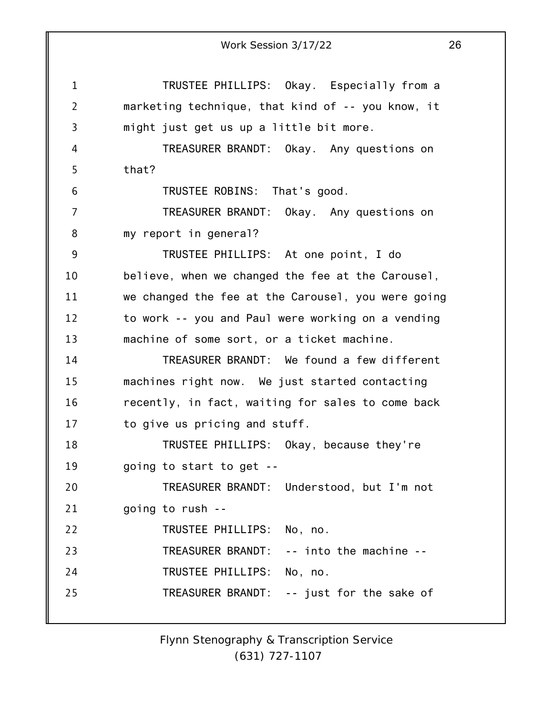1 2 3 4 5 6 7 8 9 10 11 12 13 14 15 16 17 18 19 20 21 22 23 24 25 Work Session 3/17/22 26 TRUSTEE PHILLIPS: Okay. Especially from a marketing technique, that kind of -- you know, it might just get us up a little bit more. TREASURER BRANDT: Okay. Any questions on that? TRUSTEE ROBINS: That's good. TREASURER BRANDT: Okay. Any questions on my report in general? TRUSTEE PHILLIPS: At one point, I do believe, when we changed the fee at the Carousel, we changed the fee at the Carousel, you were going to work -- you and Paul were working on a vending machine of some sort, or a ticket machine. TREASURER BRANDT: We found a few different machines right now. We just started contacting recently, in fact, waiting for sales to come back to give us pricing and stuff. TRUSTEE PHILLIPS: Okay, because they're going to start to get -- TREASURER BRANDT: Understood, but I'm not going to rush -- TRUSTEE PHILLIPS: No, no. TREASURER BRANDT: -- into the machine -- TRUSTEE PHILLIPS: No, no. TREASURER BRANDT: -- just for the sake of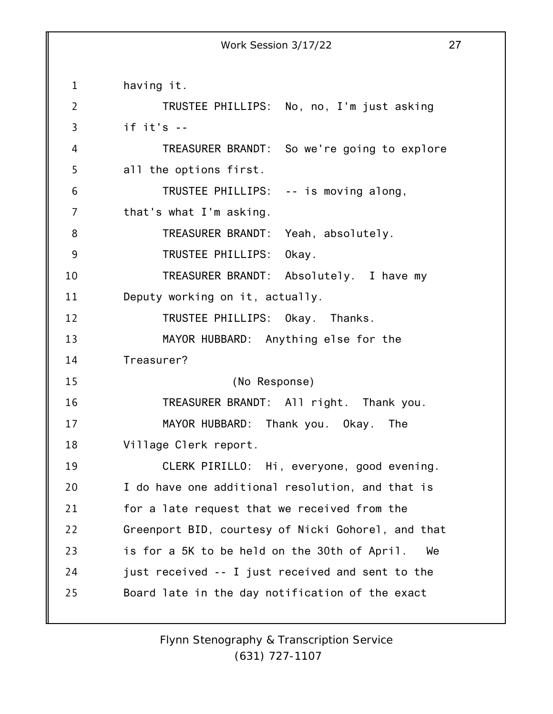1 2 3 4 5 6 7 8 9 10 11 12 13 14 15 16 17 18 19 20 21 22 23 24 25 having it. TRUSTEE PHILLIPS: No, no, I'm just asking if it's -- TREASURER BRANDT: So we're going to explore all the options first. TRUSTEE PHILLIPS: -- is moving along, that's what I'm asking. TREASURER BRANDT: Yeah, absolutely. TRUSTEE PHILLIPS: Okay. TREASURER BRANDT: Absolutely. I have my Deputy working on it, actually. TRUSTEE PHILLIPS: Okay. Thanks. MAYOR HUBBARD: Anything else for the Treasurer? (No Response) TREASURER BRANDT: All right. Thank you. MAYOR HUBBARD: Thank you. Okay. The Village Clerk report. CLERK PIRILLO: Hi, everyone, good evening. I do have one additional resolution, and that is for a late request that we received from the Greenport BID, courtesy of Nicki Gohorel, and that is for a 5K to be held on the 30th of April. We just received -- I just received and sent to the Board late in the day notification of the exact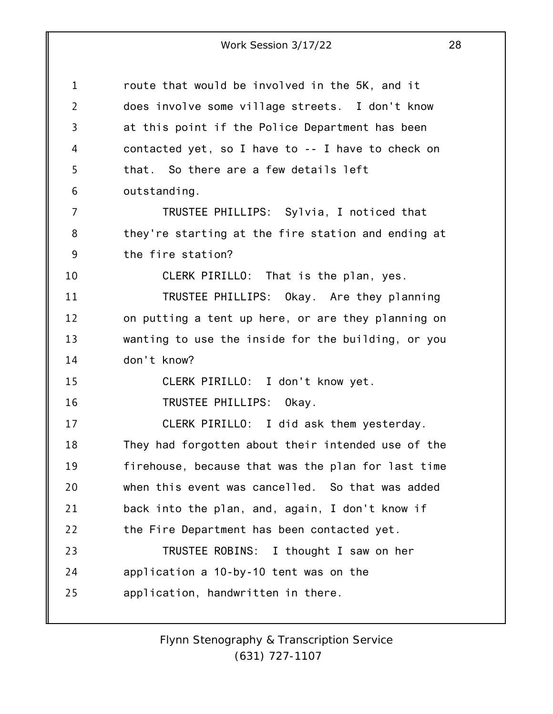| $\mathbf 1$    | route that would be involved in the 5K, and it     |
|----------------|----------------------------------------------------|
| $\overline{2}$ | does involve some village streets. I don't know    |
| 3              | at this point if the Police Department has been    |
| 4              | contacted yet, so I have to -- I have to check on  |
| 5              | that. So there are a few details left              |
| 6              | outstanding.                                       |
| 7              | TRUSTEE PHILLIPS: Sylvia, I noticed that           |
| 8              | they're starting at the fire station and ending at |
| 9              | the fire station?                                  |
| 10             | CLERK PIRILLO: That is the plan, yes.              |
| 11             | TRUSTEE PHILLIPS: Okay. Are they planning          |
| 12             | on putting a tent up here, or are they planning on |
| 13             | wanting to use the inside for the building, or you |
| 14             | don't know?                                        |
| 15             | CLERK PIRILLO: I don't know yet.                   |
| 16             | TRUSTEE PHILLIPS: Okay.                            |
| 17             | CLERK PIRILLO: I did ask them yesterday.           |
| 18             | They had forgotten about their intended use of the |
| 19             | firehouse, because that was the plan for last time |
| 20             | when this event was cancelled. So that was added   |
| 21             | back into the plan, and, again, I don't know if    |
| 22             | the Fire Department has been contacted yet.        |
| 23             | TRUSTEE ROBINS: I thought I saw on her             |
| 24             | application a 10-by-10 tent was on the             |
| 25             | application, handwritten in there.                 |
|                |                                                    |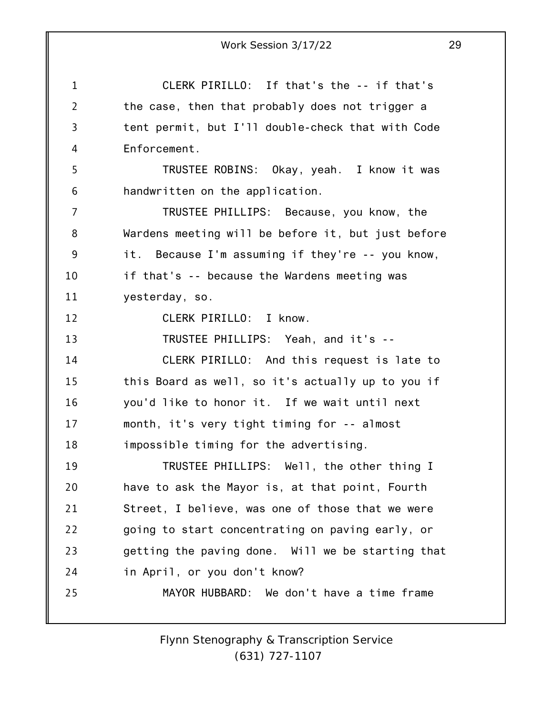|                | 29<br>Work Session 3/17/22                         |
|----------------|----------------------------------------------------|
| $\mathbf 1$    | CLERK PIRILLO: If that's the -- if that's          |
| $\overline{2}$ | the case, then that probably does not trigger a    |
| 3              | tent permit, but I'll double-check that with Code  |
| 4              | Enforcement.                                       |
| 5              | TRUSTEE ROBINS: Okay, yeah. I know it was          |
| 6              | handwritten on the application.                    |
| 7              | TRUSTEE PHILLIPS: Because, you know, the           |
| 8              | Wardens meeting will be before it, but just before |
| 9              | it. Because I'm assuming if they're -- you know,   |
| 10             | if that's -- because the Wardens meeting was       |
| 11             | yesterday, so.                                     |
| 12             | CLERK PIRILLO: I know.                             |
| 13             | TRUSTEE PHILLIPS: Yeah, and it's --                |
| 14             | CLERK PIRILLO: And this request is late to         |
| 15             | this Board as well, so it's actually up to you if  |
| 16             | you'd like to honor it. If we wait until next      |
| 17             | month, it's very tight timing for -- almost        |
| 18             | impossible timing for the advertising.             |
| 19             | TRUSTEE PHILLIPS: Well, the other thing I          |
| 20             | have to ask the Mayor is, at that point, Fourth    |
| 21             | Street, I believe, was one of those that we were   |
| 22             | going to start concentrating on paving early, or   |
| 23             | getting the paving done. Will we be starting that  |
| 24             | in April, or you don't know?                       |
| 25             | MAYOR HUBBARD: We don't have a time frame          |
|                |                                                    |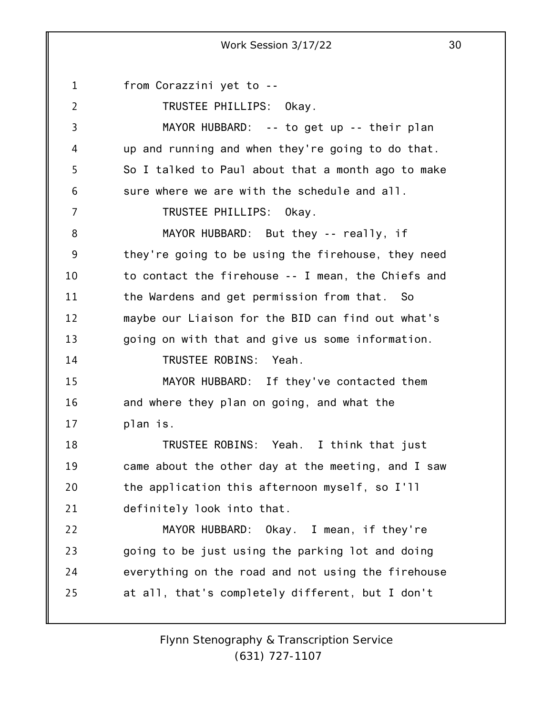1 2 3 4 5 6 7 8 9 10 11 12 13 14 15 16 17 18 19 20 21 22 23 24 25 from Corazzini yet to -- TRUSTEE PHILLIPS: Okay. MAYOR HUBBARD: -- to get up -- their plan up and running and when they're going to do that. So I talked to Paul about that a month ago to make sure where we are with the schedule and all. TRUSTEE PHILLIPS: Okay. MAYOR HUBBARD: But they -- really, if they're going to be using the firehouse, they need to contact the firehouse -- I mean, the Chiefs and the Wardens and get permission from that. So maybe our Liaison for the BID can find out what's going on with that and give us some information. TRUSTEE ROBINS: Yeah. MAYOR HUBBARD: If they've contacted them and where they plan on going, and what the plan is. TRUSTEE ROBINS: Yeah. I think that just came about the other day at the meeting, and I saw the application this afternoon myself, so I'll definitely look into that. MAYOR HUBBARD: Okay. I mean, if they're going to be just using the parking lot and doing everything on the road and not using the firehouse at all, that's completely different, but I don't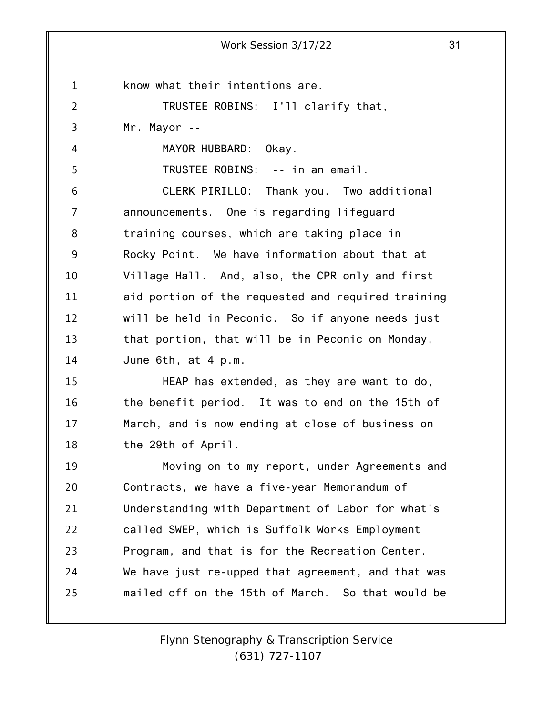1 2 3 4 5 6 7 8 9 10 11 12 13 14 15 16 17 18 19 20 21 22 23 Work Session 3/17/22 31 know what their intentions are. TRUSTEE ROBINS: I'll clarify that, Mr. Mayor -- MAYOR HUBBARD: Okay. TRUSTEE ROBINS: -- in an email. CLERK PIRILLO: Thank you. Two additional announcements. One is regarding lifeguard training courses, which are taking place in Rocky Point. We have information about that at Village Hall. And, also, the CPR only and first aid portion of the requested and required training will be held in Peconic. So if anyone needs just that portion, that will be in Peconic on Monday, June 6th, at 4 p.m. HEAP has extended, as they are want to do, the benefit period. It was to end on the 15th of March, and is now ending at close of business on the 29th of April. Moving on to my report, under Agreements and Contracts, we have a five-year Memorandum of Understanding with Department of Labor for what's called SWEP, which is Suffolk Works Employment Program, and that is for the Recreation Center.

24 25 We have just re-upped that agreement, and that was mailed off on the 15th of March. So that would be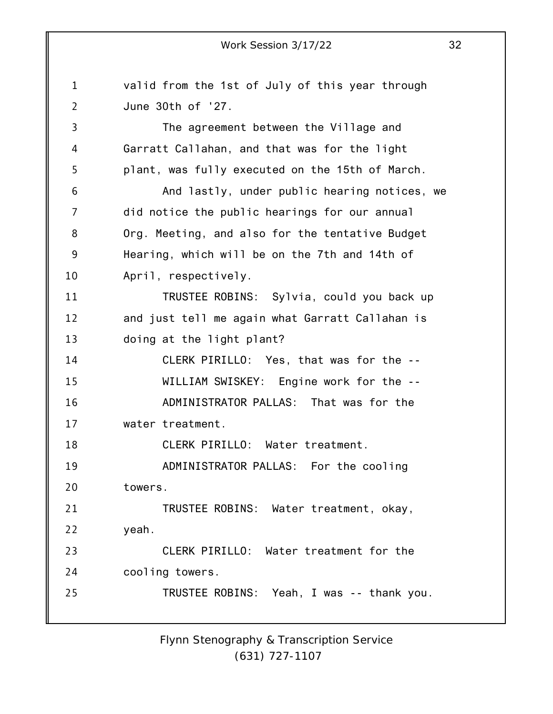1 2 3 4 5 6 7 8 9 10 11 12 13 14 15 16 17 18 19 20 21 22 23 24 25 valid from the 1st of July of this year through June 30th of '27. The agreement between the Village and Garratt Callahan, and that was for the light plant, was fully executed on the 15th of March. And lastly, under public hearing notices, we did notice the public hearings for our annual Org. Meeting, and also for the tentative Budget Hearing, which will be on the 7th and 14th of April, respectively. TRUSTEE ROBINS: Sylvia, could you back up and just tell me again what Garratt Callahan is doing at the light plant? CLERK PIRILLO: Yes, that was for the -- WILLIAM SWISKEY: Engine work for the -- ADMINISTRATOR PALLAS: That was for the water treatment. CLERK PIRILLO: Water treatment. ADMINISTRATOR PALLAS: For the cooling towers. TRUSTEE ROBINS: Water treatment, okay, yeah. CLERK PIRILLO: Water treatment for the cooling towers. TRUSTEE ROBINS: Yeah, I was -- thank you.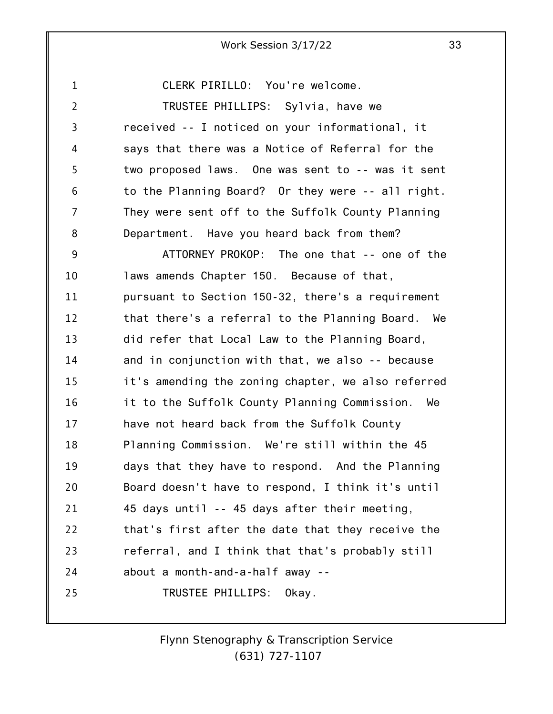1 2 3 4 5 6 7 8 9 10 11 12 13 14 15 16 17 18 19 20 21 22 23 24 25 CLERK PIRILLO: You're welcome. TRUSTEE PHILLIPS: Sylvia, have we received -- I noticed on your informational, it says that there was a Notice of Referral for the two proposed laws. One was sent to -- was it sent to the Planning Board? Or they were -- all right. They were sent off to the Suffolk County Planning Department. Have you heard back from them? ATTORNEY PROKOP: The one that -- one of the laws amends Chapter 150. Because of that, pursuant to Section 150-32, there's a requirement that there's a referral to the Planning Board. We did refer that Local Law to the Planning Board, and in conjunction with that, we also -- because it's amending the zoning chapter, we also referred it to the Suffolk County Planning Commission. We have not heard back from the Suffolk County Planning Commission. We're still within the 45 days that they have to respond. And the Planning Board doesn't have to respond, I think it's until 45 days until -- 45 days after their meeting, that's first after the date that they receive the referral, and I think that that's probably still about a month-and-a-half away -- TRUSTEE PHILLIPS: Okay.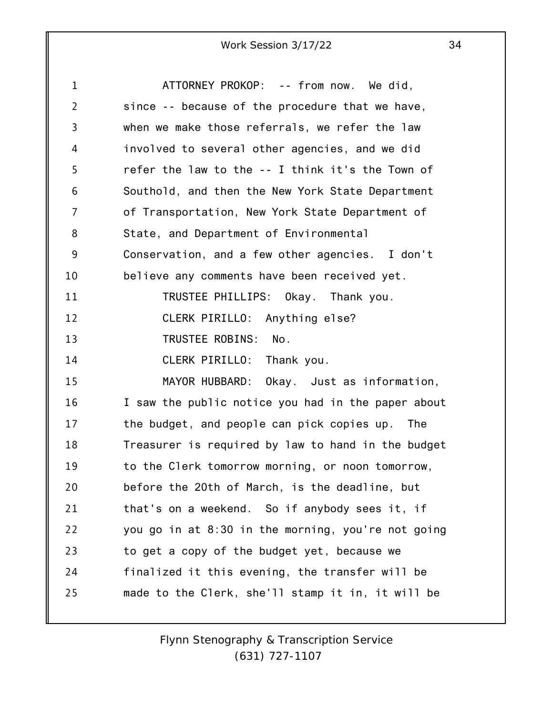| $\mathbf{1}$   | ATTORNEY PROKOP: -- from now. We did,              |
|----------------|----------------------------------------------------|
| $\overline{2}$ | since -- because of the procedure that we have,    |
| 3              | when we make those referrals, we refer the law     |
| 4              | involved to several other agencies, and we did     |
| 5              | refer the law to the -- I think it's the Town of   |
| 6              | Southold, and then the New York State Department   |
| 7              | of Transportation, New York State Department of    |
| 8              | State, and Department of Environmental             |
| 9              | Conservation, and a few other agencies. I don't    |
| 10             | believe any comments have been received yet.       |
| 11             | TRUSTEE PHILLIPS: Okay. Thank you.                 |
| 12             | CLERK PIRILLO: Anything else?                      |
| 13             | TRUSTEE ROBINS: No.                                |
| 14             | CLERK PIRILLO: Thank you.                          |
| 15             | MAYOR HUBBARD: Okay. Just as information,          |
| 16             | I saw the public notice you had in the paper about |
| 17             | the budget, and people can pick copies up. The     |
| 18             | Treasurer is required by law to hand in the budget |
| 19             | to the Clerk tomorrow morning, or noon tomorrow,   |
| 20             | before the 20th of March, is the deadline, but     |
| 21             | that's on a weekend. So if anybody sees it, if     |
| 22             | you go in at 8:30 in the morning, you're not going |
| 23             | to get a copy of the budget yet, because we        |
| 24             | finalized it this evening, the transfer will be    |
| 25             | made to the Clerk, she'll stamp it in, it will be  |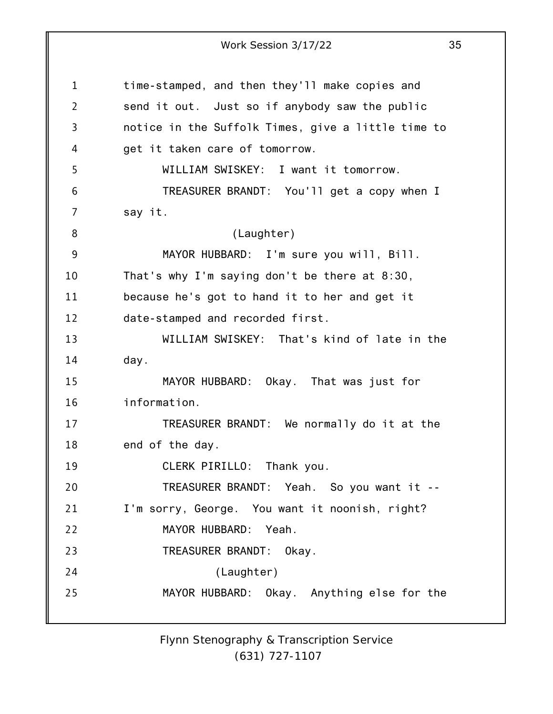1 2 3 4 5 6 7 8 9 10 11 12 13 14 15 16 17 18 19 20 21 22 23 24 25 Work Session 3/17/22 35 time-stamped, and then they'll make copies and send it out. Just so if anybody saw the public notice in the Suffolk Times, give a little time to get it taken care of tomorrow. WILLIAM SWISKEY: I want it tomorrow. TREASURER BRANDT: You'll get a copy when I say it. (Laughter) MAYOR HUBBARD: I'm sure you will, Bill. That's why I'm saying don't be there at 8:30, because he's got to hand it to her and get it date-stamped and recorded first. WILLIAM SWISKEY: That's kind of late in the day. MAYOR HUBBARD: Okay. That was just for information. TREASURER BRANDT: We normally do it at the end of the day. CLERK PIRILLO: Thank you. TREASURER BRANDT: Yeah. So you want it -- I'm sorry, George. You want it noonish, right? MAYOR HUBBARD: Yeah. TREASURER BRANDT: Okay. (Laughter) MAYOR HUBBARD: Okay. Anything else for the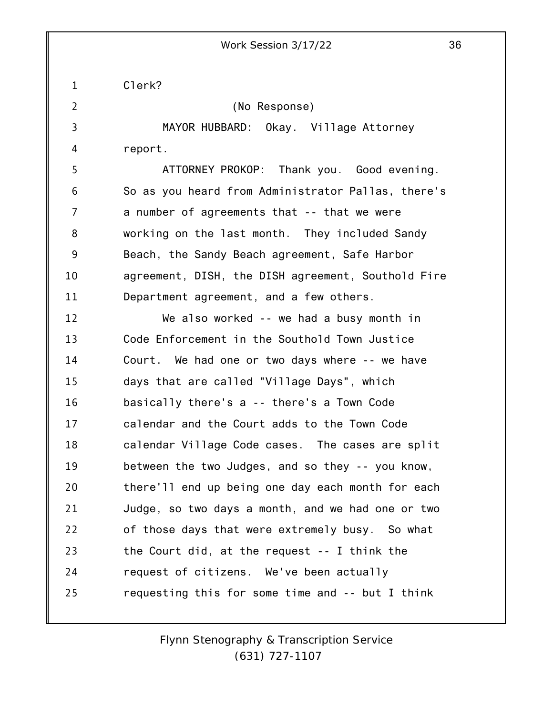1 Clerk?

2 3 4 5 6 7 8 9 10 11 12 13 14 15 16 17 18 19 20 21 22 23 24 25 (No Response) MAYOR HUBBARD: Okay. Village Attorney report. ATTORNEY PROKOP: Thank you. Good evening. So as you heard from Administrator Pallas, there's a number of agreements that -- that we were working on the last month. They included Sandy Beach, the Sandy Beach agreement, Safe Harbor agreement, DISH, the DISH agreement, Southold Fire Department agreement, and a few others. We also worked -- we had a busy month in Code Enforcement in the Southold Town Justice Court. We had one or two days where -- we have days that are called "Village Days", which basically there's a -- there's a Town Code calendar and the Court adds to the Town Code calendar Village Code cases. The cases are split between the two Judges, and so they -- you know, there'll end up being one day each month for each Judge, so two days a month, and we had one or two of those days that were extremely busy. So what the Court did, at the request -- I think the request of citizens. We've been actually requesting this for some time and -- but I think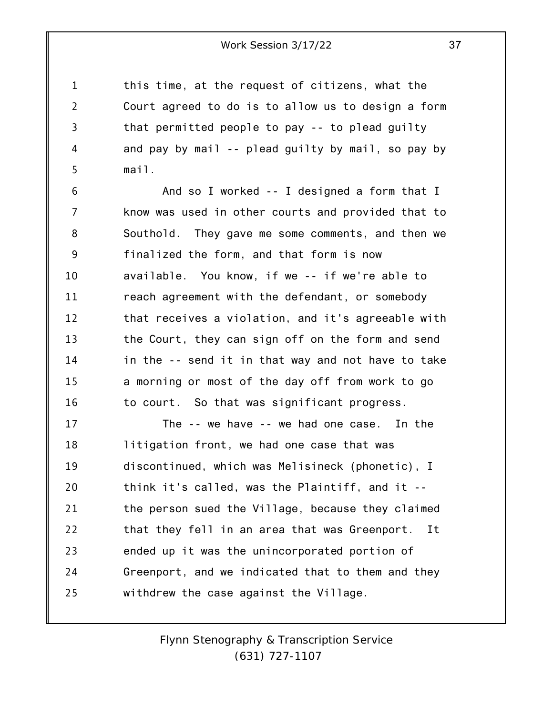1 2 3 4 5 this time, at the request of citizens, what the Court agreed to do is to allow us to design a form that permitted people to pay -- to plead guilty and pay by mail -- plead guilty by mail, so pay by mail.

6 7 8 9 10 11 12 13 14 15 16 And so I worked -- I designed a form that I know was used in other courts and provided that to Southold. They gave me some comments, and then we finalized the form, and that form is now available. You know, if we -- if we're able to reach agreement with the defendant, or somebody that receives a violation, and it's agreeable with the Court, they can sign off on the form and send in the -- send it in that way and not have to take a morning or most of the day off from work to go to court. So that was significant progress.

17 18 19 20 21 22 23 24 25 The -- we have -- we had one case. In the litigation front, we had one case that was discontinued, which was Melisineck (phonetic), I think it's called, was the Plaintiff, and it - the person sued the Village, because they claimed that they fell in an area that was Greenport. It ended up it was the unincorporated portion of Greenport, and we indicated that to them and they withdrew the case against the Village.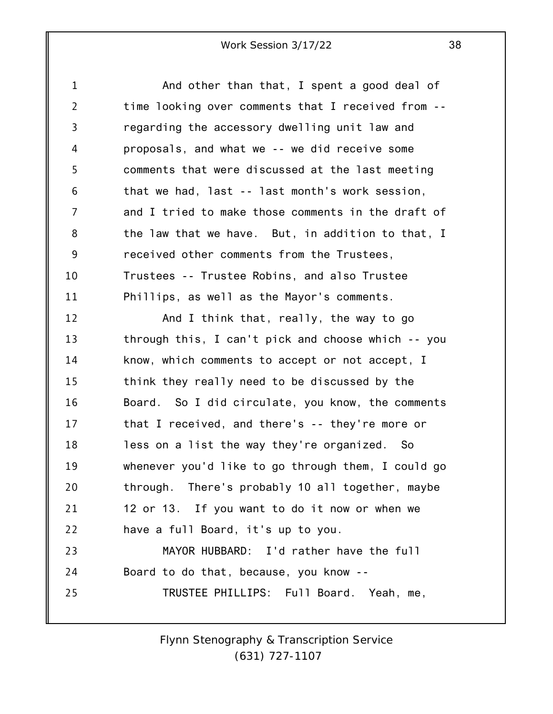1 2 3 4 5 6 7 8 9 10 11 12 13 14 15 16 17 18 19 20 21 22 23 24 25 And other than that, I spent a good deal of time looking over comments that I received from - regarding the accessory dwelling unit law and proposals, and what we -- we did receive some comments that were discussed at the last meeting that we had, last -- last month's work session, and I tried to make those comments in the draft of the law that we have. But, in addition to that, I received other comments from the Trustees, Trustees -- Trustee Robins, and also Trustee Phillips, as well as the Mayor's comments. And I think that, really, the way to go through this, I can't pick and choose which -- you know, which comments to accept or not accept, I think they really need to be discussed by the Board. So I did circulate, you know, the comments that I received, and there's -- they're more or less on a list the way they're organized. So whenever you'd like to go through them, I could go through. There's probably 10 all together, maybe 12 or 13. If you want to do it now or when we have a full Board, it's up to you. MAYOR HUBBARD: I'd rather have the full Board to do that, because, you know -- TRUSTEE PHILLIPS: Full Board. Yeah, me,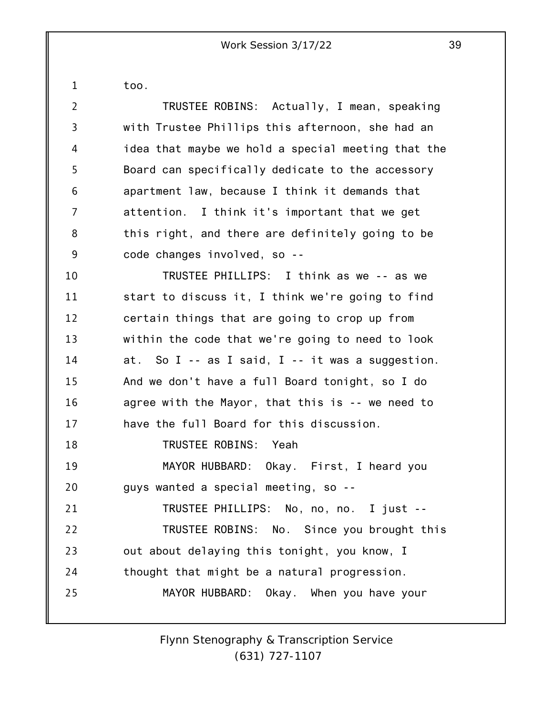1

too.

2 3 4 5 6 7 8 9 10 11 12 13 14 15 16 17 18 19 20 21 22 23 24 25 TRUSTEE ROBINS: Actually, I mean, speaking with Trustee Phillips this afternoon, she had an idea that maybe we hold a special meeting that the Board can specifically dedicate to the accessory apartment law, because I think it demands that attention. I think it's important that we get this right, and there are definitely going to be code changes involved, so -- TRUSTEE PHILLIPS: I think as we -- as we start to discuss it, I think we're going to find certain things that are going to crop up from within the code that we're going to need to look at. So I -- as I said, I -- it was a suggestion. And we don't have a full Board tonight, so I do agree with the Mayor, that this is -- we need to have the full Board for this discussion. TRUSTEE ROBINS: Yeah MAYOR HUBBARD: Okay. First, I heard you guys wanted a special meeting, so -- TRUSTEE PHILLIPS: No, no, no. I just -- TRUSTEE ROBINS: No. Since you brought this out about delaying this tonight, you know, I thought that might be a natural progression. MAYOR HUBBARD: Okay. When you have your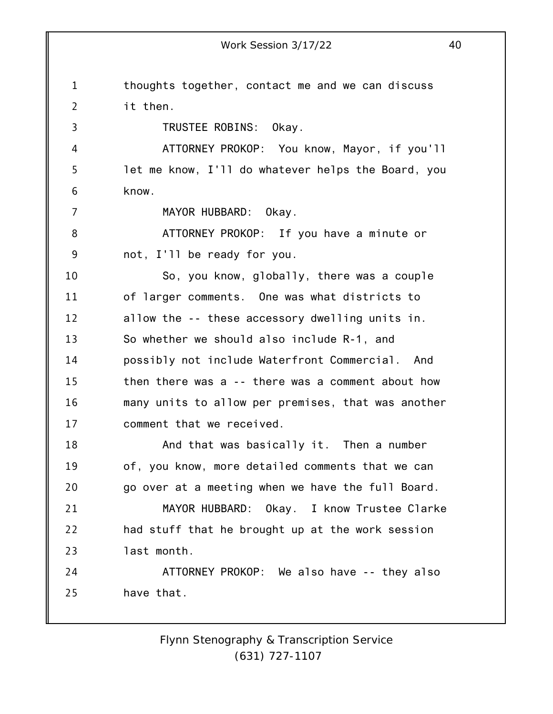1 2 3 4 5 6 7 8 9 10 11 12 13 14 15 16 17 18 19 20 21 22 23 24 25 thoughts together, contact me and we can discuss it then. TRUSTEE ROBINS: Okay. ATTORNEY PROKOP: You know, Mayor, if you'll let me know, I'll do whatever helps the Board, you know. MAYOR HUBBARD: Okay. ATTORNEY PROKOP: If you have a minute or not, I'll be ready for you. So, you know, globally, there was a couple of larger comments. One was what districts to allow the -- these accessory dwelling units in. So whether we should also include R-1, and possibly not include Waterfront Commercial. And then there was a -- there was a comment about how many units to allow per premises, that was another comment that we received. And that was basically it. Then a number of, you know, more detailed comments that we can go over at a meeting when we have the full Board. MAYOR HUBBARD: Okay. I know Trustee Clarke had stuff that he brought up at the work session last month. ATTORNEY PROKOP: We also have -- they also have that.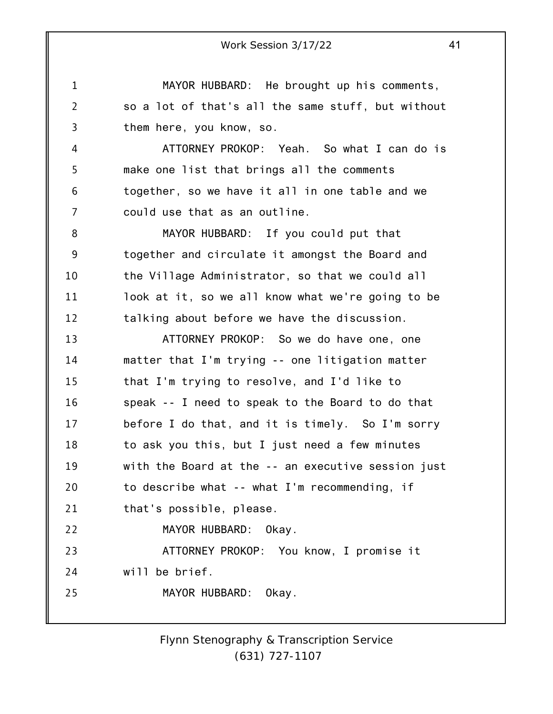1 2 3 4 5 6 7 8 9 10 11 12 13 14 15 16 17 18 19 20 21 22 23 24 25 Work Session 3/17/22 41 MAYOR HUBBARD: He brought up his comments, so a lot of that's all the same stuff, but without them here, you know, so. ATTORNEY PROKOP: Yeah. So what I can do is make one list that brings all the comments together, so we have it all in one table and we could use that as an outline. MAYOR HUBBARD: If you could put that together and circulate it amongst the Board and the Village Administrator, so that we could all look at it, so we all know what we're going to be talking about before we have the discussion. ATTORNEY PROKOP: So we do have one, one matter that I'm trying -- one litigation matter that I'm trying to resolve, and I'd like to speak -- I need to speak to the Board to do that before I do that, and it is timely. So I'm sorry to ask you this, but I just need a few minutes with the Board at the -- an executive session just to describe what -- what I'm recommending, if that's possible, please. MAYOR HUBBARD: Okay. ATTORNEY PROKOP: You know, I promise it will be brief. MAYOR HUBBARD: Okay.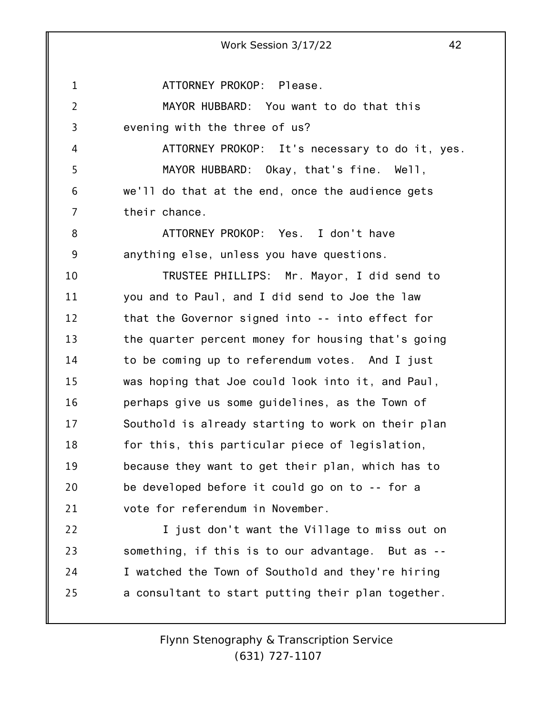1 2 3 4 5 6 7 8 9 10 11 12 13 14 15 16 17 18 19 20 21 22 23 24 25 ATTORNEY PROKOP: Please. MAYOR HUBBARD: You want to do that this evening with the three of us? ATTORNEY PROKOP: It's necessary to do it, yes. MAYOR HUBBARD: Okay, that's fine. Well, we'll do that at the end, once the audience gets their chance. ATTORNEY PROKOP: Yes. I don't have anything else, unless you have questions. TRUSTEE PHILLIPS: Mr. Mayor, I did send to you and to Paul, and I did send to Joe the law that the Governor signed into -- into effect for the quarter percent money for housing that's going to be coming up to referendum votes. And I just was hoping that Joe could look into it, and Paul, perhaps give us some guidelines, as the Town of Southold is already starting to work on their plan for this, this particular piece of legislation, because they want to get their plan, which has to be developed before it could go on to -- for a vote for referendum in November. I just don't want the Village to miss out on something, if this is to our advantage. But as -- I watched the Town of Southold and they're hiring a consultant to start putting their plan together.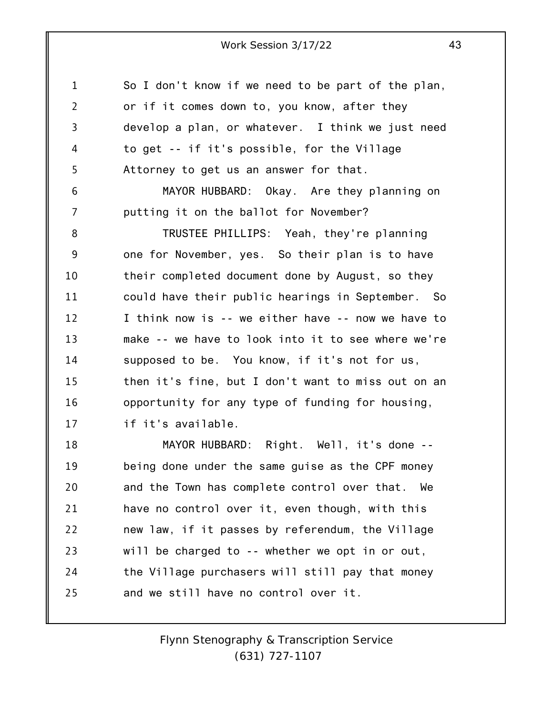1 2 3 4 5 So I don't know if we need to be part of the plan, or if it comes down to, you know, after they develop a plan, or whatever. I think we just need to get -- if it's possible, for the Village Attorney to get us an answer for that.

MAYOR HUBBARD: Okay. Are they planning on putting it on the ballot for November?

6

7

8 9 10 11 12 13 14 15 16 17 TRUSTEE PHILLIPS: Yeah, they're planning one for November, yes. So their plan is to have their completed document done by August, so they could have their public hearings in September. So I think now is -- we either have -- now we have to make -- we have to look into it to see where we're supposed to be. You know, if it's not for us, then it's fine, but I don't want to miss out on an opportunity for any type of funding for housing, if it's available.

18 19 20 21 22 23 24 25 MAYOR HUBBARD: Right. Well, it's done - being done under the same guise as the CPF money and the Town has complete control over that. We have no control over it, even though, with this new law, if it passes by referendum, the Village will be charged to -- whether we opt in or out, the Village purchasers will still pay that money and we still have no control over it.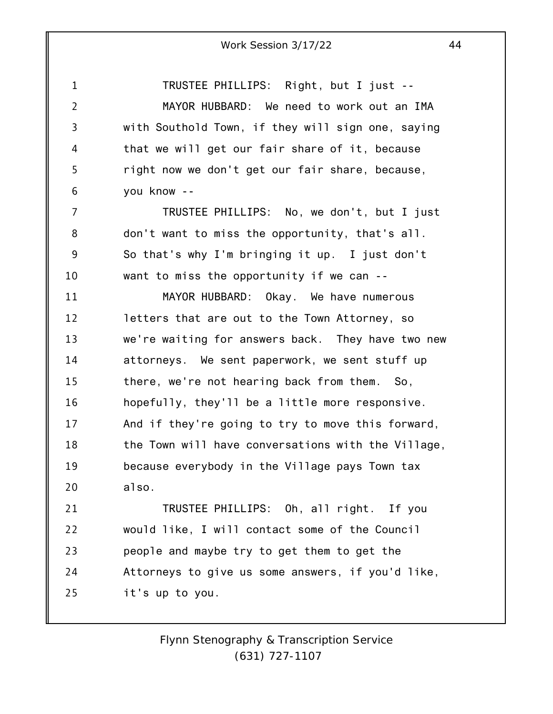1 2 3 4 5 6 TRUSTEE PHILLIPS: Right, but I just -- MAYOR HUBBARD: We need to work out an IMA with Southold Town, if they will sign one, saying that we will get our fair share of it, because right now we don't get our fair share, because, you know --

7 8 9 10 TRUSTEE PHILLIPS: No, we don't, but I just don't want to miss the opportunity, that's all. So that's why I'm bringing it up. I just don't want to miss the opportunity if we can --

11 12 13 14 15 16 17 18 19 20 MAYOR HUBBARD: Okay. We have numerous letters that are out to the Town Attorney, so we're waiting for answers back. They have two new attorneys. We sent paperwork, we sent stuff up there, we're not hearing back from them. So, hopefully, they'll be a little more responsive. And if they're going to try to move this forward, the Town will have conversations with the Village, because everybody in the Village pays Town tax also.

21 22 23 24 25 TRUSTEE PHILLIPS: Oh, all right. If you would like, I will contact some of the Council people and maybe try to get them to get the Attorneys to give us some answers, if you'd like, it's up to you.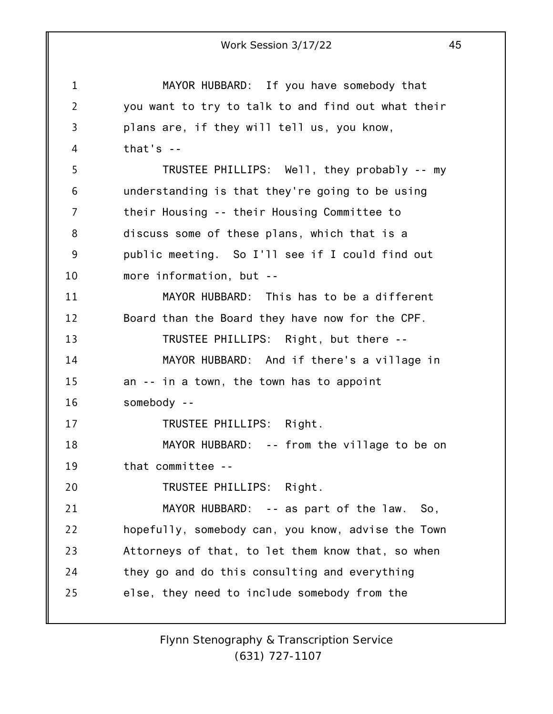1 2 3 4 5 6 7 8 9 10 11 12 13 14 15 16 17 18 19 20 21 22 23 24 25 Work Session 3/17/22 45 MAYOR HUBBARD: If you have somebody that you want to try to talk to and find out what their plans are, if they will tell us, you know, that's -- TRUSTEE PHILLIPS: Well, they probably -- my understanding is that they're going to be using their Housing -- their Housing Committee to discuss some of these plans, which that is a public meeting. So I'll see if I could find out more information, but -- MAYOR HUBBARD: This has to be a different Board than the Board they have now for the CPF. TRUSTEE PHILLIPS: Right, but there -- MAYOR HUBBARD: And if there's a village in an -- in a town, the town has to appoint somebody -- TRUSTEE PHILLIPS: Right. MAYOR HUBBARD: -- from the village to be on that committee -- TRUSTEE PHILLIPS: Right. MAYOR HUBBARD: -- as part of the law. So, hopefully, somebody can, you know, advise the Town Attorneys of that, to let them know that, so when they go and do this consulting and everything else, they need to include somebody from the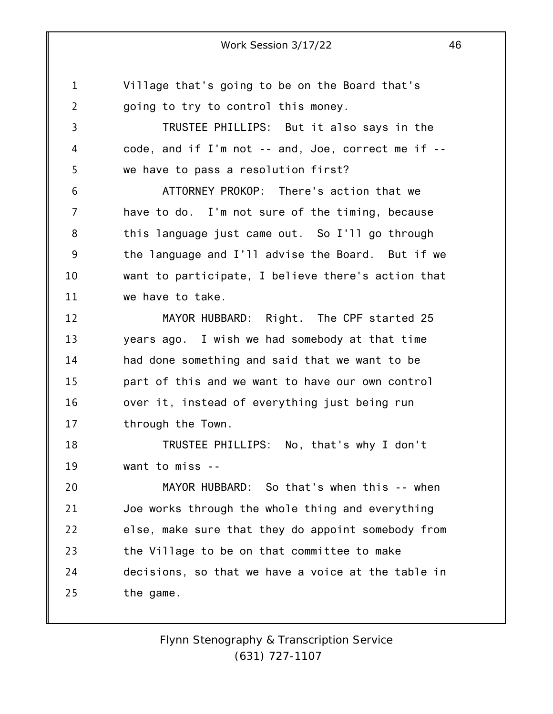1 2 3 4 5 6 7 8 9 10 11 12 13 14 15 16 17 18 19 20 21 22 23 24 25 Village that's going to be on the Board that's going to try to control this money. TRUSTEE PHILLIPS: But it also says in the code, and if I'm not -- and, Joe, correct me if - we have to pass a resolution first? ATTORNEY PROKOP: There's action that we have to do. I'm not sure of the timing, because this language just came out. So I'll go through the language and I'll advise the Board. But if we want to participate, I believe there's action that we have to take. MAYOR HUBBARD: Right. The CPF started 25 years ago. I wish we had somebody at that time had done something and said that we want to be part of this and we want to have our own control over it, instead of everything just being run through the Town. TRUSTEE PHILLIPS: No, that's why I don't want to miss -- MAYOR HUBBARD: So that's when this -- when Joe works through the whole thing and everything else, make sure that they do appoint somebody from the Village to be on that committee to make decisions, so that we have a voice at the table in the game.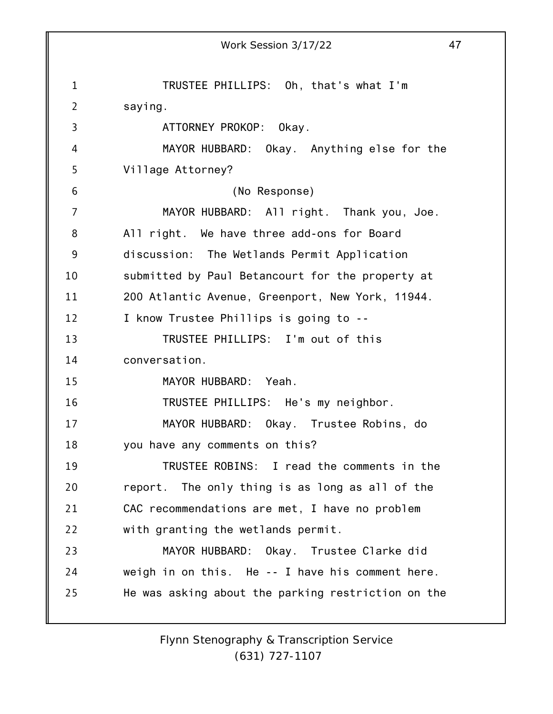1 2 3 4 5 6 7 8 9 10 11 12 13 14 15 16 17 18 19 20 21 22 23 24 25 Work Session 3/17/22 47 TRUSTEE PHILLIPS: Oh, that's what I'm saying. ATTORNEY PROKOP: Okay. MAYOR HUBBARD: Okay. Anything else for the Village Attorney? (No Response) MAYOR HUBBARD: All right. Thank you, Joe. All right. We have three add-ons for Board discussion: The Wetlands Permit Application submitted by Paul Betancourt for the property at 200 Atlantic Avenue, Greenport, New York, 11944. I know Trustee Phillips is going to -- TRUSTEE PHILLIPS: I'm out of this conversation. MAYOR HUBBARD: Yeah. TRUSTEE PHILLIPS: He's my neighbor. MAYOR HUBBARD: Okay. Trustee Robins, do you have any comments on this? TRUSTEE ROBINS: I read the comments in the report. The only thing is as long as all of the CAC recommendations are met, I have no problem with granting the wetlands permit. MAYOR HUBBARD: Okay. Trustee Clarke did weigh in on this. He -- I have his comment here. He was asking about the parking restriction on the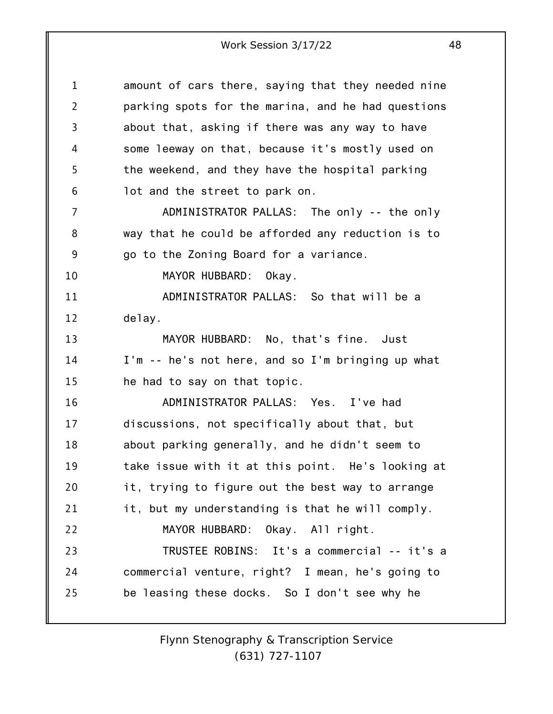| $\mathbf 1$    | amount of cars there, saying that they needed nine |
|----------------|----------------------------------------------------|
| $\overline{2}$ | parking spots for the marina, and he had questions |
| 3              | about that, asking if there was any way to have    |
| 4              | some leeway on that, because it's mostly used on   |
| 5              | the weekend, and they have the hospital parking    |
| 6              | lot and the street to park on.                     |
| $\overline{7}$ | ADMINISTRATOR PALLAS: The only -- the only         |
| 8              | way that he could be afforded any reduction is to  |
| 9              | go to the Zoning Board for a variance.             |
| 10             | MAYOR HUBBARD: Okay.                               |
| 11             | ADMINISTRATOR PALLAS: So that will be a            |
| 12             | delay.                                             |
| 13             | MAYOR HUBBARD: No, that's fine. Just               |
| 14             | I'm -- he's not here, and so I'm bringing up what  |
| 15             | he had to say on that topic.                       |
| 16             | ADMINISTRATOR PALLAS: Yes. I've had                |
| 17             | discussions, not specifically about that, but      |
| 18             | about parking generally, and he didn't seem to     |
| 19             | take issue with it at this point. He's looking at  |
| 20             | it, trying to figure out the best way to arrange   |
| 21             | it, but my understanding is that he will comply.   |
| 22             | MAYOR HUBBARD: Okay. All right.                    |
| 23             | TRUSTEE ROBINS: It's a commercial -- it's a        |
| 24             | commercial venture, right? I mean, he's going to   |
| 25             | be leasing these docks. So I don't see why he      |
|                |                                                    |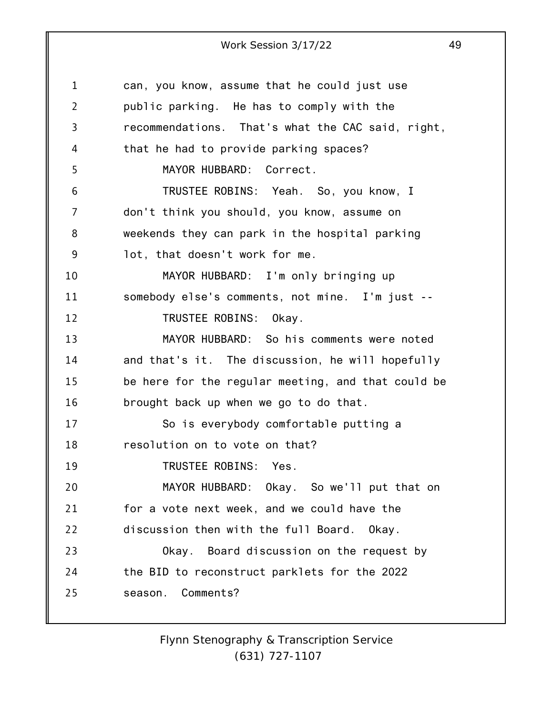| $\mathbf 1$    | can, you know, assume that he could just use       |
|----------------|----------------------------------------------------|
| $\overline{2}$ | public parking. He has to comply with the          |
| 3              | recommendations. That's what the CAC said, right,  |
| 4              | that he had to provide parking spaces?             |
| 5              | MAYOR HUBBARD: Correct.                            |
| 6              | TRUSTEE ROBINS: Yeah. So, you know, I              |
| 7              | don't think you should, you know, assume on        |
| 8              | weekends they can park in the hospital parking     |
| 9              | lot, that doesn't work for me.                     |
| 10             | MAYOR HUBBARD: I'm only bringing up                |
| 11             | somebody else's comments, not mine. I'm just --    |
| 12             | TRUSTEE ROBINS: Okay.                              |
| 13             | MAYOR HUBBARD: So his comments were noted          |
| 14             | and that's it. The discussion, he will hopefully   |
| 15             | be here for the regular meeting, and that could be |
| 16             | brought back up when we go to do that.             |
| 17             | So is everybody comfortable putting a              |
| 18             | resolution on to vote on that?                     |
| 19             | TRUSTEE ROBINS: Yes.                               |
| 20             | MAYOR HUBBARD: Okay. So we'll put that on          |
| 21             | for a vote next week, and we could have the        |
| 22             | discussion then with the full Board. Okay.         |
| 23             | Okay. Board discussion on the request by           |
| 24             | the BID to reconstruct parklets for the 2022       |
| 25             | season. Comments?                                  |
|                |                                                    |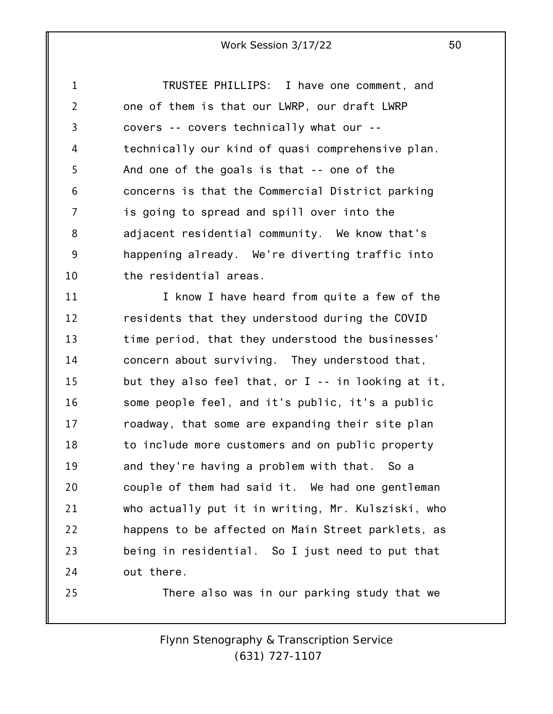1 2 3 4 5 6 7 8 9 10 TRUSTEE PHILLIPS: I have one comment, and one of them is that our LWRP, our draft LWRP covers -- covers technically what our - technically our kind of quasi comprehensive plan. And one of the goals is that -- one of the concerns is that the Commercial District parking is going to spread and spill over into the adjacent residential community. We know that's happening already. We're diverting traffic into the residential areas.

11 12 13 14 15 16 17 18 19 20 21 22 23 24 I know I have heard from quite a few of the residents that they understood during the COVID time period, that they understood the businesses' concern about surviving. They understood that, but they also feel that, or I -- in looking at it, some people feel, and it's public, it's a public roadway, that some are expanding their site plan to include more customers and on public property and they're having a problem with that. So a couple of them had said it. We had one gentleman who actually put it in writing, Mr. Kulsziski, who happens to be affected on Main Street parklets, as being in residential. So I just need to put that out there.

25

There also was in our parking study that we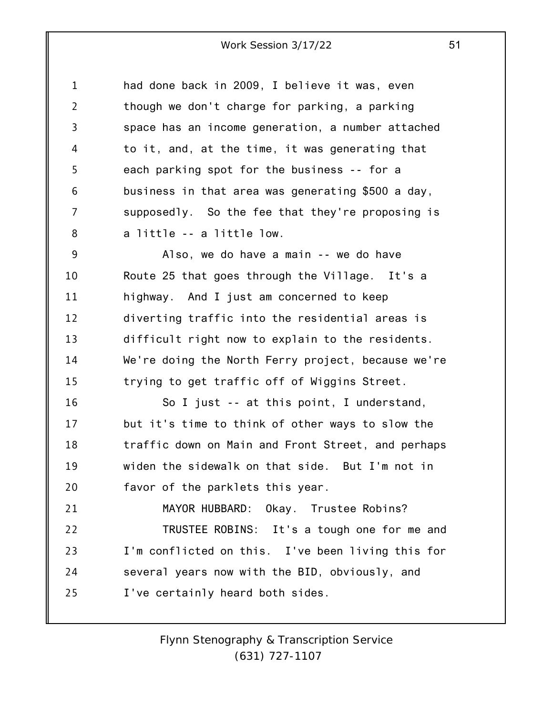1 2 3 4 5 6 7 8 had done back in 2009, I believe it was, even though we don't charge for parking, a parking space has an income generation, a number attached to it, and, at the time, it was generating that each parking spot for the business -- for a business in that area was generating \$500 a day, supposedly. So the fee that they're proposing is a little -- a little low.

9 10 11 12 13 14 15 Also, we do have a main -- we do have Route 25 that goes through the Village. It's a highway. And I just am concerned to keep diverting traffic into the residential areas is difficult right now to explain to the residents. We're doing the North Ferry project, because we're trying to get traffic off of Wiggins Street.

16 17 18 19 20 So I just -- at this point, I understand, but it's time to think of other ways to slow the traffic down on Main and Front Street, and perhaps widen the sidewalk on that side. But I'm not in favor of the parklets this year.

21 22 23 24 25 MAYOR HUBBARD: Okay. Trustee Robins? TRUSTEE ROBINS: It's a tough one for me and I'm conflicted on this. I've been living this for several years now with the BID, obviously, and I've certainly heard both sides.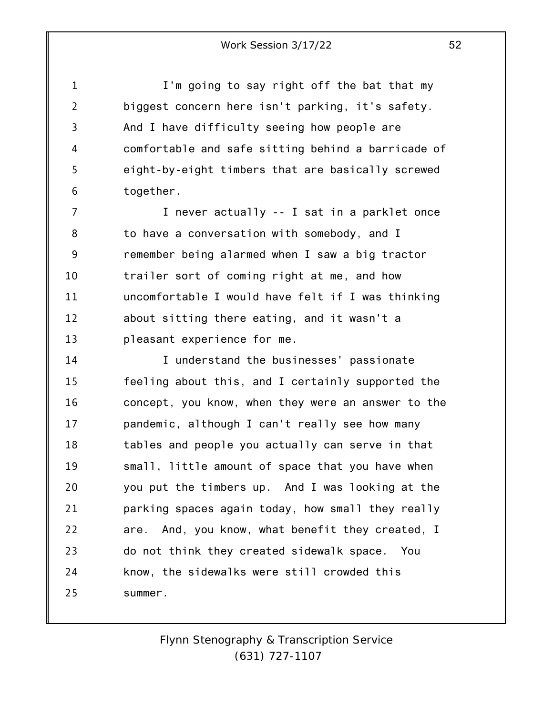1 2 3 4 5 6 I'm going to say right off the bat that my biggest concern here isn't parking, it's safety. And I have difficulty seeing how people are comfortable and safe sitting behind a barricade of eight-by-eight timbers that are basically screwed together.

7 8 9 10 11 12 13 I never actually -- I sat in a parklet once to have a conversation with somebody, and I remember being alarmed when I saw a big tractor trailer sort of coming right at me, and how uncomfortable I would have felt if I was thinking about sitting there eating, and it wasn't a pleasant experience for me.

14 15 16 17 18 19 20 21 22 23 24 25 I understand the businesses' passionate feeling about this, and I certainly supported the concept, you know, when they were an answer to the pandemic, although I can't really see how many tables and people you actually can serve in that small, little amount of space that you have when you put the timbers up. And I was looking at the parking spaces again today, how small they really are. And, you know, what benefit they created, I do not think they created sidewalk space. You know, the sidewalks were still crowded this summer.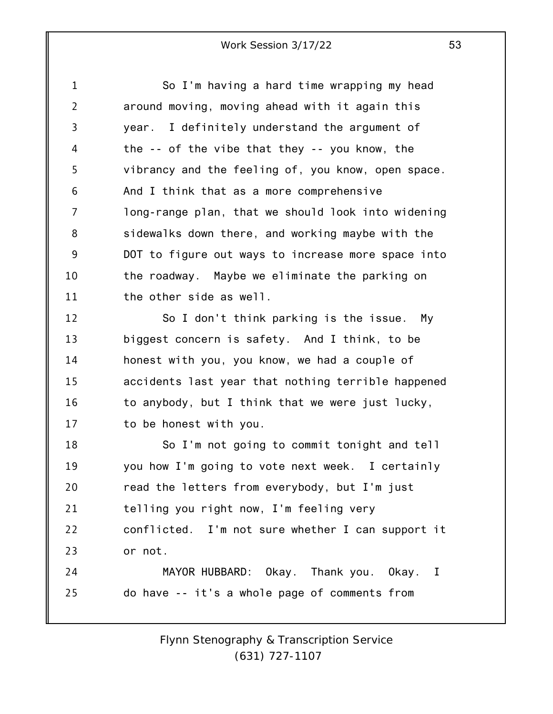1 2 3 4 5 6 7 8 9 10 11 12 So I'm having a hard time wrapping my head around moving, moving ahead with it again this year. I definitely understand the argument of the -- of the vibe that they -- you know, the vibrancy and the feeling of, you know, open space. And I think that as a more comprehensive long-range plan, that we should look into widening sidewalks down there, and working maybe with the DOT to figure out ways to increase more space into the roadway. Maybe we eliminate the parking on the other side as well. So I don't think parking is the issue. My

13 14 15 16 17 biggest concern is safety. And I think, to be honest with you, you know, we had a couple of accidents last year that nothing terrible happened to anybody, but I think that we were just lucky, to be honest with you.

18 19 20 21 22 23 So I'm not going to commit tonight and tell you how I'm going to vote next week. I certainly read the letters from everybody, but I'm just telling you right now, I'm feeling very conflicted. I'm not sure whether I can support it or not.

24 25 MAYOR HUBBARD: Okay. Thank you. Okay. I do have -- it's a whole page of comments from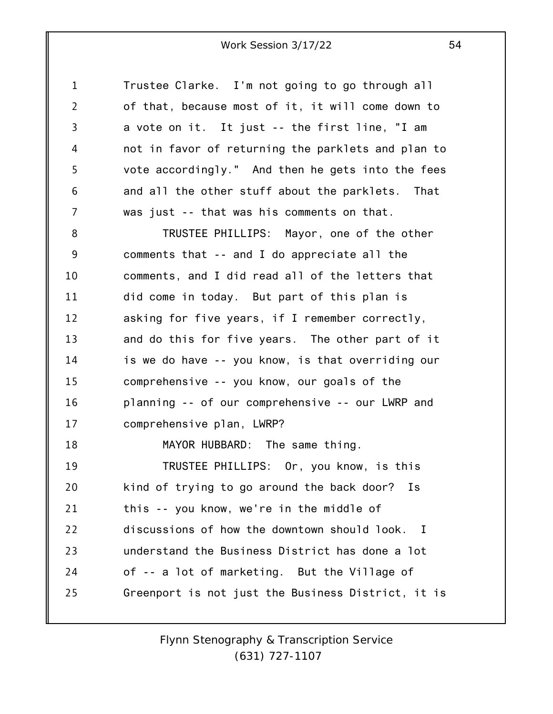1 2 3 4 5 6 7 Trustee Clarke. I'm not going to go through all of that, because most of it, it will come down to a vote on it. It just -- the first line, "I am not in favor of returning the parklets and plan to vote accordingly." And then he gets into the fees and all the other stuff about the parklets. That was just -- that was his comments on that.

8 9 10 11 12 13 14 15 16 17 18 19 20 21 22 TRUSTEE PHILLIPS: Mayor, one of the other comments that -- and I do appreciate all the comments, and I did read all of the letters that did come in today. But part of this plan is asking for five years, if I remember correctly, and do this for five years. The other part of it is we do have -- you know, is that overriding our comprehensive -- you know, our goals of the planning -- of our comprehensive -- our LWRP and comprehensive plan, LWRP? MAYOR HUBBARD: The same thing. TRUSTEE PHILLIPS: Or, you know, is this kind of trying to go around the back door? Is this -- you know, we're in the middle of discussions of how the downtown should look. I

23 24 25 understand the Business District has done a lot of -- a lot of marketing. But the Village of Greenport is not just the Business District, it is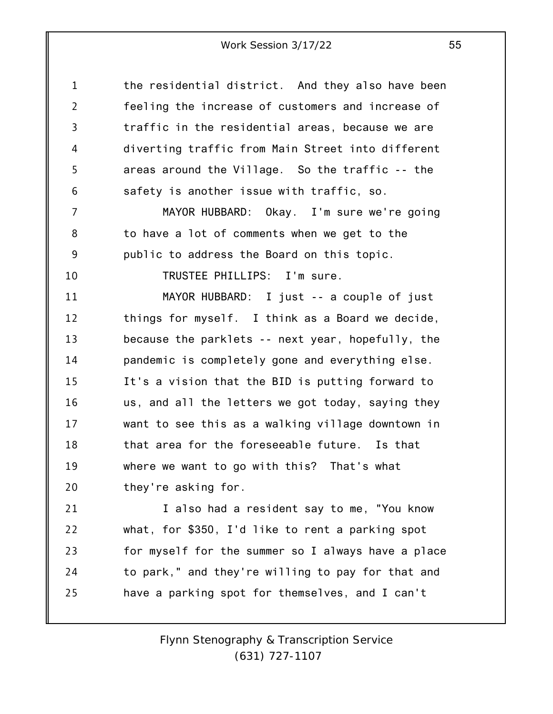1 2 3 4 5 6 7 8 9 10 11 12 13 14 15 16 17 18 19 20 21 22 23 24 25 the residential district. And they also have been feeling the increase of customers and increase of traffic in the residential areas, because we are diverting traffic from Main Street into different areas around the Village. So the traffic -- the safety is another issue with traffic, so. MAYOR HUBBARD: Okay. I'm sure we're going to have a lot of comments when we get to the public to address the Board on this topic. TRUSTEE PHILLIPS: I'm sure. MAYOR HUBBARD: I just -- a couple of just things for myself. I think as a Board we decide, because the parklets -- next year, hopefully, the pandemic is completely gone and everything else. It's a vision that the BID is putting forward to us, and all the letters we got today, saying they want to see this as a walking village downtown in that area for the foreseeable future. Is that where we want to go with this? That's what they're asking for. I also had a resident say to me, "You know what, for \$350, I'd like to rent a parking spot for myself for the summer so I always have a place to park," and they're willing to pay for that and have a parking spot for themselves, and I can't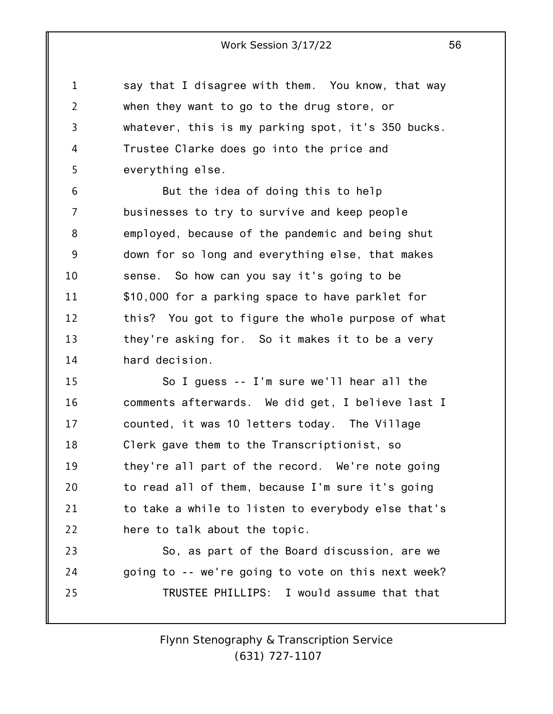1 2 3 4 5 say that I disagree with them. You know, that way when they want to go to the drug store, or whatever, this is my parking spot, it's 350 bucks. Trustee Clarke does go into the price and everything else.

6 7 8 9 10 11 12 13 14 But the idea of doing this to help businesses to try to survive and keep people employed, because of the pandemic and being shut down for so long and everything else, that makes sense. So how can you say it's going to be \$10,000 for a parking space to have parklet for this? You got to figure the whole purpose of what they're asking for. So it makes it to be a very hard decision.

15 16 17 18 19 20 21 22 So I guess -- I'm sure we'll hear all the comments afterwards. We did get, I believe last I counted, it was 10 letters today. The Village Clerk gave them to the Transcriptionist, so they're all part of the record. We're note going to read all of them, because I'm sure it's going to take a while to listen to everybody else that's here to talk about the topic.

23 24 25 So, as part of the Board discussion, are we going to -- we're going to vote on this next week? TRUSTEE PHILLIPS: I would assume that that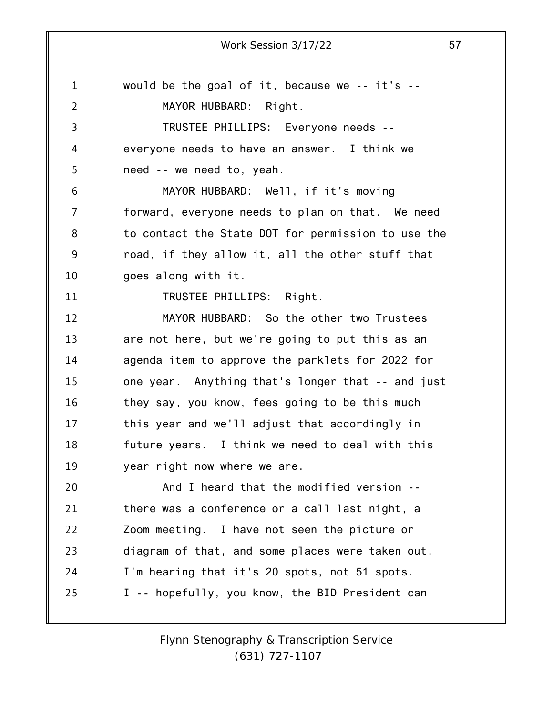1

2 3 4 5 6 7 8 9 10 11 12 13 14 15 16 17 18 19 20 21 22 23 24 25 *Flynn Stenography & Transcription Service (631) 727-1107* would be the goal of it, because we -- it's -- MAYOR HUBBARD: Right. TRUSTEE PHILLIPS: Everyone needs - everyone needs to have an answer. I think we need -- we need to, yeah. MAYOR HUBBARD: Well, if it's moving forward, everyone needs to plan on that. We need to contact the State DOT for permission to use the road, if they allow it, all the other stuff that goes along with it. TRUSTEE PHILLIPS: Right. MAYOR HUBBARD: So the other two Trustees are not here, but we're going to put this as an agenda item to approve the parklets for 2022 for one year. Anything that's longer that -- and just they say, you know, fees going to be this much this year and we'll adjust that accordingly in future years. I think we need to deal with this year right now where we are. And I heard that the modified version - there was a conference or a call last night, a Zoom meeting. I have not seen the picture or diagram of that, and some places were taken out. I'm hearing that it's 20 spots, not 51 spots. I -- hopefully, you know, the BID President can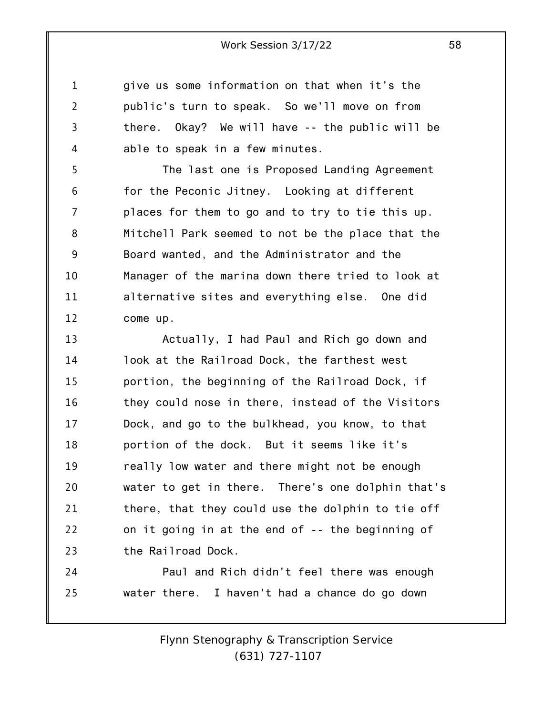give us some information on that when it's the public's turn to speak. So we'll move on from there. Okay? We will have -- the public will be able to speak in a few minutes.

1

2

3

4

5 6 7 8 9 10 11 12 The last one is Proposed Landing Agreement for the Peconic Jitney. Looking at different places for them to go and to try to tie this up. Mitchell Park seemed to not be the place that the Board wanted, and the Administrator and the Manager of the marina down there tried to look at alternative sites and everything else. One did come up.

13 14 15 16 17 18 19 20 21 22 23 Actually, I had Paul and Rich go down and look at the Railroad Dock, the farthest west portion, the beginning of the Railroad Dock, if they could nose in there, instead of the Visitors Dock, and go to the bulkhead, you know, to that portion of the dock. But it seems like it's really low water and there might not be enough water to get in there. There's one dolphin that's there, that they could use the dolphin to tie off on it going in at the end of -- the beginning of the Railroad Dock.

24 25 Paul and Rich didn't feel there was enough water there. I haven't had a chance do go down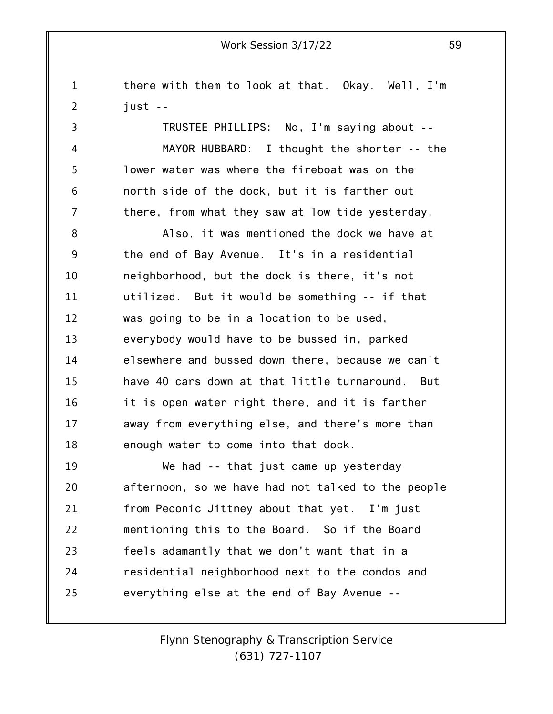1 2 3 4 5 6 7 8 9 10 11 12 13 14 15 16 17 18 19 20 21 22 23 there with them to look at that. Okay. Well, I'm just -- TRUSTEE PHILLIPS: No, I'm saying about -- MAYOR HUBBARD: I thought the shorter -- the lower water was where the fireboat was on the north side of the dock, but it is farther out there, from what they saw at low tide yesterday. Also, it was mentioned the dock we have at the end of Bay Avenue. It's in a residential neighborhood, but the dock is there, it's not utilized. But it would be something -- if that was going to be in a location to be used, everybody would have to be bussed in, parked elsewhere and bussed down there, because we can't have 40 cars down at that little turnaround. But it is open water right there, and it is farther away from everything else, and there's more than enough water to come into that dock. We had -- that just came up yesterday afternoon, so we have had not talked to the people from Peconic Jittney about that yet. I'm just mentioning this to the Board. So if the Board feels adamantly that we don't want that in a

everything else at the end of Bay Avenue --

24

25

*Flynn Stenography & Transcription Service (631) 727-1107*

residential neighborhood next to the condos and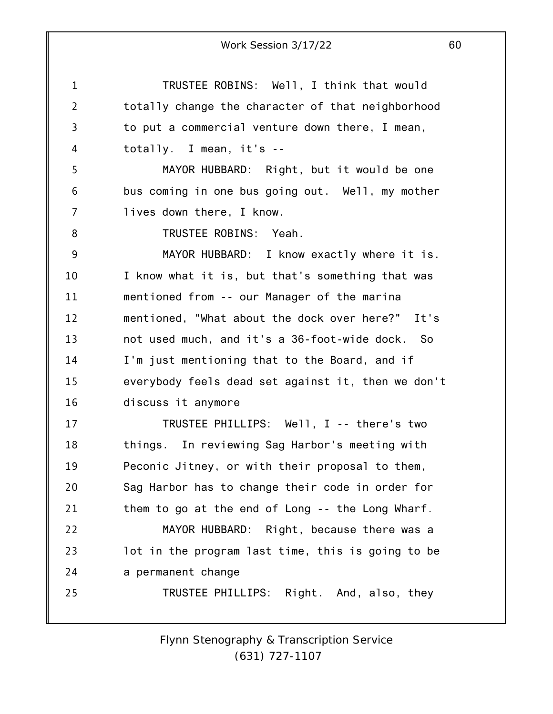1 2 3 4 5 6 7 8 9 10 11 12 13 14 15 16 17 18 19 20 21 22 23 24 25 Work Session 3/17/22 60 TRUSTEE ROBINS: Well, I think that would totally change the character of that neighborhood to put a commercial venture down there, I mean, totally. I mean, it's -- MAYOR HUBBARD: Right, but it would be one bus coming in one bus going out. Well, my mother lives down there, I know. TRUSTEE ROBINS: Yeah. MAYOR HUBBARD: I know exactly where it is. I know what it is, but that's something that was mentioned from -- our Manager of the marina mentioned, "What about the dock over here?" It's not used much, and it's a 36-foot-wide dock. So I'm just mentioning that to the Board, and if everybody feels dead set against it, then we don't discuss it anymore TRUSTEE PHILLIPS: Well, I -- there's two things. In reviewing Sag Harbor's meeting with Peconic Jitney, or with their proposal to them, Sag Harbor has to change their code in order for them to go at the end of Long -- the Long Wharf. MAYOR HUBBARD: Right, because there was a lot in the program last time, this is going to be a permanent change TRUSTEE PHILLIPS: Right. And, also, they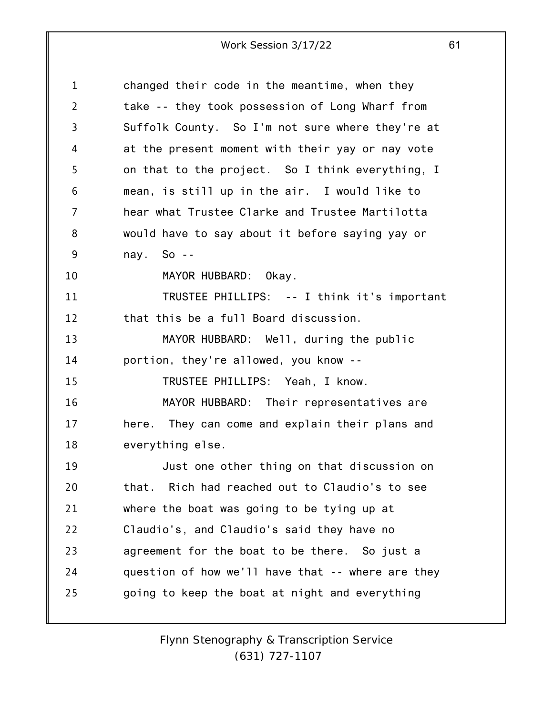| 1              | changed their code in the meantime, when they     |
|----------------|---------------------------------------------------|
| $\overline{2}$ | take -- they took possession of Long Wharf from   |
| 3              | Suffolk County. So I'm not sure where they're at  |
| 4              | at the present moment with their yay or nay vote  |
| 5              | on that to the project. So I think everything, I  |
| 6              | mean, is still up in the air. I would like to     |
| 7              | hear what Trustee Clarke and Trustee Martilotta   |
| 8              | would have to say about it before saying yay or   |
| 9              | nay. So $-$                                       |
| 10             | MAYOR HUBBARD: Okay.                              |
| 11             | TRUSTEE PHILLIPS: -- I think it's important       |
| 12             | that this be a full Board discussion.             |
| 13             | MAYOR HUBBARD: Well, during the public            |
| 14             | portion, they're allowed, you know --             |
| 15             | TRUSTEE PHILLIPS: Yeah, I know.                   |
| 16             | MAYOR HUBBARD: Their representatives are          |
| 17             | here. They can come and explain their plans and   |
| 18             | everything else.                                  |
| 19             | Just one other thing on that discussion on        |
| 20             | that. Rich had reached out to Claudio's to see    |
| 21             | where the boat was going to be tying up at        |
| 22             | Claudio's, and Claudio's said they have no        |
| 23             | agreement for the boat to be there. So just a     |
| 24             | question of how we'll have that -- where are they |
| 25             | going to keep the boat at night and everything    |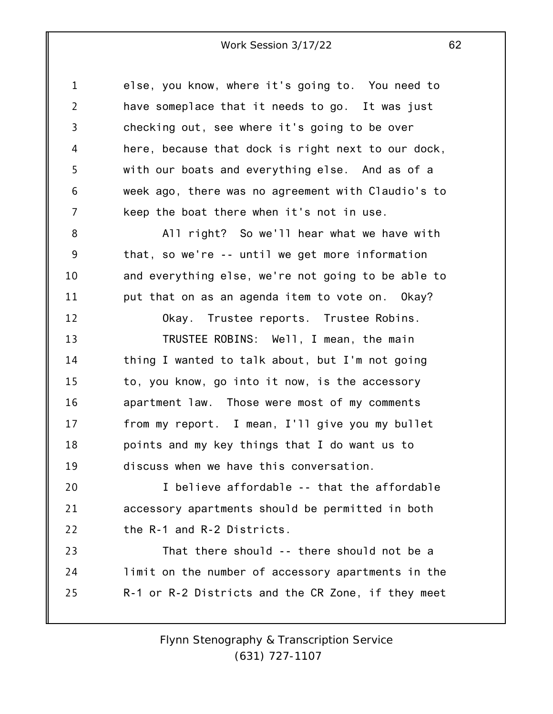1 2 3 4 5 6 7 8 9 10 11 12 13 14 15 16 17 18 19 20 21 22 23 24 25 else, you know, where it's going to. You need to have someplace that it needs to go. It was just checking out, see where it's going to be over here, because that dock is right next to our dock, with our boats and everything else. And as of a week ago, there was no agreement with Claudio's to keep the boat there when it's not in use. All right? So we'll hear what we have with that, so we're -- until we get more information and everything else, we're not going to be able to put that on as an agenda item to vote on. Okay? Okay. Trustee reports. Trustee Robins. TRUSTEE ROBINS: Well, I mean, the main thing I wanted to talk about, but I'm not going to, you know, go into it now, is the accessory apartment law. Those were most of my comments from my report. I mean, I'll give you my bullet points and my key things that I do want us to discuss when we have this conversation. I believe affordable -- that the affordable accessory apartments should be permitted in both the R-1 and R-2 Districts. That there should -- there should not be a limit on the number of accessory apartments in the R-1 or R-2 Districts and the CR Zone, if they meet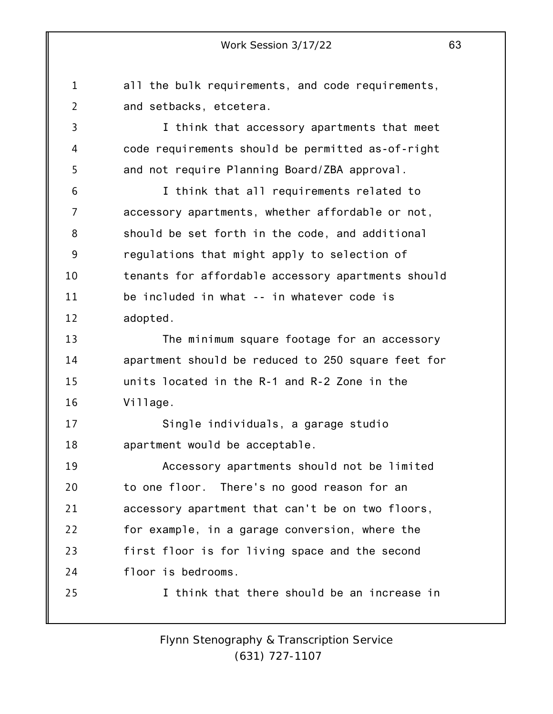all the bulk requirements, and code requirements,

1

2 3 4 5 6 7 8 9 10 11 12 13 14 15 16 17 18 19 20 21 22 23 24 25 *Flynn Stenography & Transcription Service* and setbacks, etcetera. I think that accessory apartments that meet code requirements should be permitted as-of-right and not require Planning Board/ZBA approval. I think that all requirements related to accessory apartments, whether affordable or not, should be set forth in the code, and additional regulations that might apply to selection of tenants for affordable accessory apartments should be included in what -- in whatever code is adopted. The minimum square footage for an accessory apartment should be reduced to 250 square feet for units located in the R-1 and R-2 Zone in the Village. Single individuals, a garage studio apartment would be acceptable. Accessory apartments should not be limited to one floor. There's no good reason for an accessory apartment that can't be on two floors, for example, in a garage conversion, where the first floor is for living space and the second floor is bedrooms. I think that there should be an increase in

*(631) 727-1107*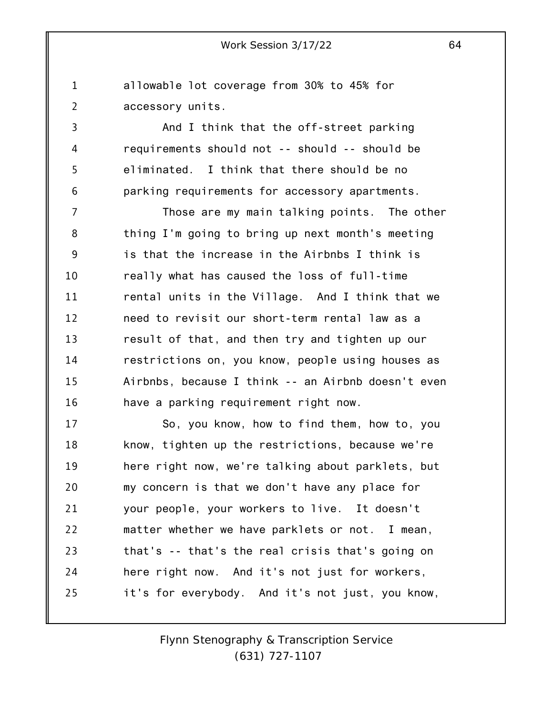allowable lot coverage from 30% to 45% for accessory units.

1

2

3

4

5

6

And I think that the off-street parking requirements should not -- should -- should be eliminated. I think that there should be no parking requirements for accessory apartments.

7 8 9 10 11 12 13 14 15 16 Those are my main talking points. The other thing I'm going to bring up next month's meeting is that the increase in the Airbnbs I think is really what has caused the loss of full-time rental units in the Village. And I think that we need to revisit our short-term rental law as a result of that, and then try and tighten up our restrictions on, you know, people using houses as Airbnbs, because I think -- an Airbnb doesn't even have a parking requirement right now.

17 18 19 20 21 22 23 24 25 So, you know, how to find them, how to, you know, tighten up the restrictions, because we're here right now, we're talking about parklets, but my concern is that we don't have any place for your people, your workers to live. It doesn't matter whether we have parklets or not. I mean, that's -- that's the real crisis that's going on here right now. And it's not just for workers, it's for everybody. And it's not just, you know,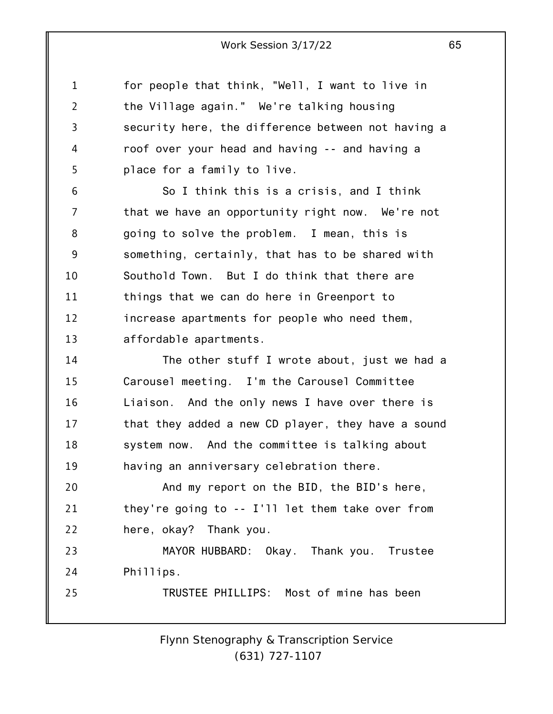1 2 3 4 5 for people that think, "Well, I want to live in the Village again." We're talking housing security here, the difference between not having a roof over your head and having -- and having a place for a family to live.

6 7 8 9 10 11 12 13 So I think this is a crisis, and I think that we have an opportunity right now. We're not going to solve the problem. I mean, this is something, certainly, that has to be shared with Southold Town. But I do think that there are things that we can do here in Greenport to increase apartments for people who need them, affordable apartments.

14 15 16 17 18 19 The other stuff I wrote about, just we had a Carousel meeting. I'm the Carousel Committee Liaison. And the only news I have over there is that they added a new CD player, they have a sound system now. And the committee is talking about having an anniversary celebration there.

20 21 22 And my report on the BID, the BID's here, they're going to -- I'll let them take over from here, okay? Thank you.

23 24 MAYOR HUBBARD: Okay. Thank you. Trustee Phillips.

25 TRUSTEE PHILLIPS: Most of mine has been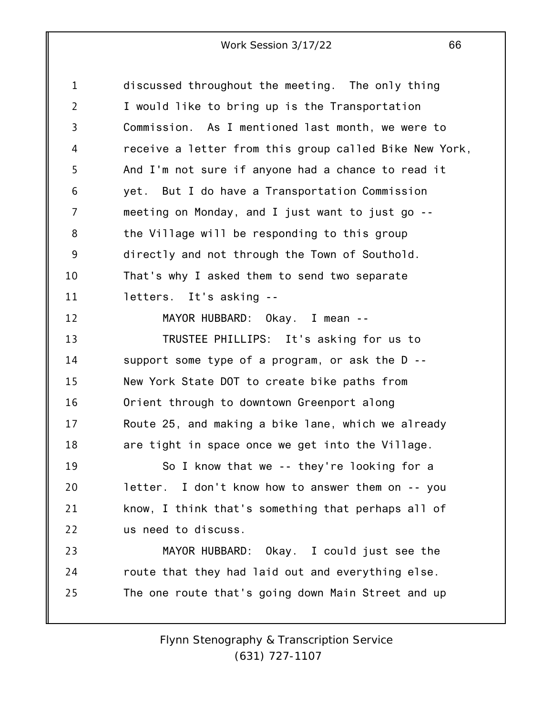| $\mathbf 1$    | discussed throughout the meeting. The only thing       |
|----------------|--------------------------------------------------------|
| $\overline{2}$ | I would like to bring up is the Transportation         |
| 3              | Commission. As I mentioned last month, we were to      |
| 4              | receive a letter from this group called Bike New York, |
| 5              | And I'm not sure if anyone had a chance to read it     |
| 6              | yet. But I do have a Transportation Commission         |
| $\overline{7}$ | meeting on Monday, and I just want to just go --       |
| 8              | the Village will be responding to this group           |
| 9              | directly and not through the Town of Southold.         |
| 10             | That's why I asked them to send two separate           |
| 11             | letters. It's asking --                                |
| 12             | MAYOR HUBBARD: Okay. I mean --                         |
| 13             | TRUSTEE PHILLIPS: It's asking for us to                |
| 14             | support some type of a program, or ask the D --        |
| 15             | New York State DOT to create bike paths from           |
| 16             | Orient through to downtown Greenport along             |
| 17             | Route 25, and making a bike lane, which we already     |
| 18             | are tight in space once we get into the Village.       |
| 19             | So I know that we -- they're looking for a             |
| 20             | letter. I don't know how to answer them on -- you      |
| 21             | know, I think that's something that perhaps all of     |
| 22             | us need to discuss.                                    |
| 23             | MAYOR HUBBARD: Okay. I could just see the              |
| 24             | route that they had laid out and everything else.      |
| 25             | The one route that's going down Main Street and up     |
|                |                                                        |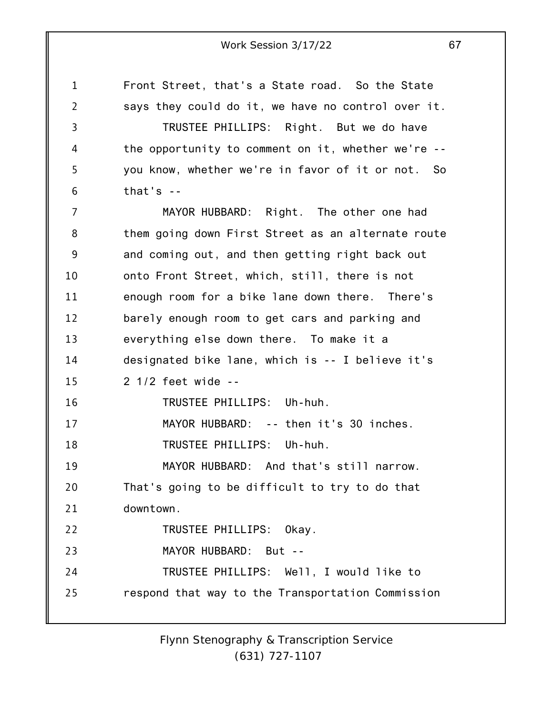1 2 3 4 5 6 7 8 9 10 11 12 13 14 15 16 17 18 19 20 21 22 23 24 25 Front Street, that's a State road. So the State says they could do it, we have no control over it. TRUSTEE PHILLIPS: Right. But we do have the opportunity to comment on it, whether we're - you know, whether we're in favor of it or not. So that's  $-$ MAYOR HUBBARD: Right. The other one had them going down First Street as an alternate route and coming out, and then getting right back out onto Front Street, which, still, there is not enough room for a bike lane down there. There's barely enough room to get cars and parking and everything else down there. To make it a designated bike lane, which is -- I believe it's 2 1/2 feet wide -- TRUSTEE PHILLIPS: Uh-huh. MAYOR HUBBARD: -- then it's 30 inches. TRUSTEE PHILLIPS: Uh-huh. MAYOR HUBBARD: And that's still narrow. That's going to be difficult to try to do that downtown. TRUSTEE PHILLIPS: Okay. MAYOR HUBBARD: But -- TRUSTEE PHILLIPS: Well, I would like to respond that way to the Transportation Commission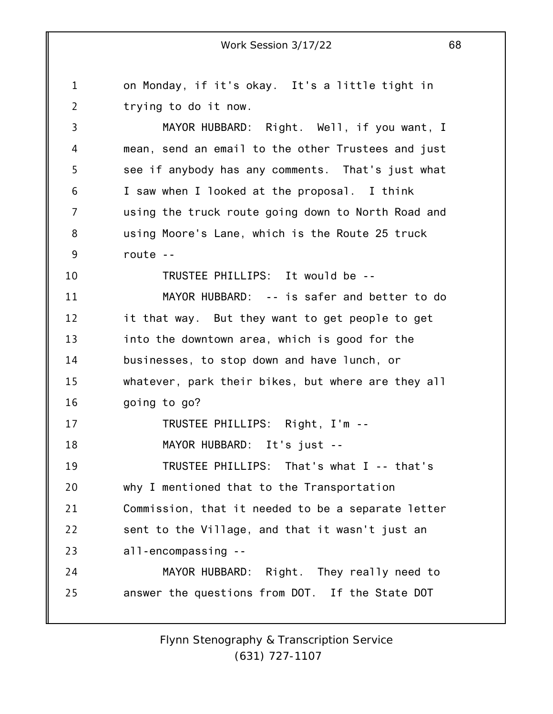1 2 3 4 5 6 7 8 9 10 11 12 13 14 15 16 17 18 19 20 21 22 23 24 25 on Monday, if it's okay. It's a little tight in trying to do it now. MAYOR HUBBARD: Right. Well, if you want, I mean, send an email to the other Trustees and just see if anybody has any comments. That's just what I saw when I looked at the proposal. I think using the truck route going down to North Road and using Moore's Lane, which is the Route 25 truck route -- TRUSTEE PHILLIPS: It would be -- MAYOR HUBBARD: -- is safer and better to do it that way. But they want to get people to get into the downtown area, which is good for the businesses, to stop down and have lunch, or whatever, park their bikes, but where are they all going to go? TRUSTEE PHILLIPS: Right, I'm -- MAYOR HUBBARD: It's just -- TRUSTEE PHILLIPS: That's what I -- that's why I mentioned that to the Transportation Commission, that it needed to be a separate letter sent to the Village, and that it wasn't just an all-encompassing -- MAYOR HUBBARD: Right. They really need to answer the questions from DOT. If the State DOT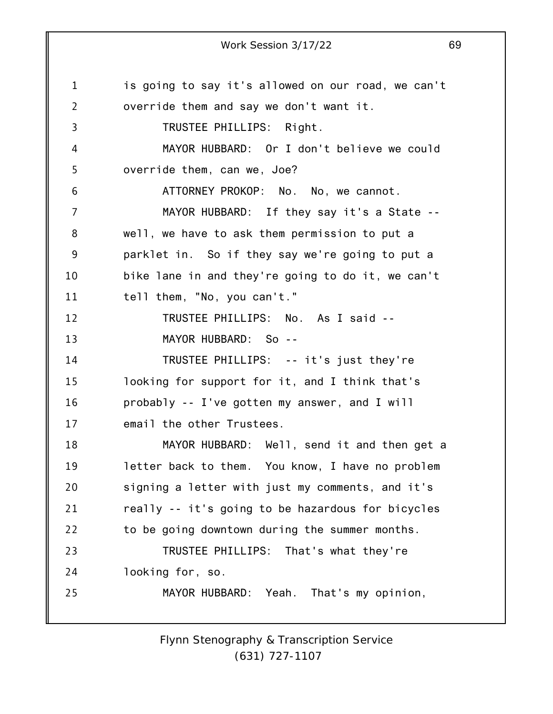1 2 3 4 5 6 7 8 9 10 11 12 13 14 15 16 17 18 19 20 21 22 23 24 25 Work Session 3/17/22 69 is going to say it's allowed on our road, we can't override them and say we don't want it. TRUSTEE PHILLIPS: Right. MAYOR HUBBARD: Or I don't believe we could override them, can we, Joe? ATTORNEY PROKOP: No. No, we cannot. MAYOR HUBBARD: If they say it's a State - well, we have to ask them permission to put a parklet in. So if they say we're going to put a bike lane in and they're going to do it, we can't tell them, "No, you can't." TRUSTEE PHILLIPS: No. As I said -- MAYOR HUBBARD: So -- TRUSTEE PHILLIPS: -- it's just they're looking for support for it, and I think that's probably -- I've gotten my answer, and I will email the other Trustees. MAYOR HUBBARD: Well, send it and then get a letter back to them. You know, I have no problem signing a letter with just my comments, and it's really -- it's going to be hazardous for bicycles to be going downtown during the summer months. TRUSTEE PHILLIPS: That's what they're looking for, so. MAYOR HUBBARD: Yeah. That's my opinion,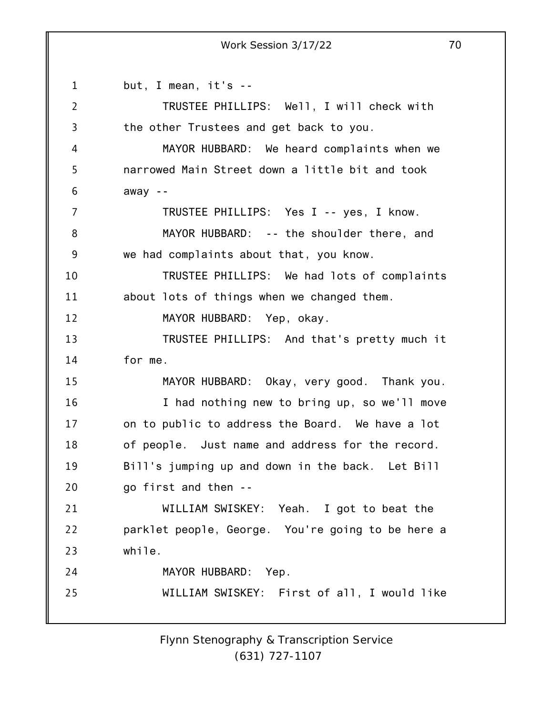1 2 3 4 5 6 7 8 9 10 11 12 13 14 15 16 17 18 19 20 21 22 23 24 25 but, I mean, it's -- TRUSTEE PHILLIPS: Well, I will check with the other Trustees and get back to you. MAYOR HUBBARD: We heard complaints when we narrowed Main Street down a little bit and took away -- TRUSTEE PHILLIPS: Yes I -- yes, I know. MAYOR HUBBARD: -- the shoulder there, and we had complaints about that, you know. TRUSTEE PHILLIPS: We had lots of complaints about lots of things when we changed them. MAYOR HUBBARD: Yep, okay. TRUSTEE PHILLIPS: And that's pretty much it for me. MAYOR HUBBARD: Okay, very good. Thank you. I had nothing new to bring up, so we'll move on to public to address the Board. We have a lot of people. Just name and address for the record. Bill's jumping up and down in the back. Let Bill go first and then -- WILLIAM SWISKEY: Yeah. I got to beat the parklet people, George. You're going to be here a while. MAYOR HUBBARD: Yep. WILLIAM SWISKEY: First of all, I would like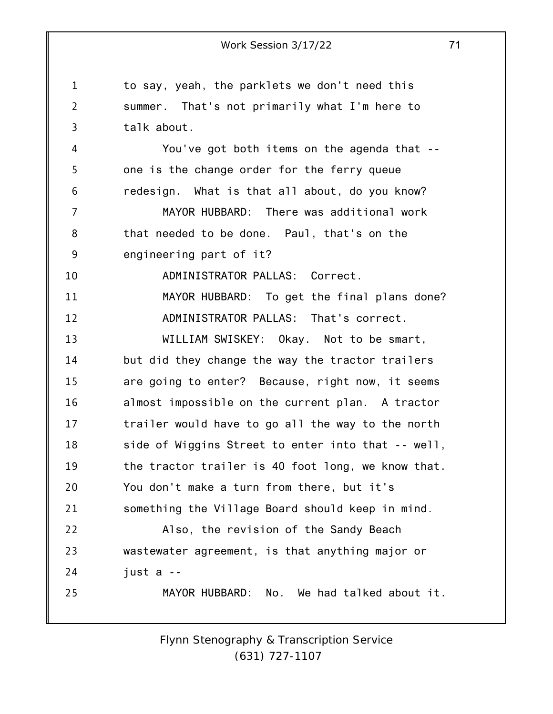1 2 3 4 5 6 7 8 9 10 11 12 13 14 15 16 17 18 19 20 21 22 23 24 25 Work Session 3/17/22 71 to say, yeah, the parklets we don't need this summer. That's not primarily what I'm here to talk about. You've got both items on the agenda that - one is the change order for the ferry queue redesign. What is that all about, do you know? MAYOR HUBBARD: There was additional work that needed to be done. Paul, that's on the engineering part of it? ADMINISTRATOR PALLAS: Correct. MAYOR HUBBARD: To get the final plans done? ADMINISTRATOR PALLAS: That's correct. WILLIAM SWISKEY: Okay. Not to be smart, but did they change the way the tractor trailers are going to enter? Because, right now, it seems almost impossible on the current plan. A tractor trailer would have to go all the way to the north side of Wiggins Street to enter into that -- well, the tractor trailer is 40 foot long, we know that. You don't make a turn from there, but it's something the Village Board should keep in mind. Also, the revision of the Sandy Beach wastewater agreement, is that anything major or just a -- MAYOR HUBBARD: No. We had talked about it.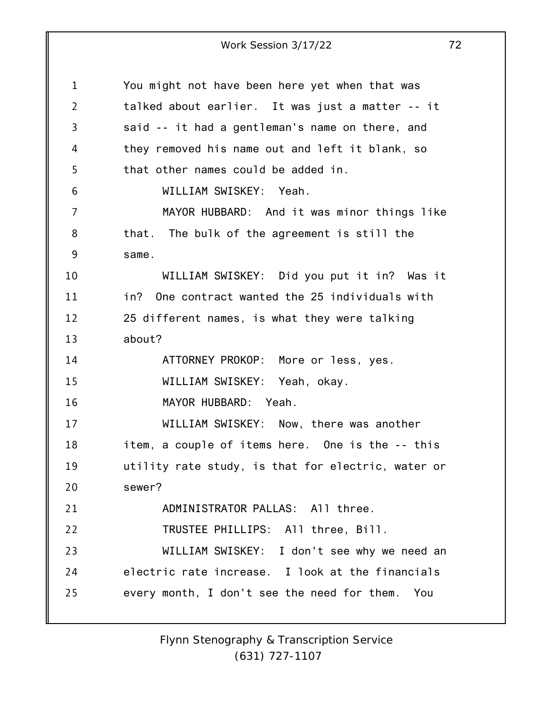| 1              | You might not have been here yet when that was     |
|----------------|----------------------------------------------------|
| $\overline{2}$ | talked about earlier. It was just a matter -- it   |
| 3              | said -- it had a gentleman's name on there, and    |
| 4              | they removed his name out and left it blank, so    |
| 5              | that other names could be added in.                |
| 6              | WILLIAM SWISKEY: Yeah.                             |
| $\overline{7}$ | MAYOR HUBBARD: And it was minor things like        |
| 8              | that. The bulk of the agreement is still the       |
| 9              | same.                                              |
| 10             | WILLIAM SWISKEY: Did you put it in? Was it         |
| 11             | in? One contract wanted the 25 individuals with    |
| 12             | 25 different names, is what they were talking      |
| 13             | about?                                             |
| 14             | ATTORNEY PROKOP: More or less, yes.                |
| 15             | WILLIAM SWISKEY: Yeah, okay.                       |
| 16             | MAYOR HUBBARD: Yeah.                               |
| 17             | WILLIAM SWISKEY: Now, there was another            |
| 18             | item, a couple of items here. One is the -- this   |
| 19             | utility rate study, is that for electric, water or |
| 20             | sewer?                                             |
| 21             | ADMINISTRATOR PALLAS: All three.                   |
| 22             | TRUSTEE PHILLIPS: All three, Bill.                 |
| 23             | WILLIAM SWISKEY: I don't see why we need an        |
| 24             | electric rate increase. I look at the financials   |
| 25             | every month, I don't see the need for them. You    |
|                |                                                    |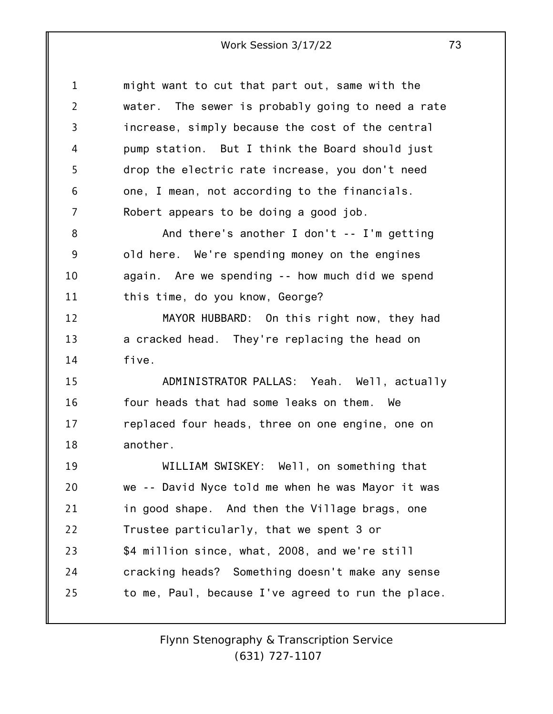| $\mathbf 1$    | might want to cut that part out, same with the     |
|----------------|----------------------------------------------------|
| $\overline{2}$ | water. The sewer is probably going to need a rate  |
| 3              | increase, simply because the cost of the central   |
| 4              | pump station. But I think the Board should just    |
| 5              | drop the electric rate increase, you don't need    |
| 6              | one, I mean, not according to the financials.      |
| 7              | Robert appears to be doing a good job.             |
| 8              | And there's another I don't $-$ - I'm getting      |
| 9              | old here. We're spending money on the engines      |
| 10             | again. Are we spending -- how much did we spend    |
| 11             | this time, do you know, George?                    |
| 12             | MAYOR HUBBARD: On this right now, they had         |
| 13             | a cracked head. They're replacing the head on      |
| 14             | five.                                              |
| 15             | ADMINISTRATOR PALLAS: Yeah. Well, actually         |
| 16             | four heads that had some leaks on them. We         |
| 17             | replaced four heads, three on one engine, one on   |
| 18             | another.                                           |
| 19             | WILLIAM SWISKEY: Well, on something that           |
| 20             | we -- David Nyce told me when he was Mayor it was  |
| 21             | in good shape. And then the Village brags, one     |
| 22             | Trustee particularly, that we spent 3 or           |
| 23             | \$4 million since, what, 2008, and we're still     |
| 24             | cracking heads? Something doesn't make any sense   |
| 25             | to me, Paul, because I've agreed to run the place. |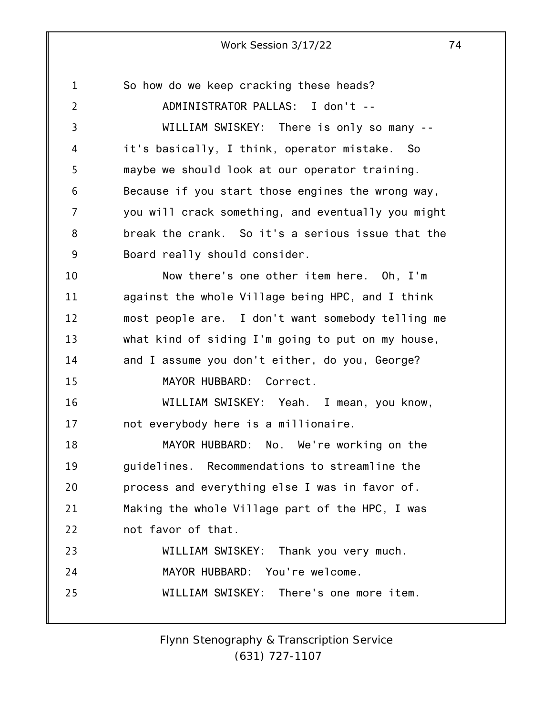1 2 3 4 5 6 7 8 9 10 11 12 13 14 15 16 17 18 19 20 21 22 23 24 25 So how do we keep cracking these heads? ADMINISTRATOR PALLAS: I don't -- WILLIAM SWISKEY: There is only so many - it's basically, I think, operator mistake. So maybe we should look at our operator training. Because if you start those engines the wrong way, you will crack something, and eventually you might break the crank. So it's a serious issue that the Board really should consider. Now there's one other item here. Oh, I'm against the whole Village being HPC, and I think most people are. I don't want somebody telling me what kind of siding I'm going to put on my house, and I assume you don't either, do you, George? MAYOR HUBBARD: Correct. WILLIAM SWISKEY: Yeah. I mean, you know, not everybody here is a millionaire. MAYOR HUBBARD: No. We're working on the guidelines. Recommendations to streamline the process and everything else I was in favor of. Making the whole Village part of the HPC, I was not favor of that. WILLIAM SWISKEY: Thank you very much. MAYOR HUBBARD: You're welcome. WILLIAM SWISKEY: There's one more item.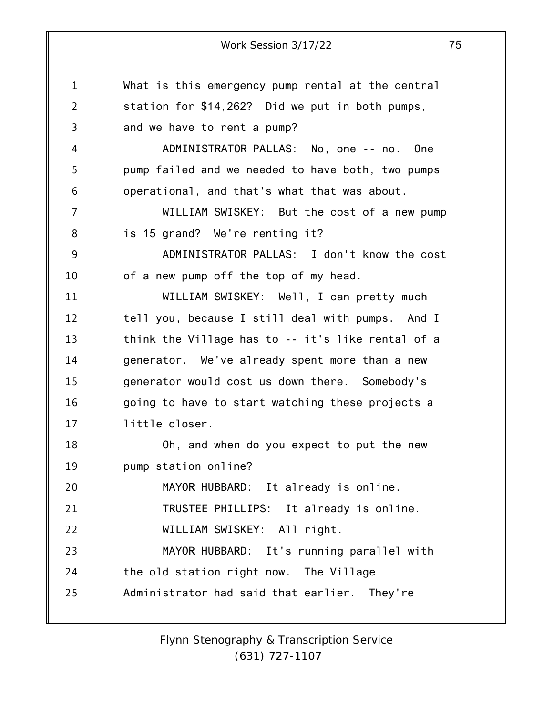1 2 3 4 5 6 7 8 9 10 11 12 13 14 15 16 17 18 19 20 21 22 23 24 25 Work Session 3/17/22 75 What is this emergency pump rental at the central station for \$14,262? Did we put in both pumps, and we have to rent a pump? ADMINISTRATOR PALLAS: No, one -- no. One pump failed and we needed to have both, two pumps operational, and that's what that was about. WILLIAM SWISKEY: But the cost of a new pump is 15 grand? We're renting it? ADMINISTRATOR PALLAS: I don't know the cost of a new pump off the top of my head. WILLIAM SWISKEY: Well, I can pretty much tell you, because I still deal with pumps. And I think the Village has to -- it's like rental of a generator. We've already spent more than a new generator would cost us down there. Somebody's going to have to start watching these projects a little closer. Oh, and when do you expect to put the new pump station online? MAYOR HUBBARD: It already is online. TRUSTEE PHILLIPS: It already is online. WILLIAM SWISKEY: All right. MAYOR HUBBARD: It's running parallel with the old station right now. The Village Administrator had said that earlier. They're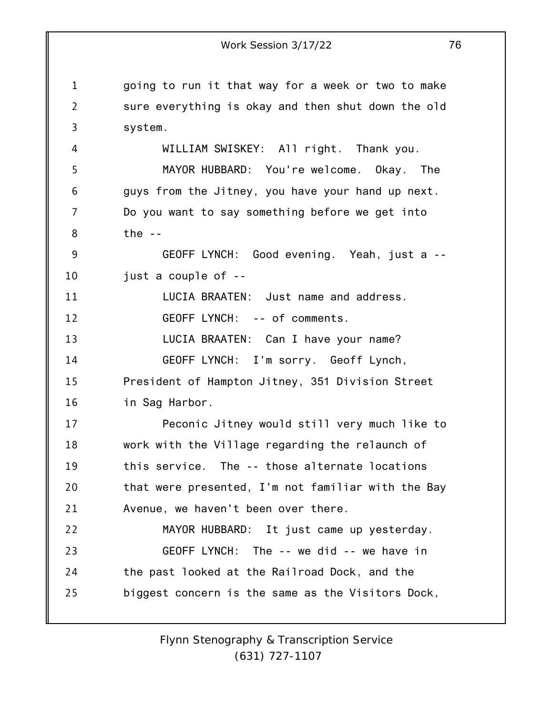1 2 3 4 5 6 7 8 9 10 11 12 13 14 15 16 17 18 19 20 21 22 23 24 25 Work Session 3/17/22 76 going to run it that way for a week or two to make sure everything is okay and then shut down the old system. WILLIAM SWISKEY: All right. Thank you. MAYOR HUBBARD: You're welcome. Okay. The guys from the Jitney, you have your hand up next. Do you want to say something before we get into the  $-$ GEOFF LYNCH: Good evening. Yeah, just a - just a couple of -- LUCIA BRAATEN: Just name and address. GEOFF LYNCH: -- of comments. LUCIA BRAATEN: Can I have your name? GEOFF LYNCH: I'm sorry. Geoff Lynch, President of Hampton Jitney, 351 Division Street in Sag Harbor. Peconic Jitney would still very much like to work with the Village regarding the relaunch of this service. The -- those alternate locations that were presented, I'm not familiar with the Bay Avenue, we haven't been over there. MAYOR HUBBARD: It just came up yesterday. GEOFF LYNCH: The -- we did -- we have in the past looked at the Railroad Dock, and the biggest concern is the same as the Visitors Dock,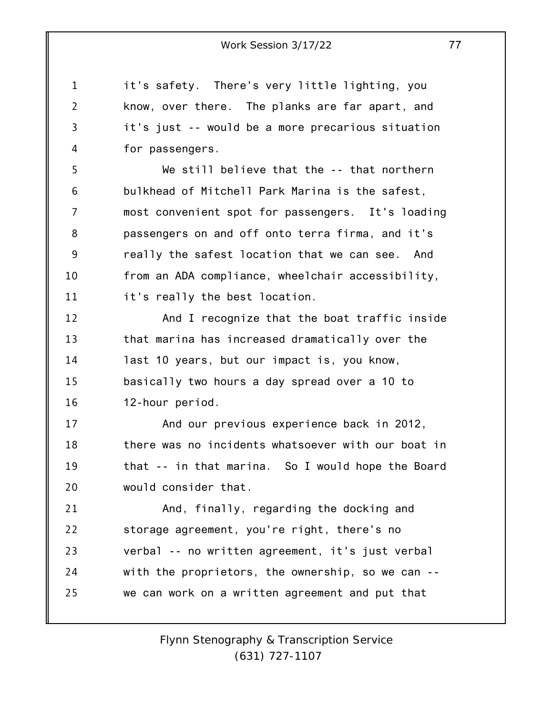it's safety. There's very little lighting, you know, over there. The planks are far apart, and it's just -- would be a more precarious situation for passengers.

1

2

3

4

5 6 7 8 9 10 11 We still believe that the -- that northern bulkhead of Mitchell Park Marina is the safest, most convenient spot for passengers. It's loading passengers on and off onto terra firma, and it's really the safest location that we can see. And from an ADA compliance, wheelchair accessibility, it's really the best location.

12 13 14 15 16 And I recognize that the boat traffic inside that marina has increased dramatically over the last 10 years, but our impact is, you know, basically two hours a day spread over a 10 to 12-hour period.

17 18 19 20 And our previous experience back in 2012, there was no incidents whatsoever with our boat in that -- in that marina. So I would hope the Board would consider that.

21 22 23 24 25 And, finally, regarding the docking and storage agreement, you're right, there's no verbal -- no written agreement, it's just verbal with the proprietors, the ownership, so we can - we can work on a written agreement and put that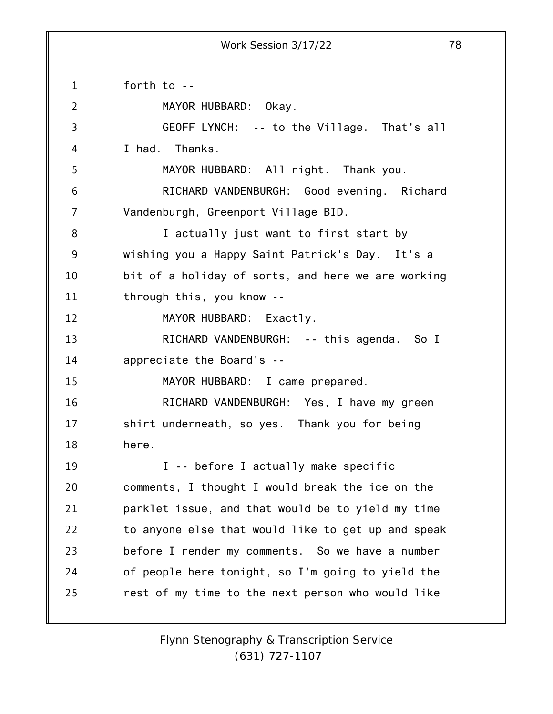1 2 3 4 5 6 7 8 9 10 11 12 13 14 15 16 17 18 19 20 21 22 23 24 25 forth to -- MAYOR HUBBARD: Okay. GEOFF LYNCH: -- to the Village. That's all I had. Thanks. MAYOR HUBBARD: All right. Thank you. RICHARD VANDENBURGH: Good evening. Richard Vandenburgh, Greenport Village BID. I actually just want to first start by wishing you a Happy Saint Patrick's Day. It's a bit of a holiday of sorts, and here we are working through this, you know -- MAYOR HUBBARD: Exactly. RICHARD VANDENBURGH: -- this agenda. So I appreciate the Board's -- MAYOR HUBBARD: I came prepared. RICHARD VANDENBURGH: Yes, I have my green shirt underneath, so yes. Thank you for being here. I -- before I actually make specific comments, I thought I would break the ice on the parklet issue, and that would be to yield my time to anyone else that would like to get up and speak before I render my comments. So we have a number of people here tonight, so I'm going to yield the rest of my time to the next person who would like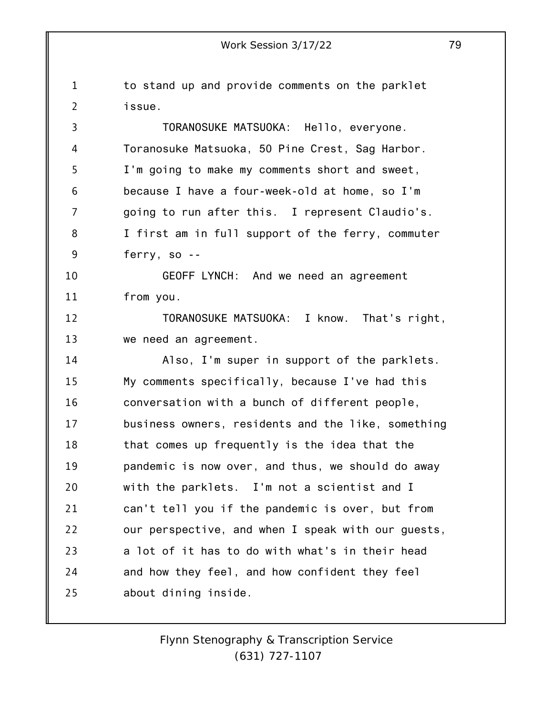1 2 3 4 5 6 7 8 9 10 11 12 13 14 15 16 17 18 19 20 21 22 23 24 25 Work Session 3/17/22 79 to stand up and provide comments on the parklet issue. TORANOSUKE MATSUOKA: Hello, everyone. Toranosuke Matsuoka, 50 Pine Crest, Sag Harbor. I'm going to make my comments short and sweet, because I have a four-week-old at home, so I'm going to run after this. I represent Claudio's. I first am in full support of the ferry, commuter ferry, so -- GEOFF LYNCH: And we need an agreement from you. TORANOSUKE MATSUOKA: I know. That's right, we need an agreement. Also, I'm super in support of the parklets. My comments specifically, because I've had this conversation with a bunch of different people, business owners, residents and the like, something that comes up frequently is the idea that the pandemic is now over, and thus, we should do away with the parklets. I'm not a scientist and I can't tell you if the pandemic is over, but from our perspective, and when I speak with our guests, a lot of it has to do with what's in their head and how they feel, and how confident they feel about dining inside.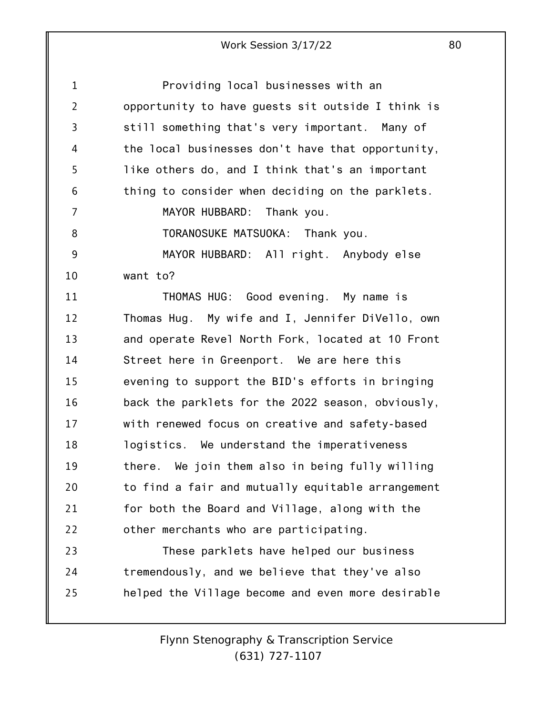| 1              | Providing local businesses with an                |
|----------------|---------------------------------------------------|
| $\overline{2}$ | opportunity to have guests sit outside I think is |
| 3              | still something that's very important. Many of    |
| 4              | the local businesses don't have that opportunity, |
| 5              | like others do, and I think that's an important   |
| 6              | thing to consider when deciding on the parklets.  |
| 7              | MAYOR HUBBARD: Thank you.                         |
| 8              | TORANOSUKE MATSUOKA: Thank you.                   |
| 9              | MAYOR HUBBARD: All right. Anybody else            |
| 10             | want to?                                          |
| 11             | THOMAS HUG: Good evening. My name is              |
| 12             | Thomas Hug. My wife and I, Jennifer DiVello, own  |
| 13             | and operate Revel North Fork, located at 10 Front |
| 14             | Street here in Greenport. We are here this        |
| 15             | evening to support the BID's efforts in bringing  |
| 16             | back the parklets for the 2022 season, obviously, |
| 17             | with renewed focus on creative and safety-based   |
| 18             | logistics. We understand the imperativeness       |
| 19             | there. We join them also in being fully willing   |
| 20             | to find a fair and mutually equitable arrangement |
| 21             | for both the Board and Village, along with the    |
| 22             | other merchants who are participating.            |
| 23             | These parklets have helped our business           |
| 24             | tremendously, and we believe that they've also    |
| 25             | helped the Village become and even more desirable |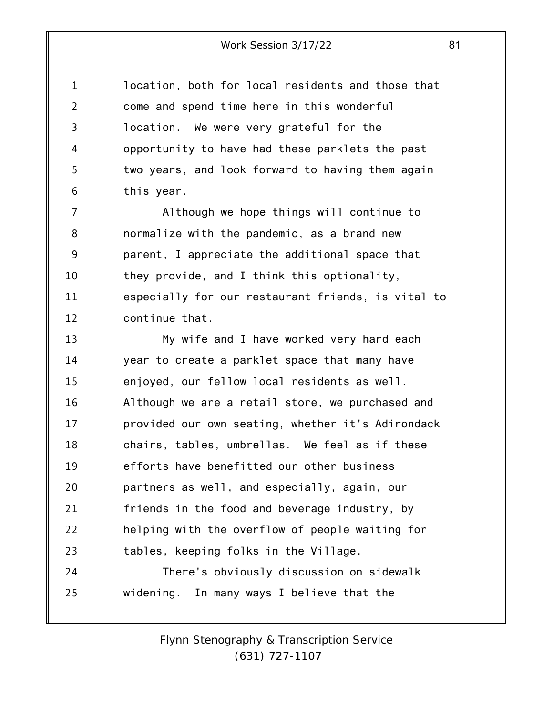1 2 3 4 5 6 location, both for local residents and those that come and spend time here in this wonderful location. We were very grateful for the opportunity to have had these parklets the past two years, and look forward to having them again this year.

7 8 9 10 11 12 Although we hope things will continue to normalize with the pandemic, as a brand new parent, I appreciate the additional space that they provide, and I think this optionality, especially for our restaurant friends, is vital to continue that.

13 14 15 16 17 18 19 20 21 22 23 24 My wife and I have worked very hard each year to create a parklet space that many have enjoyed, our fellow local residents as well. Although we are a retail store, we purchased and provided our own seating, whether it's Adirondack chairs, tables, umbrellas. We feel as if these efforts have benefitted our other business partners as well, and especially, again, our friends in the food and beverage industry, by helping with the overflow of people waiting for tables, keeping folks in the Village. There's obviously discussion on sidewalk

25 widening. In many ways I believe that the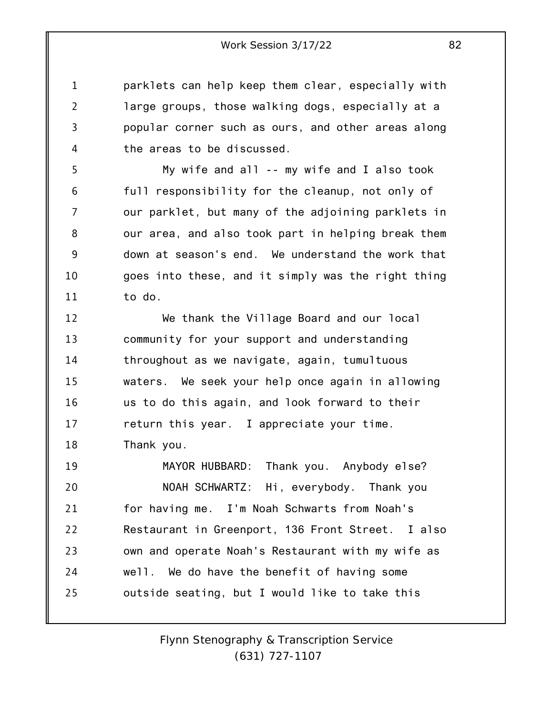parklets can help keep them clear, especially with large groups, those walking dogs, especially at a popular corner such as ours, and other areas along the areas to be discussed.

1

2

3

4

5 6 7 8 9 10 11 My wife and all -- my wife and I also took full responsibility for the cleanup, not only of our parklet, but many of the adjoining parklets in our area, and also took part in helping break them down at season's end. We understand the work that goes into these, and it simply was the right thing to do.

12 13 14 15 16 17 18 We thank the Village Board and our local community for your support and understanding throughout as we navigate, again, tumultuous waters. We seek your help once again in allowing us to do this again, and look forward to their return this year. I appreciate your time. Thank you.

19 20 21 22 23 24 25 MAYOR HUBBARD: Thank you. Anybody else? NOAH SCHWARTZ: Hi, everybody. Thank you for having me. I'm Noah Schwarts from Noah's Restaurant in Greenport, 136 Front Street. I also own and operate Noah's Restaurant with my wife as well. We do have the benefit of having some outside seating, but I would like to take this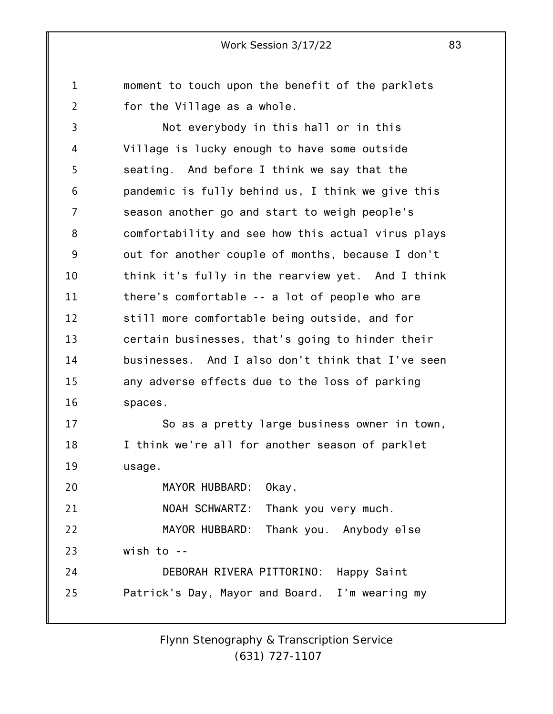moment to touch upon the benefit of the parklets for the Village as a whole.

1

2

3 4 5 6 7 8 9 10 11 12 13 14 15 16 17 Not everybody in this hall or in this Village is lucky enough to have some outside seating. And before I think we say that the pandemic is fully behind us, I think we give this season another go and start to weigh people's comfortability and see how this actual virus plays out for another couple of months, because I don't think it's fully in the rearview yet. And I think there's comfortable -- a lot of people who are still more comfortable being outside, and for certain businesses, that's going to hinder their businesses. And I also don't think that I've seen any adverse effects due to the loss of parking spaces. So as a pretty large business owner in town,

18 19 I think we're all for another season of parklet usage.

20 21 22 23 24 25 MAYOR HUBBARD: Okay. NOAH SCHWARTZ: Thank you very much. MAYOR HUBBARD: Thank you. Anybody else wish to -- DEBORAH RIVERA PITTORINO: Happy Saint Patrick's Day, Mayor and Board. I'm wearing my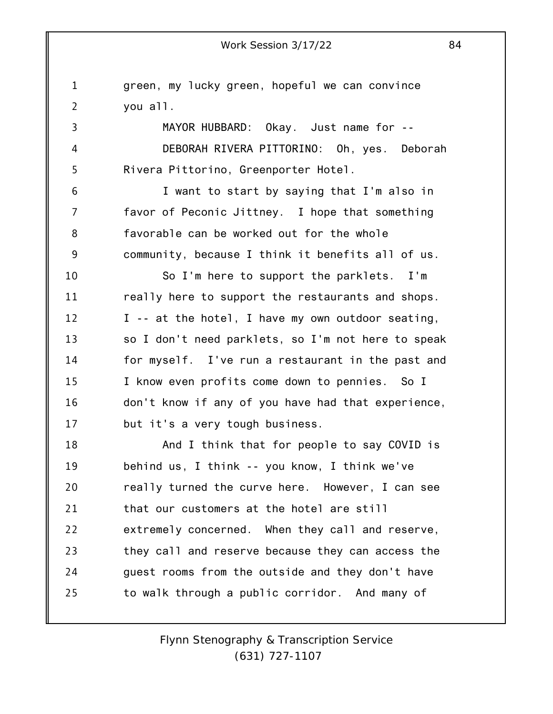1

2 3 4 5 6 7 8 9 10 11 12 13 14 15 16 17 18 19 20 21 22 23 24 25 green, my lucky green, hopeful we can convince you all. MAYOR HUBBARD: Okay. Just name for -- DEBORAH RIVERA PITTORINO: Oh, yes. Deborah Rivera Pittorino, Greenporter Hotel. I want to start by saying that I'm also in favor of Peconic Jittney. I hope that something favorable can be worked out for the whole community, because I think it benefits all of us. So I'm here to support the parklets. I'm really here to support the restaurants and shops. I -- at the hotel, I have my own outdoor seating, so I don't need parklets, so I'm not here to speak for myself. I've run a restaurant in the past and I know even profits come down to pennies. So I don't know if any of you have had that experience, but it's a very tough business. And I think that for people to say COVID is behind us, I think -- you know, I think we've really turned the curve here. However, I can see that our customers at the hotel are still extremely concerned. When they call and reserve, they call and reserve because they can access the guest rooms from the outside and they don't have to walk through a public corridor. And many of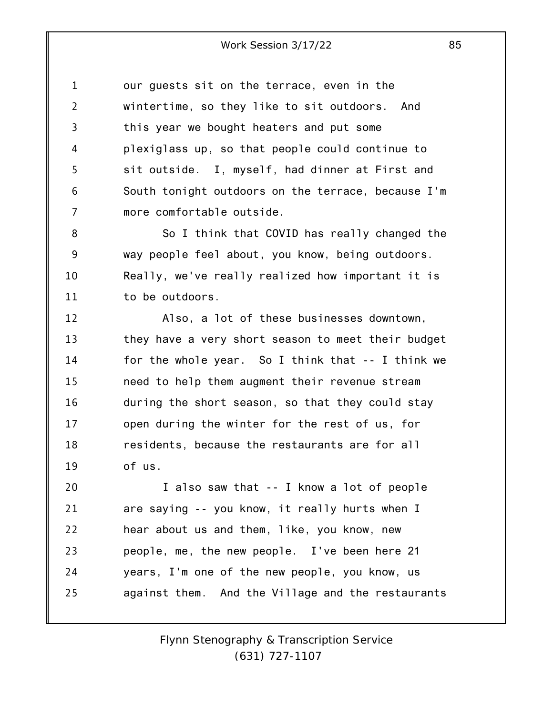1 2 3 4 5 6 7 our guests sit on the terrace, even in the wintertime, so they like to sit outdoors. And this year we bought heaters and put some plexiglass up, so that people could continue to sit outside. I, myself, had dinner at First and South tonight outdoors on the terrace, because I'm more comfortable outside.

8 9 10 11 So I think that COVID has really changed the way people feel about, you know, being outdoors. Really, we've really realized how important it is to be outdoors.

12 13 14 15 16 17 18 19 Also, a lot of these businesses downtown, they have a very short season to meet their budget for the whole year. So I think that -- I think we need to help them augment their revenue stream during the short season, so that they could stay open during the winter for the rest of us, for residents, because the restaurants are for all of us.

20 21 22 23 24 25 I also saw that -- I know a lot of people are saying -- you know, it really hurts when I hear about us and them, like, you know, new people, me, the new people. I've been here 21 years, I'm one of the new people, you know, us against them. And the Village and the restaurants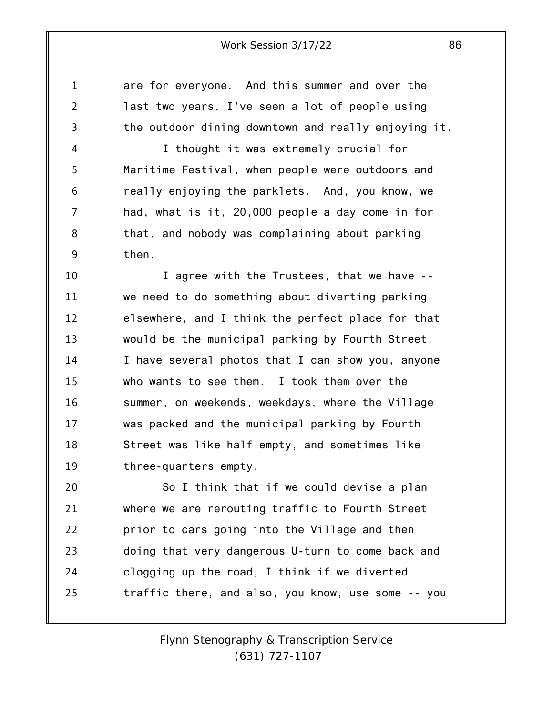are for everyone. And this summer and over the last two years, I've seen a lot of people using the outdoor dining downtown and really enjoying it.

1

2

3

4 5 6 7 8 9 I thought it was extremely crucial for Maritime Festival, when people were outdoors and really enjoying the parklets. And, you know, we had, what is it, 20,000 people a day come in for that, and nobody was complaining about parking then.

10 11 12 13 14 15 16 17 18 19 I agree with the Trustees, that we have - we need to do something about diverting parking elsewhere, and I think the perfect place for that would be the municipal parking by Fourth Street. I have several photos that I can show you, anyone who wants to see them. I took them over the summer, on weekends, weekdays, where the Village was packed and the municipal parking by Fourth Street was like half empty, and sometimes like three-quarters empty.

20 21 22 23 24 25 So I think that if we could devise a plan where we are rerouting traffic to Fourth Street prior to cars going into the Village and then doing that very dangerous U-turn to come back and clogging up the road, I think if we diverted traffic there, and also, you know, use some -- you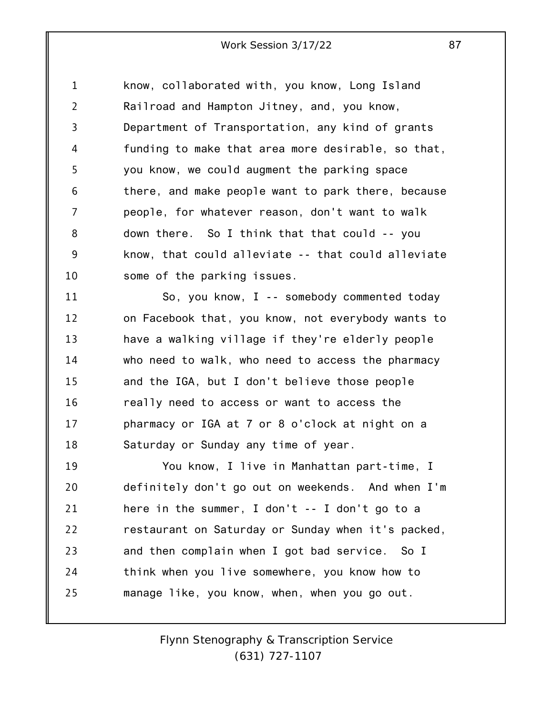1 2 3 4 5 6 7 8 9 10 know, collaborated with, you know, Long Island Railroad and Hampton Jitney, and, you know, Department of Transportation, any kind of grants funding to make that area more desirable, so that, you know, we could augment the parking space there, and make people want to park there, because people, for whatever reason, don't want to walk down there. So I think that that could -- you know, that could alleviate -- that could alleviate some of the parking issues.

11 12 13 14 15 16 17 18 So, you know, I -- somebody commented today on Facebook that, you know, not everybody wants to have a walking village if they're elderly people who need to walk, who need to access the pharmacy and the IGA, but I don't believe those people really need to access or want to access the pharmacy or IGA at 7 or 8 o'clock at night on a Saturday or Sunday any time of year.

19 20 21 22 23 24 25 You know, I live in Manhattan part-time, I definitely don't go out on weekends. And when I'm here in the summer, I don't -- I don't go to a restaurant on Saturday or Sunday when it's packed, and then complain when I got bad service. So I think when you live somewhere, you know how to manage like, you know, when, when you go out.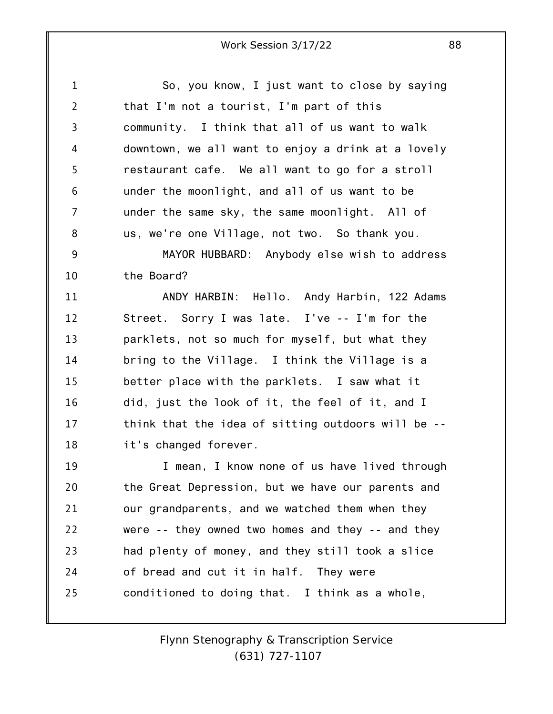| $\mathbf{1}$   | So, you know, I just want to close by saying       |
|----------------|----------------------------------------------------|
| $\overline{2}$ | that I'm not a tourist, I'm part of this           |
| 3              | community. I think that all of us want to walk     |
| 4              | downtown, we all want to enjoy a drink at a lovely |
| 5              | restaurant cafe. We all want to go for a stroll    |
| 6              | under the moonlight, and all of us want to be      |
| 7              | under the same sky, the same moonlight. All of     |
| 8              | us, we're one Village, not two. So thank you.      |
| 9              | MAYOR HUBBARD: Anybody else wish to address        |
| 10             | the Board?                                         |
| 11             | ANDY HARBIN: Hello. Andy Harbin, 122 Adams         |
| 12             | Street. Sorry I was late. I've -- I'm for the      |
| 13             | parklets, not so much for myself, but what they    |
| 14             | bring to the Village. I think the Village is a     |
| 15             | better place with the parklets. I saw what it      |
| 16             | did, just the look of it, the feel of it, and I    |
| 17             | think that the idea of sitting outdoors will be -- |
| 18             | it's changed forever.                              |
| 19             | I mean, I know none of us have lived through       |
| 20             | the Great Depression, but we have our parents and  |
| 21             | our grandparents, and we watched them when they    |
| 22             | were -- they owned two homes and they -- and they  |
| 23             | had plenty of money, and they still took a slice   |
| 24             | of bread and cut it in half. They were             |
| 25             | conditioned to doing that. I think as a whole,     |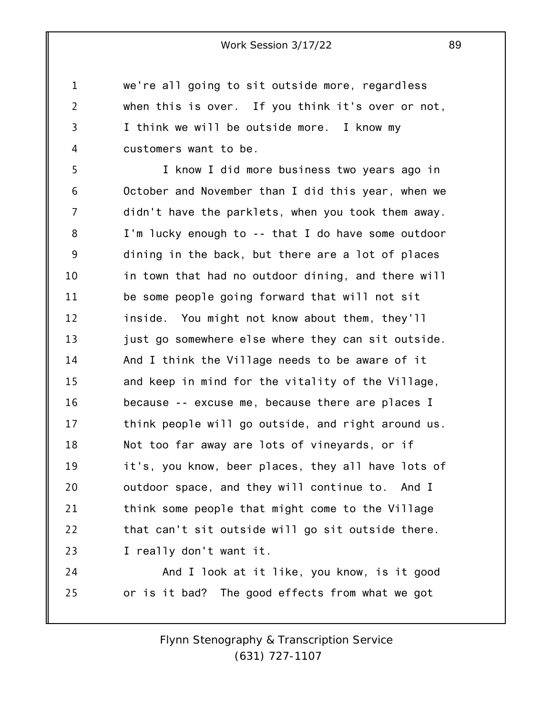we're all going to sit outside more, regardless when this is over. If you think it's over or not, I think we will be outside more. I know my customers want to be.

1

2

3

4

5 6 7 8 9 10 11 12 13 14 15 16 17 18 19 20 21 22 23 I know I did more business two years ago in October and November than I did this year, when we didn't have the parklets, when you took them away. I'm lucky enough to -- that I do have some outdoor dining in the back, but there are a lot of places in town that had no outdoor dining, and there will be some people going forward that will not sit inside. You might not know about them, they'll just go somewhere else where they can sit outside. And I think the Village needs to be aware of it and keep in mind for the vitality of the Village, because -- excuse me, because there are places I think people will go outside, and right around us. Not too far away are lots of vineyards, or if it's, you know, beer places, they all have lots of outdoor space, and they will continue to. And I think some people that might come to the Village that can't sit outside will go sit outside there. I really don't want it.

24 25 And I look at it like, you know, is it good or is it bad? The good effects from what we got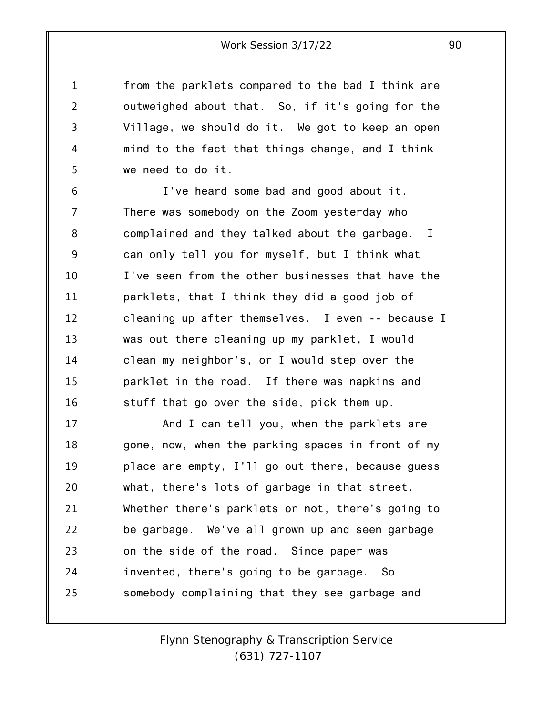from the parklets compared to the bad I think are outweighed about that. So, if it's going for the Village, we should do it. We got to keep an open mind to the fact that things change, and I think we need to do it.

1

2

3

4

5

6 7 8 9 10 11 12 13 14 15 16 I've heard some bad and good about it. There was somebody on the Zoom yesterday who complained and they talked about the garbage. I can only tell you for myself, but I think what I've seen from the other businesses that have the parklets, that I think they did a good job of cleaning up after themselves. I even -- because I was out there cleaning up my parklet, I would clean my neighbor's, or I would step over the parklet in the road. If there was napkins and stuff that go over the side, pick them up.

17 18 19 20 21 22 23 24 25 And I can tell you, when the parklets are gone, now, when the parking spaces in front of my place are empty, I'll go out there, because guess what, there's lots of garbage in that street. Whether there's parklets or not, there's going to be garbage. We've all grown up and seen garbage on the side of the road. Since paper was invented, there's going to be garbage. So somebody complaining that they see garbage and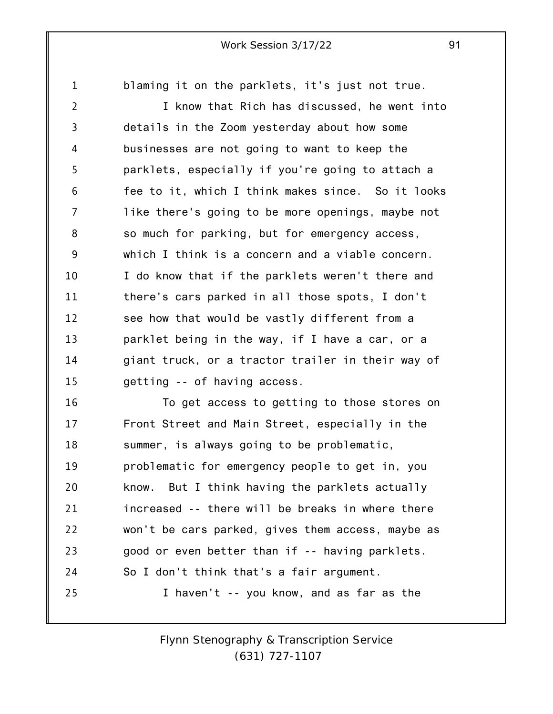1 blaming it on the parklets, it's just not true.

2 3 4 5 6 7 8 9 10 11 12 13 14 15 I know that Rich has discussed, he went into details in the Zoom yesterday about how some businesses are not going to want to keep the parklets, especially if you're going to attach a fee to it, which I think makes since. So it looks like there's going to be more openings, maybe not so much for parking, but for emergency access, which I think is a concern and a viable concern. I do know that if the parklets weren't there and there's cars parked in all those spots, I don't see how that would be vastly different from a parklet being in the way, if I have a car, or a giant truck, or a tractor trailer in their way of getting -- of having access.

16 17 18 19 20 21 22 23 24 25 To get access to getting to those stores on Front Street and Main Street, especially in the summer, is always going to be problematic, problematic for emergency people to get in, you know. But I think having the parklets actually increased -- there will be breaks in where there won't be cars parked, gives them access, maybe as good or even better than if -- having parklets. So I don't think that's a fair argument. I haven't -- you know, and as far as the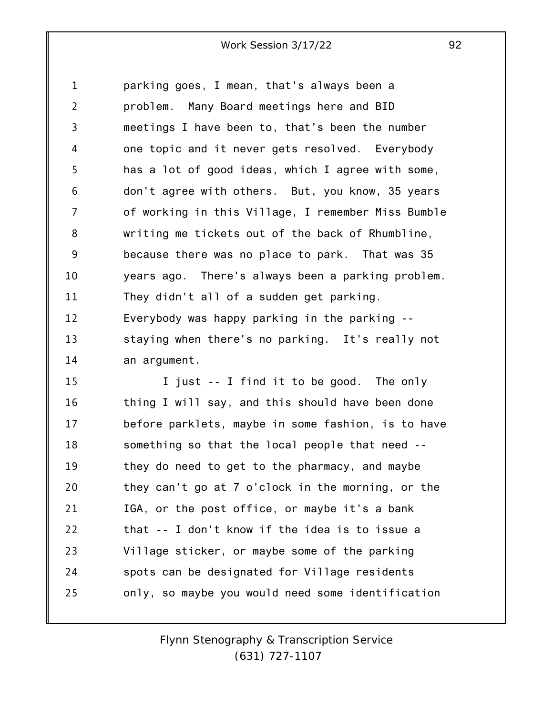1 2 3 4 5 6 7 8 9 10 11 12 13 parking goes, I mean, that's always been a problem. Many Board meetings here and BID meetings I have been to, that's been the number one topic and it never gets resolved. Everybody has a lot of good ideas, which I agree with some, don't agree with others. But, you know, 35 years of working in this Village, I remember Miss Bumble writing me tickets out of the back of Rhumbline, because there was no place to park. That was 35 years ago. There's always been a parking problem. They didn't all of a sudden get parking. Everybody was happy parking in the parking - staying when there's no parking. It's really not

15 16 17 18 19 20 21 22 23 24 25 I just -- I find it to be good. The only thing I will say, and this should have been done before parklets, maybe in some fashion, is to have something so that the local people that need - they do need to get to the pharmacy, and maybe they can't go at 7 o'clock in the morning, or the IGA, or the post office, or maybe it's a bank that -- I don't know if the idea is to issue a Village sticker, or maybe some of the parking spots can be designated for Village residents only, so maybe you would need some identification

14

an argument.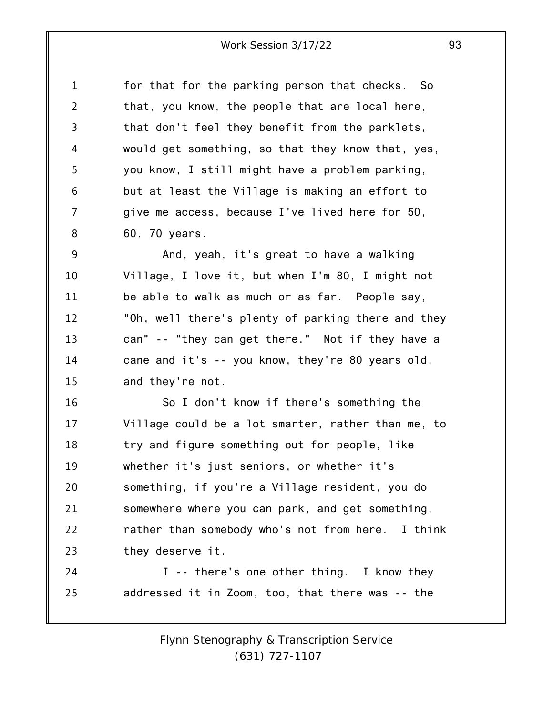1 2 3 4 5 6 7 8 for that for the parking person that checks. So that, you know, the people that are local here, that don't feel they benefit from the parklets, would get something, so that they know that, yes, you know, I still might have a problem parking, but at least the Village is making an effort to give me access, because I've lived here for 50, 60, 70 years.

9 10 11 12 13 14 15 And, yeah, it's great to have a walking Village, I love it, but when I'm 80, I might not be able to walk as much or as far. People say, "Oh, well there's plenty of parking there and they can" -- "they can get there." Not if they have a cane and it's -- you know, they're 80 years old, and they're not.

16 17 18 19 20 21 22 23 So I don't know if there's something the Village could be a lot smarter, rather than me, to try and figure something out for people, like whether it's just seniors, or whether it's something, if you're a Village resident, you do somewhere where you can park, and get something, rather than somebody who's not from here. I think they deserve it.

24 25 I -- there's one other thing. I know they addressed it in Zoom, too, that there was -- the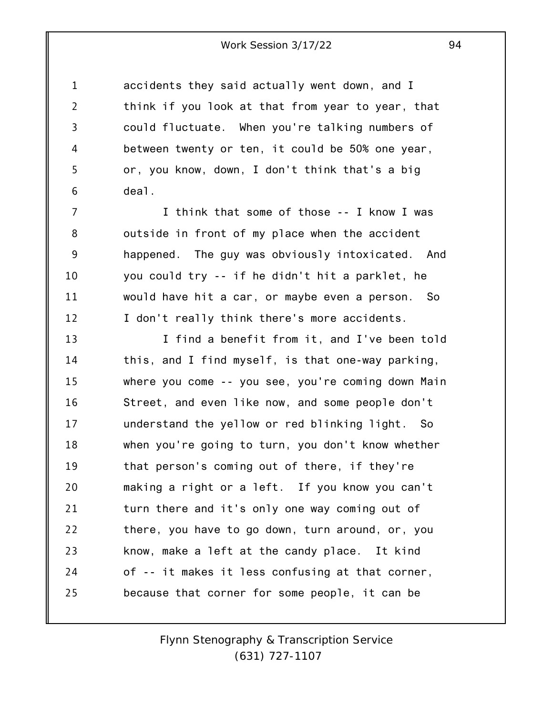1 2 3 4 5 6 accidents they said actually went down, and I think if you look at that from year to year, that could fluctuate. When you're talking numbers of between twenty or ten, it could be 50% one year, or, you know, down, I don't think that's a big deal.

7 8 9 10 11 12 I think that some of those -- I know I was outside in front of my place when the accident happened. The guy was obviously intoxicated. And you could try -- if he didn't hit a parklet, he would have hit a car, or maybe even a person. So I don't really think there's more accidents.

13 14 15 16 17 18 19 20 21 22 23 24 25 I find a benefit from it, and I've been told this, and I find myself, is that one-way parking, where you come -- you see, you're coming down Main Street, and even like now, and some people don't understand the yellow or red blinking light. So when you're going to turn, you don't know whether that person's coming out of there, if they're making a right or a left. If you know you can't turn there and it's only one way coming out of there, you have to go down, turn around, or, you know, make a left at the candy place. It kind of -- it makes it less confusing at that corner, because that corner for some people, it can be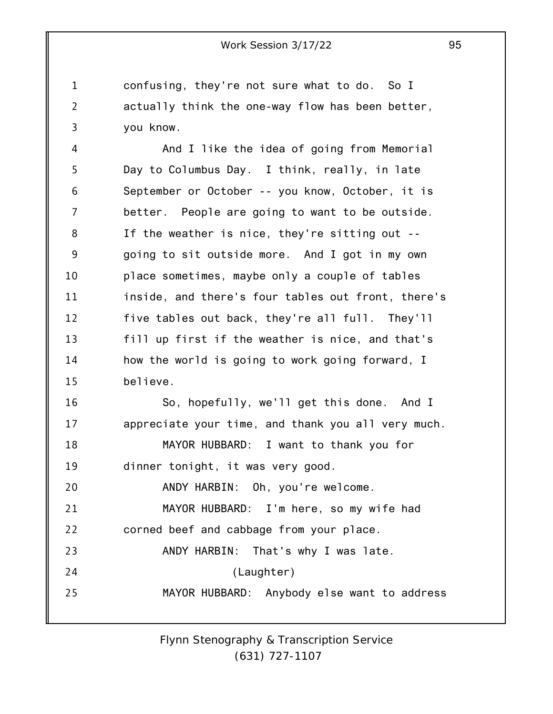1 2 3 confusing, they're not sure what to do. So I actually think the one-way flow has been better, you know.

4 5 6 7 8 9 10 11 12 13 14 15 16 17 18 19 20 21 And I like the idea of going from Memorial Day to Columbus Day. I think, really, in late September or October -- you know, October, it is better. People are going to want to be outside. If the weather is nice, they're sitting out - going to sit outside more. And I got in my own place sometimes, maybe only a couple of tables inside, and there's four tables out front, there's five tables out back, they're all full. They'll fill up first if the weather is nice, and that's how the world is going to work going forward, I believe. So, hopefully, we'll get this done. And I appreciate your time, and thank you all very much. MAYOR HUBBARD: I want to thank you for dinner tonight, it was very good. ANDY HARBIN: Oh, you're welcome. MAYOR HUBBARD: I'm here, so my wife had

22 23 corned beef and cabbage from your place. ANDY HARBIN: That's why I was late.

24 25 (Laughter)

MAYOR HUBBARD: Anybody else want to address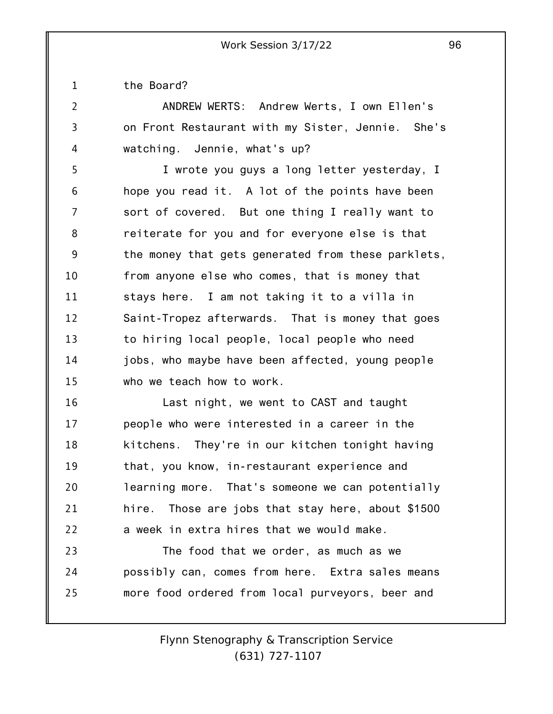1 the Board?

2 3 4 ANDREW WERTS: Andrew Werts, I own Ellen's on Front Restaurant with my Sister, Jennie. She's watching. Jennie, what's up?

5 6 7 8 9 10 11 12 13 14 15 I wrote you guys a long letter yesterday, I hope you read it. A lot of the points have been sort of covered. But one thing I really want to reiterate for you and for everyone else is that the money that gets generated from these parklets, from anyone else who comes, that is money that stays here. I am not taking it to a villa in Saint-Tropez afterwards. That is money that goes to hiring local people, local people who need jobs, who maybe have been affected, young people who we teach how to work.

16 17 18 19 20 21 22 Last night, we went to CAST and taught people who were interested in a career in the kitchens. They're in our kitchen tonight having that, you know, in-restaurant experience and learning more. That's someone we can potentially hire. Those are jobs that stay here, about \$1500 a week in extra hires that we would make.

23 24 25 The food that we order, as much as we possibly can, comes from here. Extra sales means more food ordered from local purveyors, beer and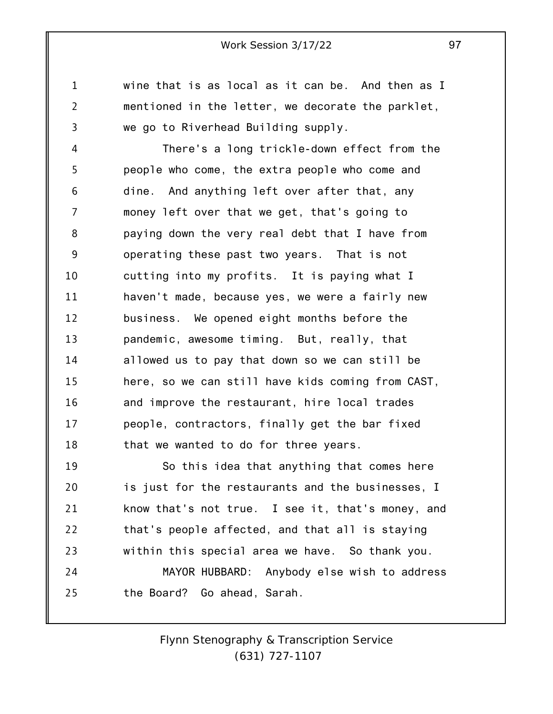wine that is as local as it can be. And then as I mentioned in the letter, we decorate the parklet, we go to Riverhead Building supply.

1

2

3

4 5 6 7 8 9 10 11 12 13 14 15 16 17 18 There's a long trickle-down effect from the people who come, the extra people who come and dine. And anything left over after that, any money left over that we get, that's going to paying down the very real debt that I have from operating these past two years. That is not cutting into my profits. It is paying what I haven't made, because yes, we were a fairly new business. We opened eight months before the pandemic, awesome timing. But, really, that allowed us to pay that down so we can still be here, so we can still have kids coming from CAST, and improve the restaurant, hire local trades people, contractors, finally get the bar fixed that we wanted to do for three years.

19 20 21 22 23 24 25 So this idea that anything that comes here is just for the restaurants and the businesses, I know that's not true. I see it, that's money, and that's people affected, and that all is staying within this special area we have. So thank you. MAYOR HUBBARD: Anybody else wish to address the Board? Go ahead, Sarah.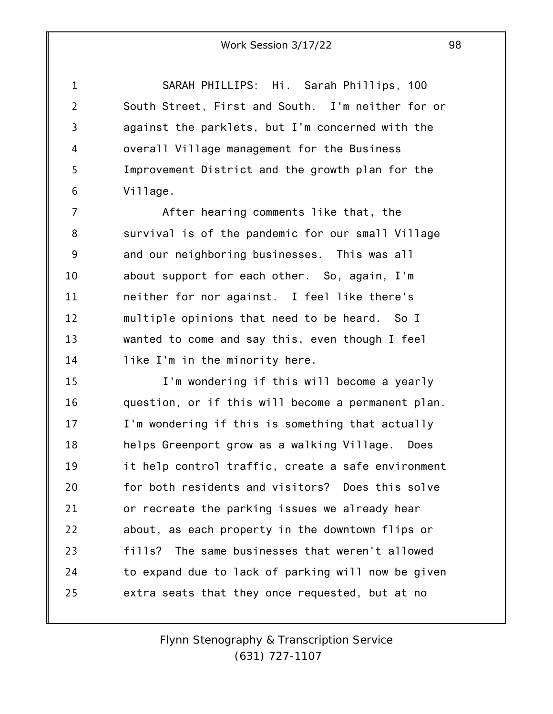1 2 3 4 5 6 SARAH PHILLIPS: Hi. Sarah Phillips, 100 South Street, First and South. I'm neither for or against the parklets, but I'm concerned with the overall Village management for the Business Improvement District and the growth plan for the Village.

7 8 9 10 11 12 13 14 After hearing comments like that, the survival is of the pandemic for our small Village and our neighboring businesses. This was all about support for each other. So, again, I'm neither for nor against. I feel like there's multiple opinions that need to be heard. So I wanted to come and say this, even though I feel like I'm in the minority here.

15 16 17 18 19 20 21 22 23 24 25 I'm wondering if this will become a yearly question, or if this will become a permanent plan. I'm wondering if this is something that actually helps Greenport grow as a walking Village. Does it help control traffic, create a safe environment for both residents and visitors? Does this solve or recreate the parking issues we already hear about, as each property in the downtown flips or fills? The same businesses that weren't allowed to expand due to lack of parking will now be given extra seats that they once requested, but at no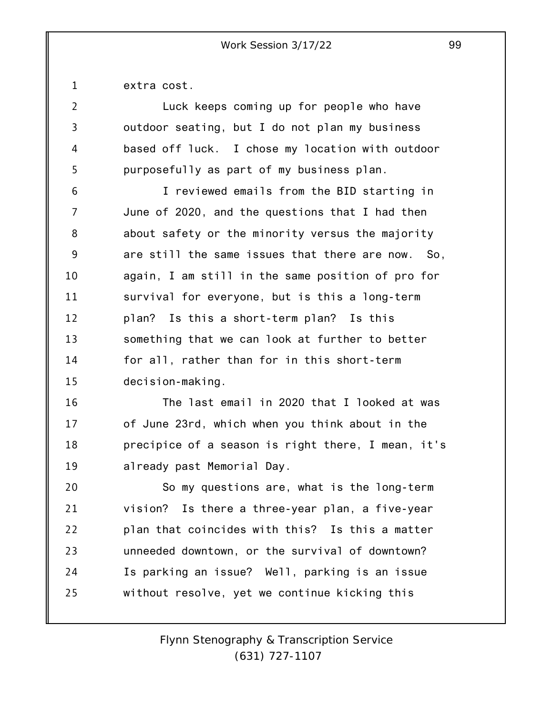1 extra cost.

| $\overline{2}$ | Luck keeps coming up for people who have           |
|----------------|----------------------------------------------------|
| 3              | outdoor seating, but I do not plan my business     |
| 4              | based off luck. I chose my location with outdoor   |
| 5              | purposefully as part of my business plan.          |
| 6              | I reviewed emails from the BID starting in         |
| 7              | June of 2020, and the questions that I had then    |
| 8              | about safety or the minority versus the majority   |
| 9              | are still the same issues that there are now. So,  |
| 10             | again, I am still in the same position of pro for  |
| 11             | survival for everyone, but is this a long-term     |
| 12             | plan? Is this a short-term plan? Is this           |
| 13             | something that we can look at further to better    |
| 14             | for all, rather than for in this short-term        |
| 15             | decision-making.                                   |
| 16             | The last email in 2020 that I looked at was        |
| 17             | of June 23rd, which when you think about in the    |
| 18             | precipice of a season is right there, I mean, it's |
| 19             | already past Memorial Day.                         |
| 20             | So my questions are, what is the long-term         |
| 21             | vision? Is there a three-year plan, a five-year    |
| 22             | plan that coincides with this? Is this a matter    |
| 23             | unneeded downtown, or the survival of downtown?    |
| 24             | Is parking an issue? Well, parking is an issue     |
| 25             | without resolve, yet we continue kicking this      |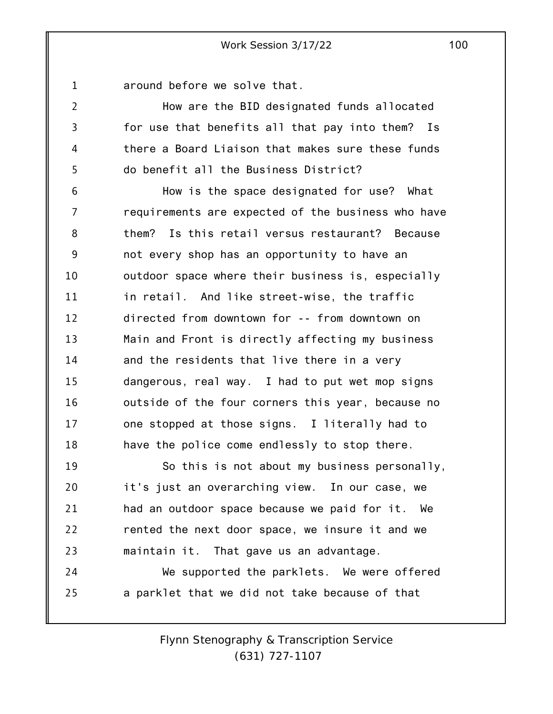1 around before we solve that.

2

3

4

5

How are the BID designated funds allocated for use that benefits all that pay into them? Is there a Board Liaison that makes sure these funds do benefit all the Business District?

6 7 8 9 10 11 12 13 14 15 16 17 18 How is the space designated for use? What requirements are expected of the business who have them? Is this retail versus restaurant? Because not every shop has an opportunity to have an outdoor space where their business is, especially in retail. And like street-wise, the traffic directed from downtown for -- from downtown on Main and Front is directly affecting my business and the residents that live there in a very dangerous, real way. I had to put wet mop signs outside of the four corners this year, because no one stopped at those signs. I literally had to have the police come endlessly to stop there.

19 20 21 22 23 24 So this is not about my business personally, it's just an overarching view. In our case, we had an outdoor space because we paid for it. We rented the next door space, we insure it and we maintain it. That gave us an advantage. We supported the parklets. We were offered

25 a parklet that we did not take because of that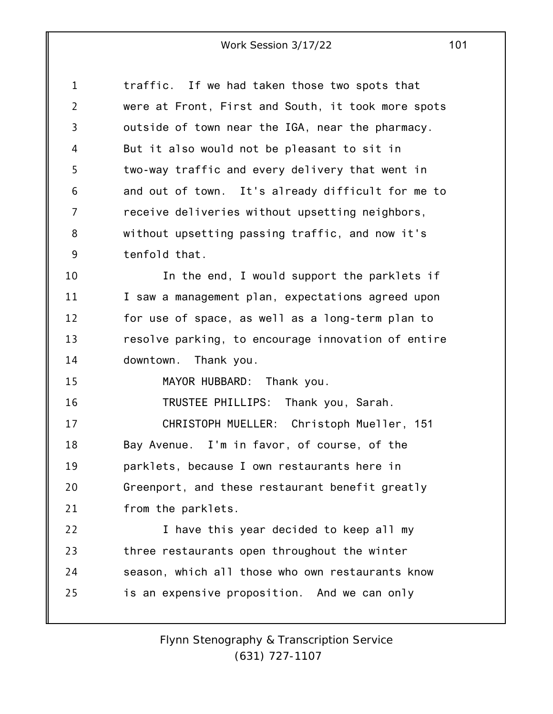1 2 3 4 5 6 7 8 9 10 11 12 13 14 15 16 17 18 19 20 21 22 23 24 25 traffic. If we had taken those two spots that were at Front, First and South, it took more spots outside of town near the IGA, near the pharmacy. But it also would not be pleasant to sit in two-way traffic and every delivery that went in and out of town. It's already difficult for me to receive deliveries without upsetting neighbors, without upsetting passing traffic, and now it's tenfold that. In the end, I would support the parklets if I saw a management plan, expectations agreed upon for use of space, as well as a long-term plan to resolve parking, to encourage innovation of entire downtown. Thank you. MAYOR HUBBARD: Thank you. TRUSTEE PHILLIPS: Thank you, Sarah. CHRISTOPH MUELLER: Christoph Mueller, 151 Bay Avenue. I'm in favor, of course, of the parklets, because I own restaurants here in Greenport, and these restaurant benefit greatly from the parklets. I have this year decided to keep all my three restaurants open throughout the winter season, which all those who own restaurants know is an expensive proposition. And we can only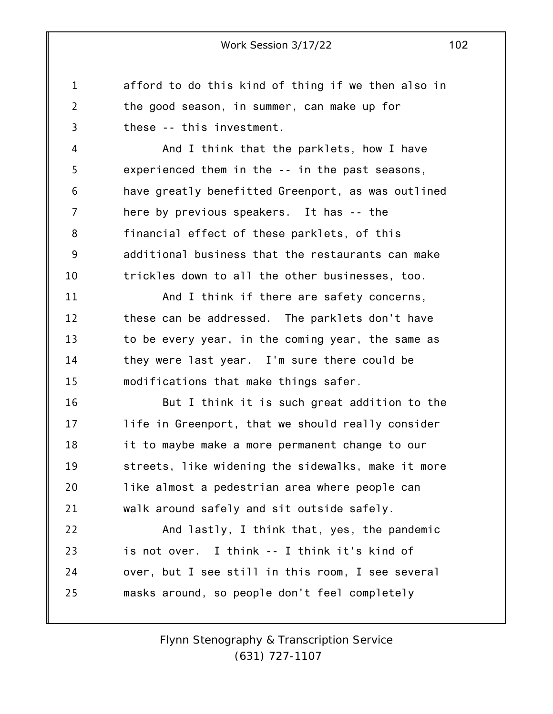1 2 3 afford to do this kind of thing if we then also in the good season, in summer, can make up for these -- this investment.

4 5 6 7 8 9 10 And I think that the parklets, how I have experienced them in the -- in the past seasons, have greatly benefitted Greenport, as was outlined here by previous speakers. It has -- the financial effect of these parklets, of this additional business that the restaurants can make trickles down to all the other businesses, too.

11 12 13 14 15 And I think if there are safety concerns, these can be addressed. The parklets don't have to be every year, in the coming year, the same as they were last year. I'm sure there could be modifications that make things safer.

16 17 18 19 20 21 But I think it is such great addition to the life in Greenport, that we should really consider it to maybe make a more permanent change to our streets, like widening the sidewalks, make it more like almost a pedestrian area where people can walk around safely and sit outside safely.

22 23 24 25 And lastly, I think that, yes, the pandemic is not over. I think -- I think it's kind of over, but I see still in this room, I see several masks around, so people don't feel completely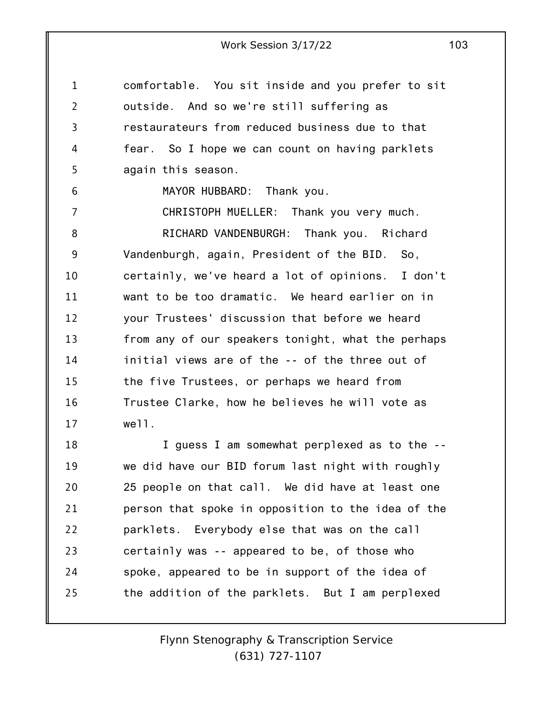1 2 3 4 5 comfortable. You sit inside and you prefer to sit outside. And so we're still suffering as restaurateurs from reduced business due to that fear. So I hope we can count on having parklets again this season.

6

MAYOR HUBBARD: Thank you.

7 8 9 10 11 12 13 14 15 16 17 CHRISTOPH MUELLER: Thank you very much. RICHARD VANDENBURGH: Thank you. Richard Vandenburgh, again, President of the BID. So, certainly, we've heard a lot of opinions. I don't want to be too dramatic. We heard earlier on in your Trustees' discussion that before we heard from any of our speakers tonight, what the perhaps initial views are of the -- of the three out of the five Trustees, or perhaps we heard from Trustee Clarke, how he believes he will vote as well.

18 19 20 21 22 23 24 25 I guess I am somewhat perplexed as to the - we did have our BID forum last night with roughly 25 people on that call. We did have at least one person that spoke in opposition to the idea of the parklets. Everybody else that was on the call certainly was -- appeared to be, of those who spoke, appeared to be in support of the idea of the addition of the parklets. But I am perplexed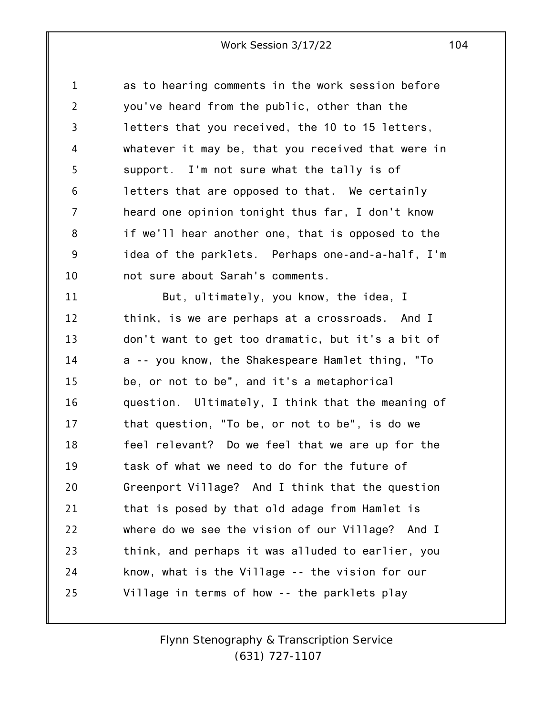1 2 3 4 5 6 7 8 9 10 as to hearing comments in the work session before you've heard from the public, other than the letters that you received, the 10 to 15 letters, whatever it may be, that you received that were in support. I'm not sure what the tally is of letters that are opposed to that. We certainly heard one opinion tonight thus far, I don't know if we'll hear another one, that is opposed to the idea of the parklets. Perhaps one-and-a-half, I'm not sure about Sarah's comments.

11 12 13 14 15 16 17 18 19 20 21 22 23 24 25 But, ultimately, you know, the idea, I think, is we are perhaps at a crossroads. And I don't want to get too dramatic, but it's a bit of a -- you know, the Shakespeare Hamlet thing, "To be, or not to be", and it's a metaphorical question. Ultimately, I think that the meaning of that question, "To be, or not to be", is do we feel relevant? Do we feel that we are up for the task of what we need to do for the future of Greenport Village? And I think that the question that is posed by that old adage from Hamlet is where do we see the vision of our Village? And I think, and perhaps it was alluded to earlier, you know, what is the Village -- the vision for our Village in terms of how -- the parklets play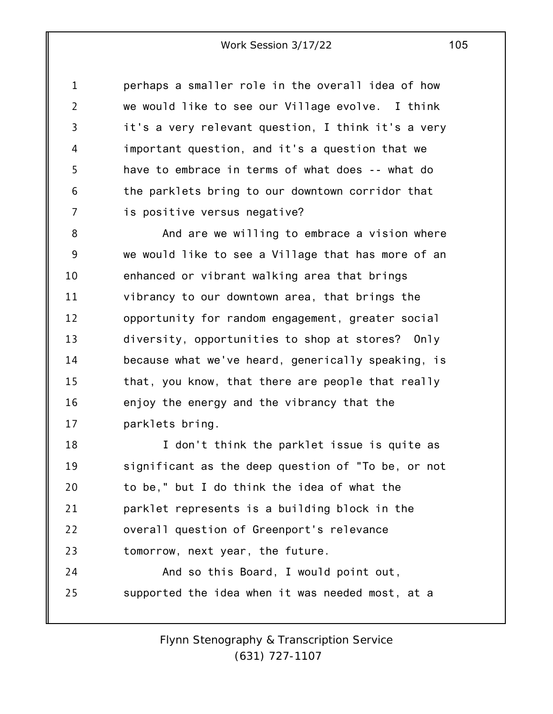1 2 3 4 5 6 7 perhaps a smaller role in the overall idea of how we would like to see our Village evolve. I think it's a very relevant question, I think it's a very important question, and it's a question that we have to embrace in terms of what does -- what do the parklets bring to our downtown corridor that is positive versus negative?

8 9 10 11 12 13 14 15 16 17 And are we willing to embrace a vision where we would like to see a Village that has more of an enhanced or vibrant walking area that brings vibrancy to our downtown area, that brings the opportunity for random engagement, greater social diversity, opportunities to shop at stores? Only because what we've heard, generically speaking, is that, you know, that there are people that really enjoy the energy and the vibrancy that the parklets bring.

18 19 20 21 22 23 24 I don't think the parklet issue is quite as significant as the deep question of "To be, or not to be," but I do think the idea of what the parklet represents is a building block in the overall question of Greenport's relevance tomorrow, next year, the future. And so this Board, I would point out,

25 supported the idea when it was needed most, at a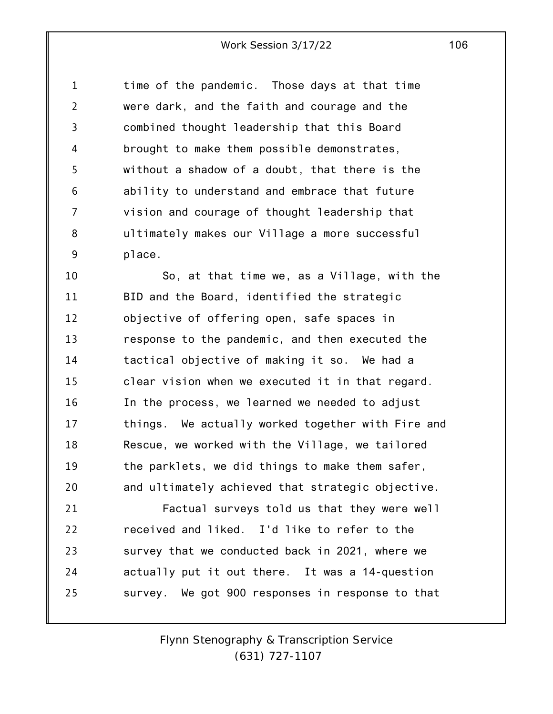1 2 3 4 5 6 7 8 9 time of the pandemic. Those days at that time were dark, and the faith and courage and the combined thought leadership that this Board brought to make them possible demonstrates, without a shadow of a doubt, that there is the ability to understand and embrace that future vision and courage of thought leadership that ultimately makes our Village a more successful place.

10 11 12 13 14 15 16 17 18 19 20 So, at that time we, as a Village, with the BID and the Board, identified the strategic objective of offering open, safe spaces in response to the pandemic, and then executed the tactical objective of making it so. We had a clear vision when we executed it in that regard. In the process, we learned we needed to adjust things. We actually worked together with Fire and Rescue, we worked with the Village, we tailored the parklets, we did things to make them safer, and ultimately achieved that strategic objective.

21 22 23 24 25 Factual surveys told us that they were well received and liked. I'd like to refer to the survey that we conducted back in 2021, where we actually put it out there. It was a 14-question survey. We got 900 responses in response to that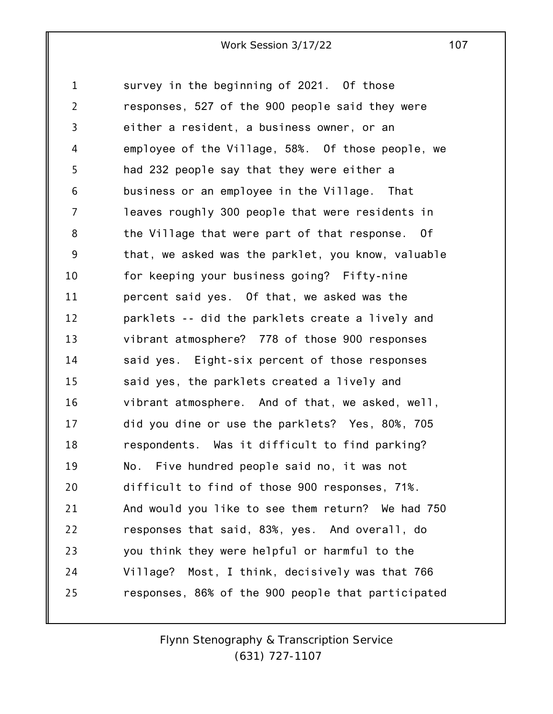1 2 3 4 5 6 7 8 9 10 11 12 13 14 15 16 17 18 19 20 21 22 23 24 25 survey in the beginning of 2021. Of those responses, 527 of the 900 people said they were either a resident, a business owner, or an employee of the Village, 58%. Of those people, we had 232 people say that they were either a business or an employee in the Village. That leaves roughly 300 people that were residents in the Village that were part of that response. Of that, we asked was the parklet, you know, valuable for keeping your business going? Fifty-nine percent said yes. Of that, we asked was the parklets -- did the parklets create a lively and vibrant atmosphere? 778 of those 900 responses said yes. Eight-six percent of those responses said yes, the parklets created a lively and vibrant atmosphere. And of that, we asked, well, did you dine or use the parklets? Yes, 80%, 705 respondents. Was it difficult to find parking? No. Five hundred people said no, it was not difficult to find of those 900 responses, 71%. And would you like to see them return? We had 750 responses that said, 83%, yes. And overall, do you think they were helpful or harmful to the Village? Most, I think, decisively was that 766 responses, 86% of the 900 people that participated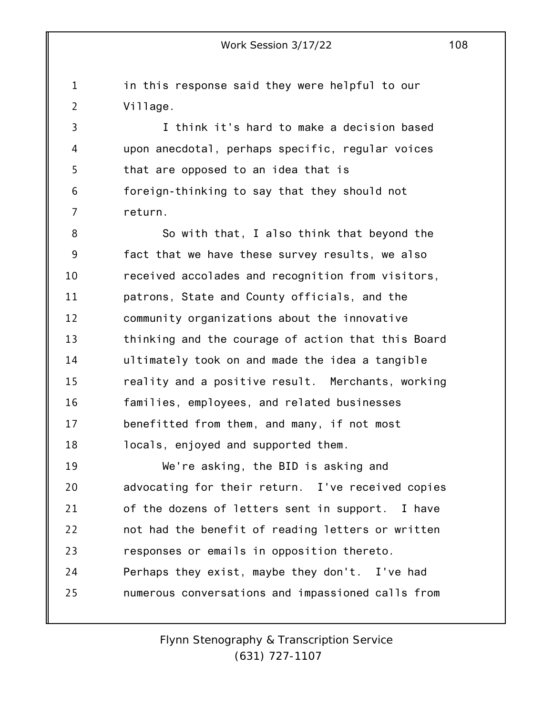1 2 in this response said they were helpful to our Village.

3 4 5 6 7 I think it's hard to make a decision based upon anecdotal, perhaps specific, regular voices that are opposed to an idea that is foreign-thinking to say that they should not return.

8 9 10 11 12 13 14 15 16 17 18 So with that, I also think that beyond the fact that we have these survey results, we also received accolades and recognition from visitors, patrons, State and County officials, and the community organizations about the innovative thinking and the courage of action that this Board ultimately took on and made the idea a tangible reality and a positive result. Merchants, working families, employees, and related businesses benefitted from them, and many, if not most locals, enjoyed and supported them.

19 20 21 22 23 24 25 We're asking, the BID is asking and advocating for their return. I've received copies of the dozens of letters sent in support. I have not had the benefit of reading letters or written responses or emails in opposition thereto. Perhaps they exist, maybe they don't. I've had numerous conversations and impassioned calls from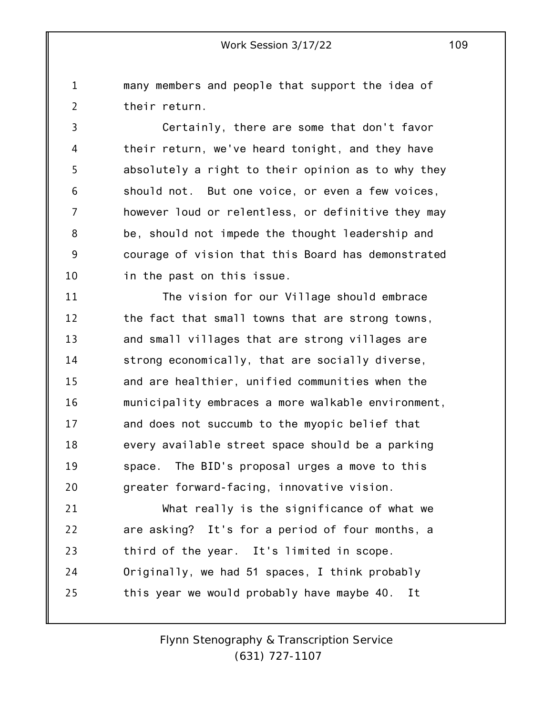1 2 many members and people that support the idea of their return.

3 4 5 6 7 8 9 10 Certainly, there are some that don't favor their return, we've heard tonight, and they have absolutely a right to their opinion as to why they should not. But one voice, or even a few voices, however loud or relentless, or definitive they may be, should not impede the thought leadership and courage of vision that this Board has demonstrated in the past on this issue.

11 12 13 14 15 16 17 18 19 20 The vision for our Village should embrace the fact that small towns that are strong towns, and small villages that are strong villages are strong economically, that are socially diverse, and are healthier, unified communities when the municipality embraces a more walkable environment, and does not succumb to the myopic belief that every available street space should be a parking space. The BID's proposal urges a move to this greater forward-facing, innovative vision.

21 22 23 24 25 What really is the significance of what we are asking? It's for a period of four months, a third of the year. It's limited in scope. Originally, we had 51 spaces, I think probably this year we would probably have maybe 40. It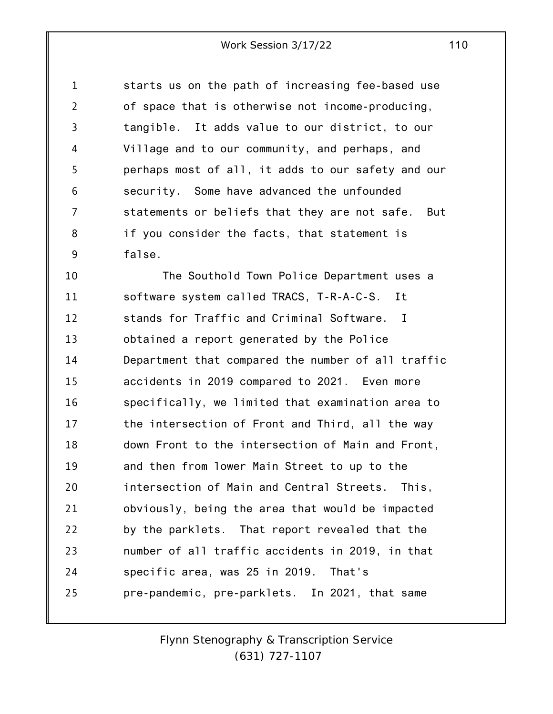1 2 3 4 5 6 7 8 9 starts us on the path of increasing fee-based use of space that is otherwise not income-producing, tangible. It adds value to our district, to our Village and to our community, and perhaps, and perhaps most of all, it adds to our safety and our security. Some have advanced the unfounded statements or beliefs that they are not safe. But if you consider the facts, that statement is false.

10 11 12 13 14 15 16 17 18 19 20 21 22 23 24 25 The Southold Town Police Department uses a software system called TRACS, T-R-A-C-S. It stands for Traffic and Criminal Software. I obtained a report generated by the Police Department that compared the number of all traffic accidents in 2019 compared to 2021. Even more specifically, we limited that examination area to the intersection of Front and Third, all the way down Front to the intersection of Main and Front, and then from lower Main Street to up to the intersection of Main and Central Streets. This, obviously, being the area that would be impacted by the parklets. That report revealed that the number of all traffic accidents in 2019, in that specific area, was 25 in 2019. That's pre-pandemic, pre-parklets. In 2021, that same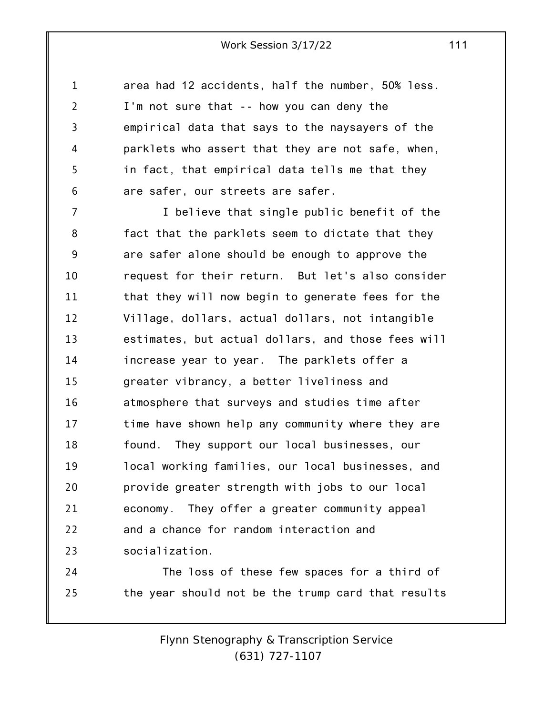1 2 3 4 5 6 area had 12 accidents, half the number, 50% less. I'm not sure that -- how you can deny the empirical data that says to the naysayers of the parklets who assert that they are not safe, when, in fact, that empirical data tells me that they are safer, our streets are safer.

7 8 9 10 11 12 13 14 15 16 17 18 19 20 21 22 23 I believe that single public benefit of the fact that the parklets seem to dictate that they are safer alone should be enough to approve the request for their return. But let's also consider that they will now begin to generate fees for the Village, dollars, actual dollars, not intangible estimates, but actual dollars, and those fees will increase year to year. The parklets offer a greater vibrancy, a better liveliness and atmosphere that surveys and studies time after time have shown help any community where they are found. They support our local businesses, our local working families, our local businesses, and provide greater strength with jobs to our local economy. They offer a greater community appeal and a chance for random interaction and socialization.

24 25 The loss of these few spaces for a third of the year should not be the trump card that results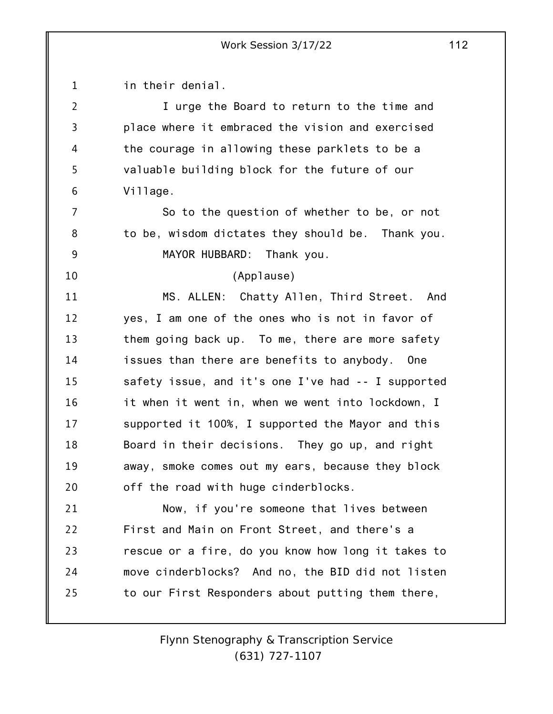1 2 3 4 5 6 7 8 9 10 11 12 13 14 15 16 17 18 19 20 21 22 23 24 25 in their denial. I urge the Board to return to the time and place where it embraced the vision and exercised the courage in allowing these parklets to be a valuable building block for the future of our Village. So to the question of whether to be, or not to be, wisdom dictates they should be. Thank you. MAYOR HUBBARD: Thank you. (Applause) MS. ALLEN: Chatty Allen, Third Street. And yes, I am one of the ones who is not in favor of them going back up. To me, there are more safety issues than there are benefits to anybody. One safety issue, and it's one I've had -- I supported it when it went in, when we went into lockdown, I supported it 100%, I supported the Mayor and this Board in their decisions. They go up, and right away, smoke comes out my ears, because they block off the road with huge cinderblocks. Now, if you're someone that lives between First and Main on Front Street, and there's a rescue or a fire, do you know how long it takes to move cinderblocks? And no, the BID did not listen to our First Responders about putting them there,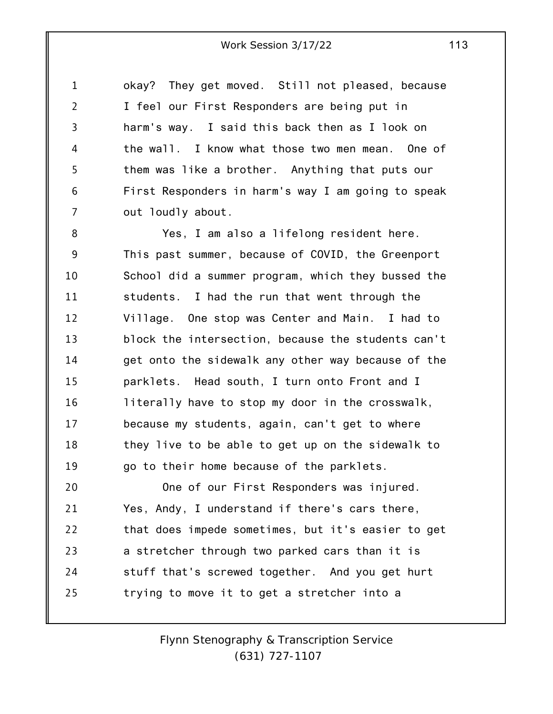1 2 3 4 5 6 7 okay? They get moved. Still not pleased, because I feel our First Responders are being put in harm's way. I said this back then as I look on the wall. I know what those two men mean. One of them was like a brother. Anything that puts our First Responders in harm's way I am going to speak out loudly about.

8 9 10 11 12 13 14 15 16 17 18 19 20 Yes, I am also a lifelong resident here. This past summer, because of COVID, the Greenport School did a summer program, which they bussed the students. I had the run that went through the Village. One stop was Center and Main. I had to block the intersection, because the students can't get onto the sidewalk any other way because of the parklets. Head south, I turn onto Front and I literally have to stop my door in the crosswalk, because my students, again, can't get to where they live to be able to get up on the sidewalk to go to their home because of the parklets. One of our First Responders was injured.

21 22 23 24 25 Yes, Andy, I understand if there's cars there, that does impede sometimes, but it's easier to get a stretcher through two parked cars than it is stuff that's screwed together. And you get hurt trying to move it to get a stretcher into a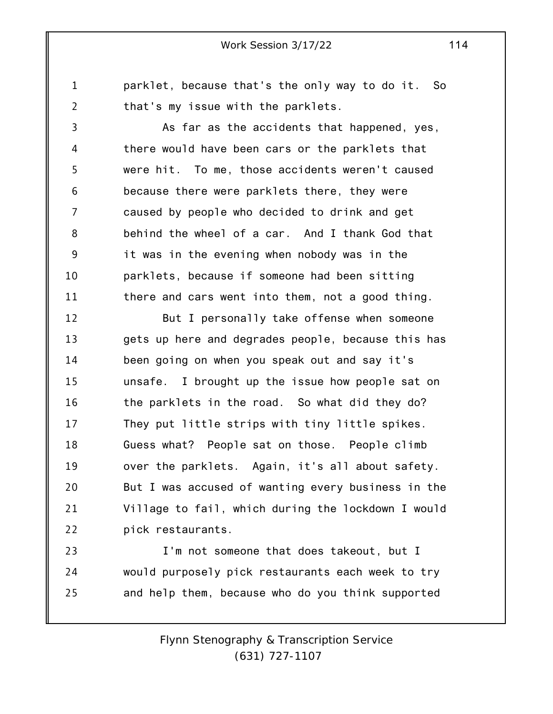parklet, because that's the only way to do it. So that's my issue with the parklets.

1

2

3 4 5 6 7 8 9 10 11 As far as the accidents that happened, yes, there would have been cars or the parklets that were hit. To me, those accidents weren't caused because there were parklets there, they were caused by people who decided to drink and get behind the wheel of a car. And I thank God that it was in the evening when nobody was in the parklets, because if someone had been sitting there and cars went into them, not a good thing.

12 13 14 15 16 17 18 19 20 21 22 But I personally take offense when someone gets up here and degrades people, because this has been going on when you speak out and say it's unsafe. I brought up the issue how people sat on the parklets in the road. So what did they do? They put little strips with tiny little spikes. Guess what? People sat on those. People climb over the parklets. Again, it's all about safety. But I was accused of wanting every business in the Village to fail, which during the lockdown I would pick restaurants.

23 24 25 I'm not someone that does takeout, but I would purposely pick restaurants each week to try and help them, because who do you think supported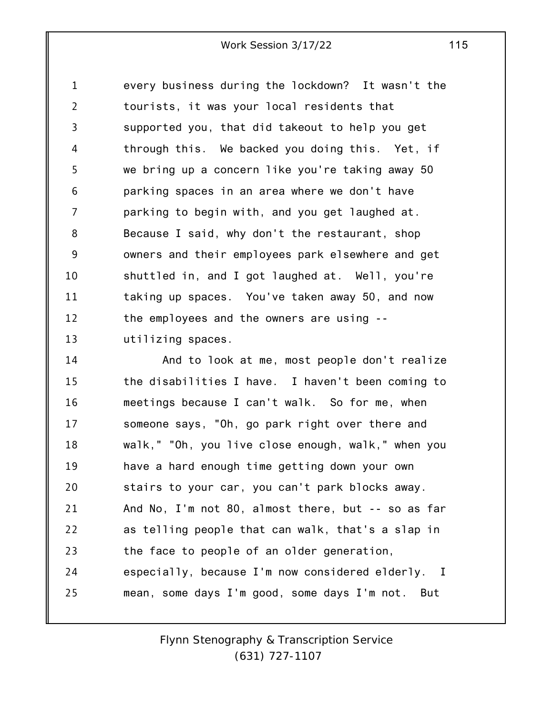1 2 3 4 5 6 7 8 9 10 11 12 13 every business during the lockdown? It wasn't the tourists, it was your local residents that supported you, that did takeout to help you get through this. We backed you doing this. Yet, if we bring up a concern like you're taking away 50 parking spaces in an area where we don't have parking to begin with, and you get laughed at. Because I said, why don't the restaurant, shop owners and their employees park elsewhere and get shuttled in, and I got laughed at. Well, you're taking up spaces. You've taken away 50, and now the employees and the owners are using - utilizing spaces.

14 15 16 17 18 19 20 21 22 23 24 25 And to look at me, most people don't realize the disabilities I have. I haven't been coming to meetings because I can't walk. So for me, when someone says, "Oh, go park right over there and walk," "Oh, you live close enough, walk," when you have a hard enough time getting down your own stairs to your car, you can't park blocks away. And No, I'm not 80, almost there, but -- so as far as telling people that can walk, that's a slap in the face to people of an older generation, especially, because I'm now considered elderly. I mean, some days I'm good, some days I'm not. But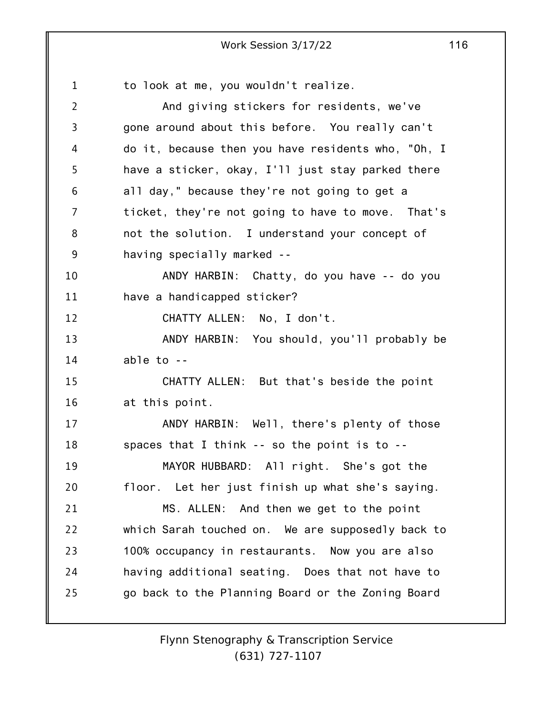1 2 3 4 5 6 7 8 9 10 11 12 13 14 15 16 17 18 19 20 21 22 23 24 25 to look at me, you wouldn't realize. And giving stickers for residents, we've gone around about this before. You really can't do it, because then you have residents who, "Oh, I have a sticker, okay, I'll just stay parked there all day," because they're not going to get a ticket, they're not going to have to move. That's not the solution. I understand your concept of having specially marked -- ANDY HARBIN: Chatty, do you have -- do you have a handicapped sticker? CHATTY ALLEN: No, I don't. ANDY HARBIN: You should, you'll probably be able to -- CHATTY ALLEN: But that's beside the point at this point. ANDY HARBIN: Well, there's plenty of those spaces that I think -- so the point is to -- MAYOR HUBBARD: All right. She's got the floor. Let her just finish up what she's saying. MS. ALLEN: And then we get to the point which Sarah touched on. We are supposedly back to 100% occupancy in restaurants. Now you are also having additional seating. Does that not have to go back to the Planning Board or the Zoning Board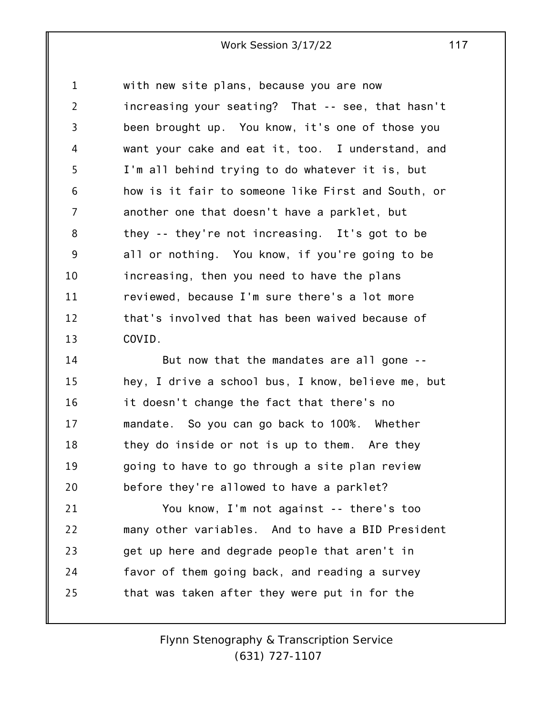1 2 3 4 5 6 7 8 9 10 11 12 13 with new site plans, because you are now increasing your seating? That -- see, that hasn't been brought up. You know, it's one of those you want your cake and eat it, too. I understand, and I'm all behind trying to do whatever it is, but how is it fair to someone like First and South, or another one that doesn't have a parklet, but they -- they're not increasing. It's got to be all or nothing. You know, if you're going to be increasing, then you need to have the plans reviewed, because I'm sure there's a lot more that's involved that has been waived because of COVID.

14 15 16 17 18 19 20 But now that the mandates are all gone - hey, I drive a school bus, I know, believe me, but it doesn't change the fact that there's no mandate. So you can go back to 100%. Whether they do inside or not is up to them. Are they going to have to go through a site plan review before they're allowed to have a parklet?

21 22 23 24 25 You know, I'm not against -- there's too many other variables. And to have a BID President get up here and degrade people that aren't in favor of them going back, and reading a survey that was taken after they were put in for the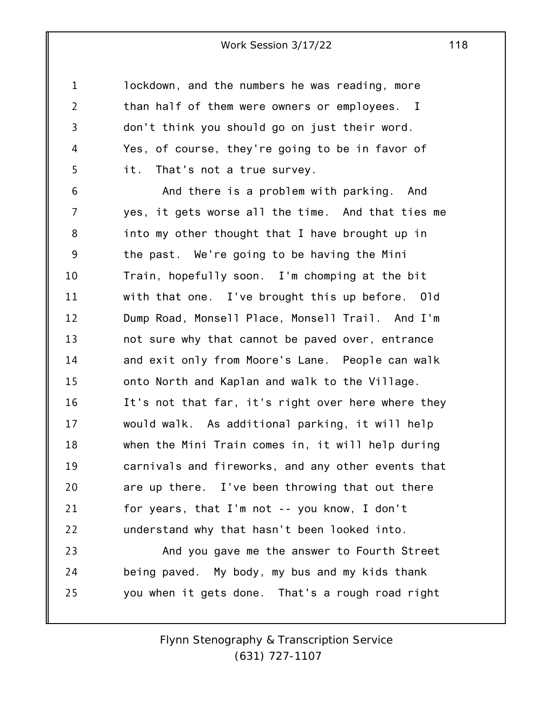1 2 3 4 5 lockdown, and the numbers he was reading, more than half of them were owners or employees. I don't think you should go on just their word. Yes, of course, they're going to be in favor of it. That's not a true survey.

6 7 8 9 10 11 12 13 14 15 16 17 18 19 20 21 22 And there is a problem with parking. And yes, it gets worse all the time. And that ties me into my other thought that I have brought up in the past. We're going to be having the Mini Train, hopefully soon. I'm chomping at the bit with that one. I've brought this up before. Old Dump Road, Monsell Place, Monsell Trail. And I'm not sure why that cannot be paved over, entrance and exit only from Moore's Lane. People can walk onto North and Kaplan and walk to the Village. It's not that far, it's right over here where they would walk. As additional parking, it will help when the Mini Train comes in, it will help during carnivals and fireworks, and any other events that are up there. I've been throwing that out there for years, that I'm not -- you know, I don't understand why that hasn't been looked into.

23 24 25 And you gave me the answer to Fourth Street being paved. My body, my bus and my kids thank you when it gets done. That's a rough road right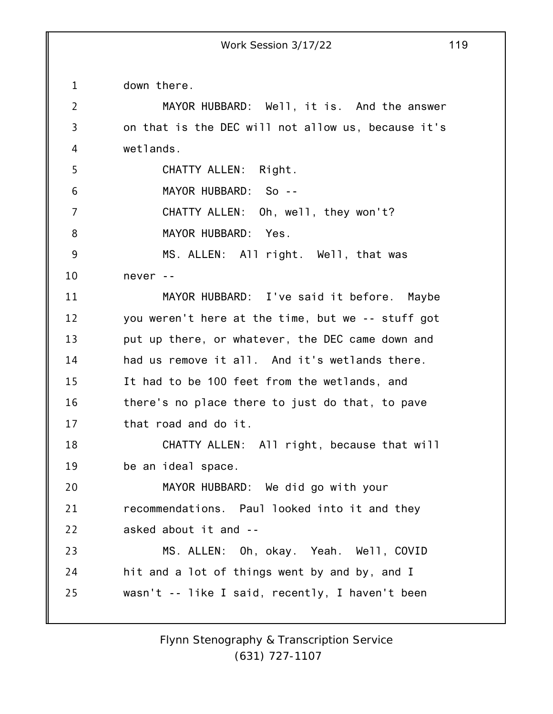1 down there.

| $\overline{2}$ | MAYOR HUBBARD: Well, it is. And the answer         |
|----------------|----------------------------------------------------|
| 3              | on that is the DEC will not allow us, because it's |
| 4              | wetlands.                                          |
| 5              | CHATTY ALLEN: Right.                               |
| 6              | MAYOR HUBBARD: So --                               |
| 7              | CHATTY ALLEN: Oh, well, they won't?                |
| 8              | MAYOR HUBBARD: Yes.                                |
| 9              | MS. ALLEN: All right. Well, that was               |
| 10             | never --                                           |
| 11             | MAYOR HUBBARD: I've said it before. Maybe          |
| 12             | you weren't here at the time, but we -- stuff got  |
| 13             | put up there, or whatever, the DEC came down and   |
| 14             | had us remove it all. And it's wetlands there.     |
| 15             | It had to be 100 feet from the wetlands, and       |
| 16             | there's no place there to just do that, to pave    |
| 17             | that road and do it.                               |
| 18             | CHATTY ALLEN: All right, because that will         |
| 19             | be an ideal space.                                 |
| 20             | MAYOR HUBBARD: We did go with your                 |
| 21             | recommendations. Paul looked into it and they      |
| 22             | asked about it and --                              |
| 23             | MS. ALLEN: Oh, okay. Yeah. Well, COVID             |
| 24             | hit and a lot of things went by and by, and I      |
| 25             | wasn't -- like I said, recently, I haven't been    |
|                |                                                    |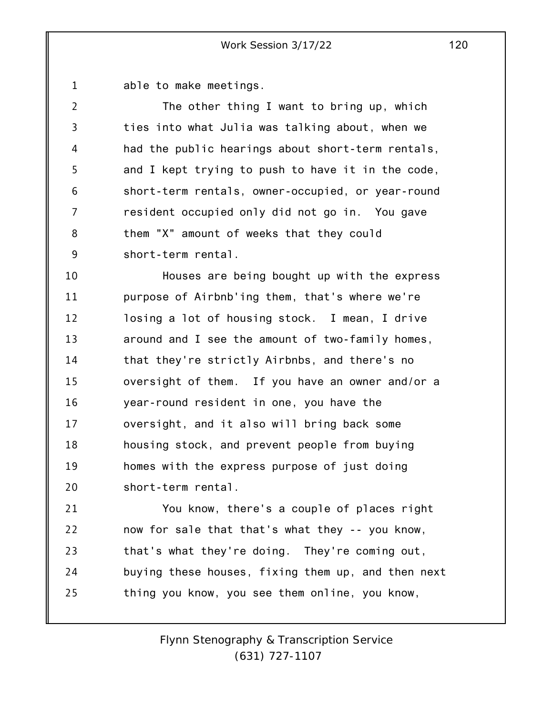1 able to make meetings.

2 3 4 5 6 7 8 9 The other thing I want to bring up, which ties into what Julia was talking about, when we had the public hearings about short-term rentals, and I kept trying to push to have it in the code, short-term rentals, owner-occupied, or year-round resident occupied only did not go in. You gave them "X" amount of weeks that they could short-term rental.

10 11 12 13 14 15 16 17 18 19 20 Houses are being bought up with the express purpose of Airbnb'ing them, that's where we're losing a lot of housing stock. I mean, I drive around and I see the amount of two-family homes, that they're strictly Airbnbs, and there's no oversight of them. If you have an owner and/or a year-round resident in one, you have the oversight, and it also will bring back some housing stock, and prevent people from buying homes with the express purpose of just doing short-term rental.

21 22 23 24 25 You know, there's a couple of places right now for sale that that's what they -- you know, that's what they're doing. They're coming out, buying these houses, fixing them up, and then next thing you know, you see them online, you know,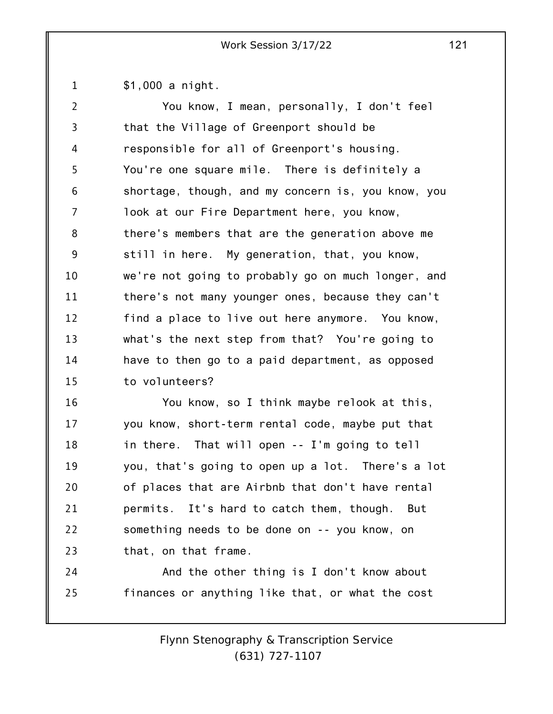1 \$1,000 a night.

| $\overline{2}$ | You know, I mean, personally, I don't feel         |  |  |
|----------------|----------------------------------------------------|--|--|
| 3              | that the Village of Greenport should be            |  |  |
| 4              | responsible for all of Greenport's housing.        |  |  |
| 5              | You're one square mile. There is definitely a      |  |  |
| 6              | shortage, though, and my concern is, you know, you |  |  |
| 7              | look at our Fire Department here, you know,        |  |  |
| 8              | there's members that are the generation above me   |  |  |
| 9              | still in here. My generation, that, you know,      |  |  |
| 10             | we're not going to probably go on much longer, and |  |  |
| 11             | there's not many younger ones, because they can't  |  |  |
| 12             | find a place to live out here anymore. You know,   |  |  |
| 13             | what's the next step from that? You're going to    |  |  |
| 14             | have to then go to a paid department, as opposed   |  |  |
| 15             | to volunteers?                                     |  |  |
| 16             | You know, so I think maybe relook at this,         |  |  |
| 17             | you know, short-term rental code, maybe put that   |  |  |
| 18             | in there. That will open -- I'm going to tell      |  |  |
| 19             | you, that's going to open up a lot. There's a lot  |  |  |
| 20             | of places that are Airbnb that don't have rental   |  |  |
| 21             | permits. It's hard to catch them, though.<br>But   |  |  |

22 23 something needs to be done on -- you know, on that, on that frame.

24 25 And the other thing is I don't know about finances or anything like that, or what the cost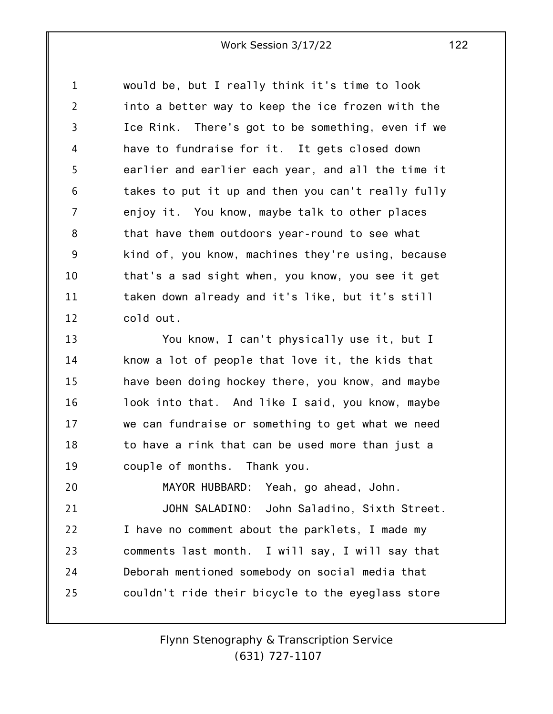1 2 3 4 5 6 7 8 9 10 11 12 would be, but I really think it's time to look into a better way to keep the ice frozen with the Ice Rink. There's got to be something, even if we have to fundraise for it. It gets closed down earlier and earlier each year, and all the time it takes to put it up and then you can't really fully enjoy it. You know, maybe talk to other places that have them outdoors year-round to see what kind of, you know, machines they're using, because that's a sad sight when, you know, you see it get taken down already and it's like, but it's still cold out.

13 14 15 16 17 18 19 You know, I can't physically use it, but I know a lot of people that love it, the kids that have been doing hockey there, you know, and maybe look into that. And like I said, you know, maybe we can fundraise or something to get what we need to have a rink that can be used more than just a couple of months. Thank you.

20 21 22 23 24 25 MAYOR HUBBARD: Yeah, go ahead, John. JOHN SALADINO: John Saladino, Sixth Street. I have no comment about the parklets, I made my comments last month. I will say, I will say that Deborah mentioned somebody on social media that couldn't ride their bicycle to the eyeglass store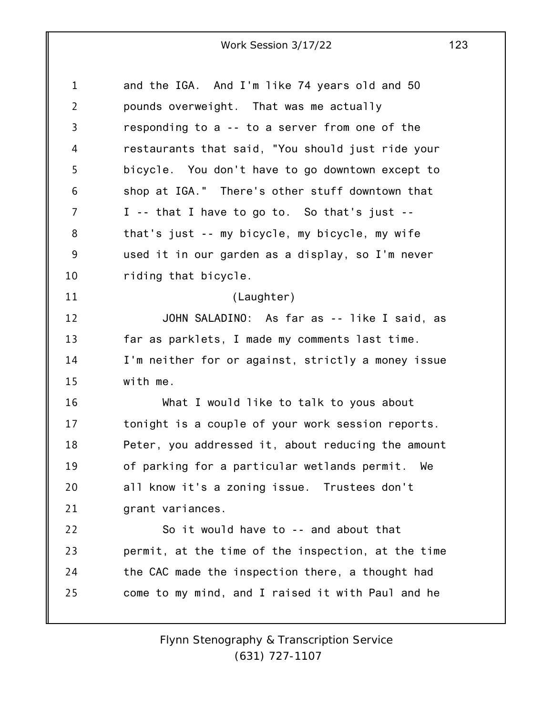| $\mathbf 1$    | and the IGA. And I'm like 74 years old and 50      |
|----------------|----------------------------------------------------|
| $\overline{2}$ | pounds overweight. That was me actually            |
| 3              | responding to a -- to a server from one of the     |
| 4              | restaurants that said, "You should just ride your  |
| 5              | bicycle. You don't have to go downtown except to   |
| 6              | shop at IGA." There's other stuff downtown that    |
| 7              | I -- that I have to go to. So that's just --       |
| 8              | that's just -- my bicycle, my bicycle, my wife     |
| 9              | used it in our garden as a display, so I'm never   |
| 10             | riding that bicycle.                               |
| 11             | (Laughter)                                         |
| 12             | JOHN SALADINO: As far as -- like I said, as        |
| 13             | far as parklets, I made my comments last time.     |
| 14             | I'm neither for or against, strictly a money issue |
| 15             | with me.                                           |
| 16             | What I would like to talk to yous about            |
| 17             | tonight is a couple of your work session reports.  |
| 18             | Peter, you addressed it, about reducing the amount |
| 19             | of parking for a particular wetlands permit. We    |
| 20             | all know it's a zoning issue. Trustees don't       |
| 21             | grant variances.                                   |
| 22             | So it would have to -- and about that              |
| 23             | permit, at the time of the inspection, at the time |
| 24             | the CAC made the inspection there, a thought had   |
| 25             | come to my mind, and I raised it with Paul and he  |
|                |                                                    |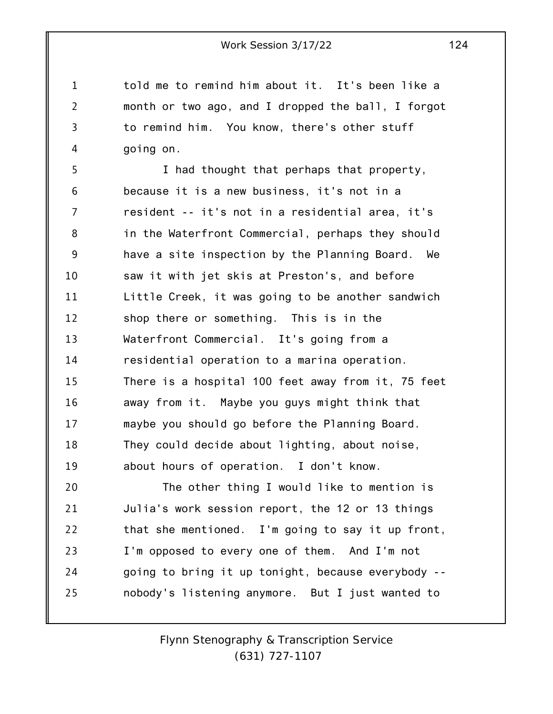told me to remind him about it. It's been like a month or two ago, and I dropped the ball, I forgot to remind him. You know, there's other stuff going on.

1

2

3

4

5 6 7 8 9 10 11 12 13 14 15 16 17 18 19 20 I had thought that perhaps that property, because it is a new business, it's not in a resident -- it's not in a residential area, it's in the Waterfront Commercial, perhaps they should have a site inspection by the Planning Board. We saw it with jet skis at Preston's, and before Little Creek, it was going to be another sandwich shop there or something. This is in the Waterfront Commercial. It's going from a residential operation to a marina operation. There is a hospital 100 feet away from it, 75 feet away from it. Maybe you guys might think that maybe you should go before the Planning Board. They could decide about lighting, about noise, about hours of operation. I don't know. The other thing I would like to mention is

21 22 23 24 25 Julia's work session report, the 12 or 13 things that she mentioned. I'm going to say it up front, I'm opposed to every one of them. And I'm not going to bring it up tonight, because everybody - nobody's listening anymore. But I just wanted to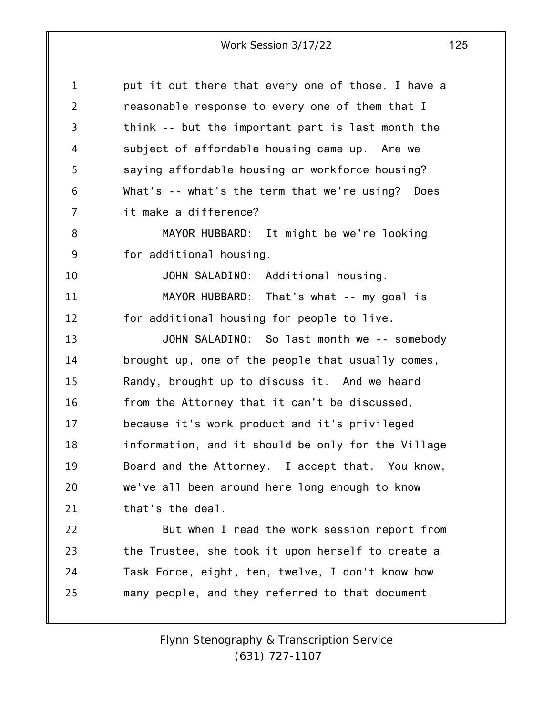| $\mathbf{1}$   | put it out there that every one of those, I have a |  |  |
|----------------|----------------------------------------------------|--|--|
| $\overline{2}$ | reasonable response to every one of them that I    |  |  |
| 3              | think -- but the important part is last month the  |  |  |
| 4              | subject of affordable housing came up. Are we      |  |  |
| 5              | saying affordable housing or workforce housing?    |  |  |
| 6              | What's -- what's the term that we're using? Does   |  |  |
| 7              | it make a difference?                              |  |  |
| 8              | MAYOR HUBBARD: It might be we're looking           |  |  |
| 9              | for additional housing.                            |  |  |
| 10             | JOHN SALADINO: Additional housing.                 |  |  |
| 11             | MAYOR HUBBARD: That's what -- my goal is           |  |  |
| 12             | for additional housing for people to live.         |  |  |
| 13             | JOHN SALADINO: So last month we -- somebody        |  |  |
| 14             | brought up, one of the people that usually comes,  |  |  |
| 15             | Randy, brought up to discuss it. And we heard      |  |  |
| 16             | from the Attorney that it can't be discussed,      |  |  |
| 17             | because it's work product and it's privileged      |  |  |
| 18             | information, and it should be only for the Village |  |  |
| 19             | Board and the Attorney. I accept that. You know    |  |  |
| 20             | we've all been around here long enough to know     |  |  |
| 21             | that's the deal.                                   |  |  |
| 22             | But when I read the work session report from       |  |  |
| 23             | the Trustee, she took it upon herself to create a  |  |  |
| 24             | Task Force, eight, ten, twelve, I don't know how   |  |  |
| 25             | many people, and they referred to that document.   |  |  |
|                |                                                    |  |  |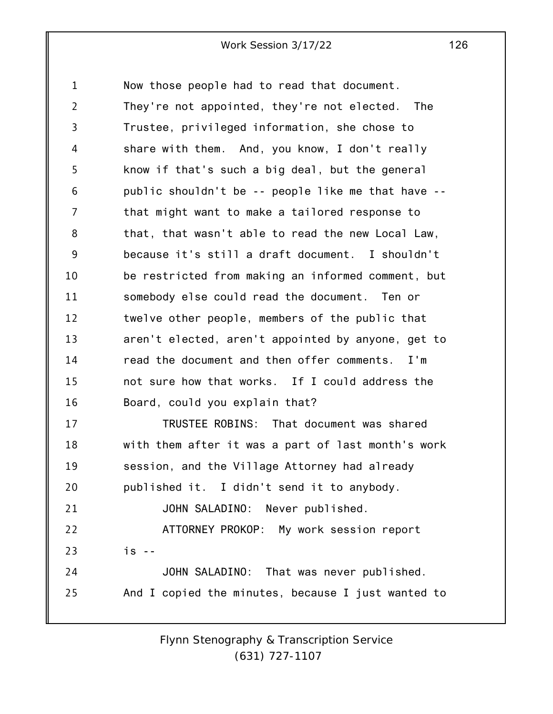1 2 3 4 5 6 7 8 9 10 11 12 13 14 15 16 17 18 19 20 21 22 23 24 25 Now those people had to read that document. They're not appointed, they're not elected. The Trustee, privileged information, she chose to share with them. And, you know, I don't really know if that's such a big deal, but the general public shouldn't be -- people like me that have - that might want to make a tailored response to that, that wasn't able to read the new Local Law, because it's still a draft document. I shouldn't be restricted from making an informed comment, but somebody else could read the document. Ten or twelve other people, members of the public that aren't elected, aren't appointed by anyone, get to read the document and then offer comments. I'm not sure how that works. If I could address the Board, could you explain that? TRUSTEE ROBINS: That document was shared with them after it was a part of last month's work session, and the Village Attorney had already published it. I didn't send it to anybody. JOHN SALADINO: Never published. ATTORNEY PROKOP: My work session report is -- JOHN SALADINO: That was never published. And I copied the minutes, because I just wanted to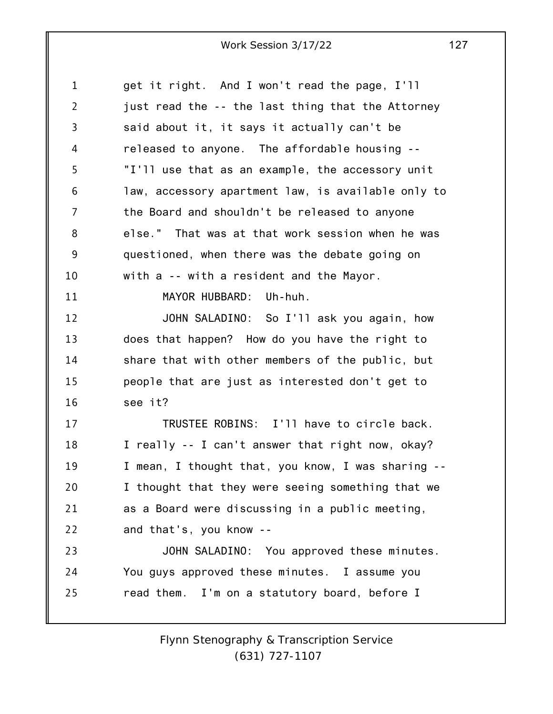| $\mathbf{1}$   | get it right. And I won't read the page, I'll      |
|----------------|----------------------------------------------------|
| $\overline{2}$ | just read the -- the last thing that the Attorney  |
| 3              | said about it, it says it actually can't be        |
| 4              | released to anyone. The affordable housing --      |
| 5              | "I'll use that as an example, the accessory unit   |
| 6              | law, accessory apartment law, is available only to |
| $\overline{7}$ | the Board and shouldn't be released to anyone      |
| 8              | else." That was at that work session when he was   |
| 9              | questioned, when there was the debate going on     |
| 10             | with a -- with a resident and the Mayor.           |
| 11             | MAYOR HUBBARD: Uh-huh.                             |
| 12             | JOHN SALADINO: So I'll ask you again, how          |
| 13             | does that happen? How do you have the right to     |
| 14             | share that with other members of the public, but   |
| 15             | people that are just as interested don't get to    |
| 16             | see it?                                            |
| 17             | TRUSTEE ROBINS: I'll have to circle back.          |
| 18             | I really -- I can't answer that right now, okay?   |
| 19             | I mean, I thought that, you know, I was sharing -- |
| 20             | I thought that they were seeing something that we  |
| 21             | as a Board were discussing in a public meeting,    |
| 22             | and that's, you know --                            |
| 23             | JOHN SALADINO: You approved these minutes.         |
| 24             | You guys approved these minutes. I assume you      |
| 25             | read them. I'm on a statutory board, before I      |
|                |                                                    |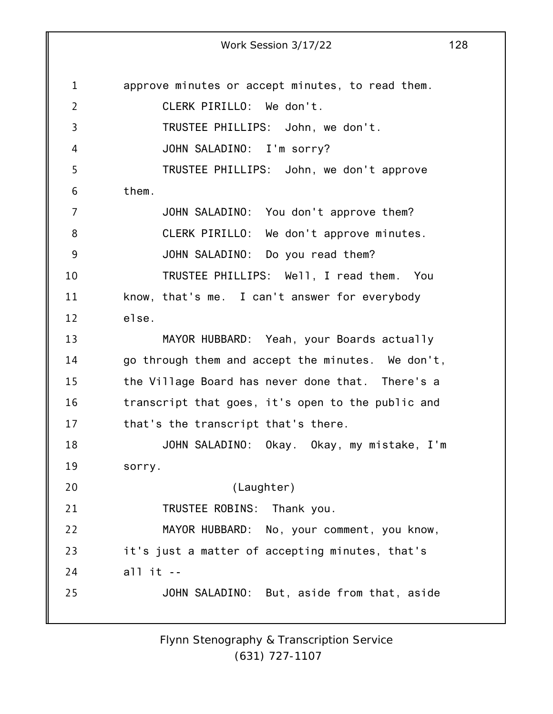1 2 3 4 5 6 7 8 9 10 11 12 13 14 15 16 17 18 19 20 21 22 23 24 25 approve minutes or accept minutes, to read them. CLERK PIRILLO: We don't. TRUSTEE PHILLIPS: John, we don't. JOHN SALADINO: I'm sorry? TRUSTEE PHILLIPS: John, we don't approve them. JOHN SALADINO: You don't approve them? CLERK PIRILLO: We don't approve minutes. JOHN SALADINO: Do you read them? TRUSTEE PHILLIPS: Well, I read them. You know, that's me. I can't answer for everybody else. MAYOR HUBBARD: Yeah, your Boards actually go through them and accept the minutes. We don't, the Village Board has never done that. There's a transcript that goes, it's open to the public and that's the transcript that's there. JOHN SALADINO: Okay. Okay, my mistake, I'm sorry. (Laughter) TRUSTEE ROBINS: Thank you. MAYOR HUBBARD: No, your comment, you know, it's just a matter of accepting minutes, that's all it -- JOHN SALADINO: But, aside from that, aside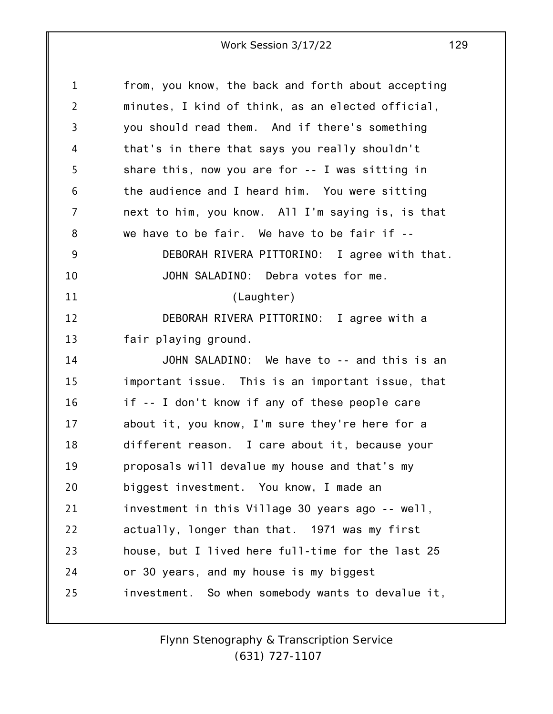| $\mathbf{1}$   | from, you know, the back and forth about accepting |
|----------------|----------------------------------------------------|
| $\overline{2}$ | minutes, I kind of think, as an elected official,  |
| 3              | you should read them. And if there's something     |
| 4              | that's in there that says you really shouldn't     |
| 5              | share this, now you are for $-$ - I was sitting in |
| 6              | the audience and I heard him. You were sitting     |
| 7              | next to him, you know. All I'm saying is, is that  |
| 8              | we have to be fair. We have to be fair if --       |
| 9              | DEBORAH RIVERA PITTORINO: I agree with that.       |
| 10             | JOHN SALADINO: Debra votes for me.                 |
| 11             | (Laughter)                                         |
| 12             | DEBORAH RIVERA PITTORINO: I agree with a           |
| 13             | fair playing ground.                               |
| 14             | JOHN SALADINO: We have to -- and this is an        |
| 15             | important issue. This is an important issue, that  |
| 16             | if -- I don't know if any of these people care     |
| 17             | about it, you know, I'm sure they're here for a    |
| 18             | different reason. I care about it, because your    |
| 19             | proposals will devalue my house and that's my      |
| 20             | biggest investment. You know, I made an            |
| 21             | investment in this Village 30 years ago -- well,   |
| 22             | actually, longer than that. 1971 was my first      |
| 23             | house, but I lived here full-time for the last 25  |
| 24             | or 30 years, and my house is my biggest            |
| 25             | investment. So when somebody wants to devalue it,  |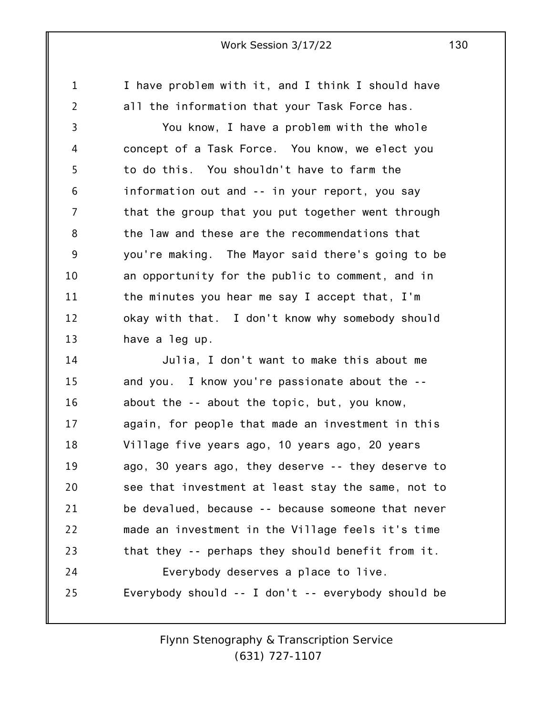I have problem with it, and I think I should have all the information that your Task Force has.

1

2

3 4 5 6 7 8 9 10 11 12 13 You know, I have a problem with the whole concept of a Task Force. You know, we elect you to do this. You shouldn't have to farm the information out and -- in your report, you say that the group that you put together went through the law and these are the recommendations that you're making. The Mayor said there's going to be an opportunity for the public to comment, and in the minutes you hear me say I accept that, I'm okay with that. I don't know why somebody should have a leg up.

14 15 16 17 18 19 20 21 22 23 24 25 Julia, I don't want to make this about me and you. I know you're passionate about the - about the -- about the topic, but, you know, again, for people that made an investment in this Village five years ago, 10 years ago, 20 years ago, 30 years ago, they deserve -- they deserve to see that investment at least stay the same, not to be devalued, because -- because someone that never made an investment in the Village feels it's time that they -- perhaps they should benefit from it. Everybody deserves a place to live. Everybody should -- I don't -- everybody should be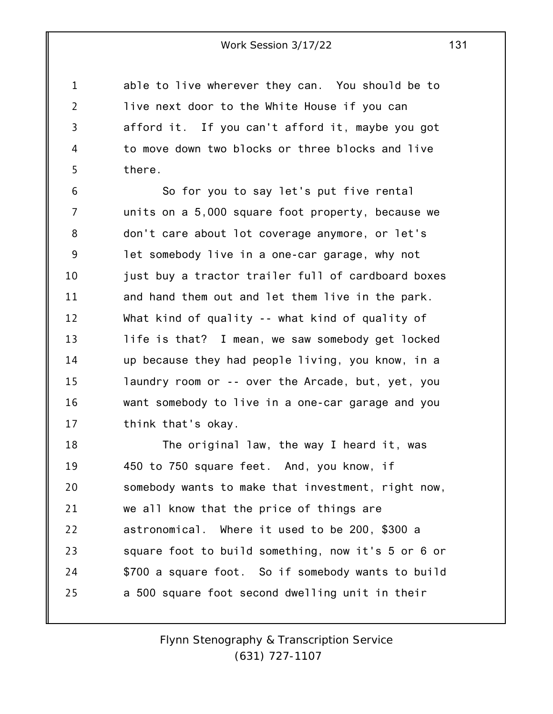1 2 3 4 5 able to live wherever they can. You should be to live next door to the White House if you can afford it. If you can't afford it, maybe you got to move down two blocks or three blocks and live there.

6 7 8 9 10 11 12 13 14 15 16 17 So for you to say let's put five rental units on a 5,000 square foot property, because we don't care about lot coverage anymore, or let's let somebody live in a one-car garage, why not just buy a tractor trailer full of cardboard boxes and hand them out and let them live in the park. What kind of quality -- what kind of quality of life is that? I mean, we saw somebody get locked up because they had people living, you know, in a laundry room or -- over the Arcade, but, yet, you want somebody to live in a one-car garage and you think that's okay.

18 19 20 21 22 23 24 25 The original law, the way I heard it, was 450 to 750 square feet. And, you know, if somebody wants to make that investment, right now, we all know that the price of things are astronomical. Where it used to be 200, \$300 a square foot to build something, now it's 5 or 6 or \$700 a square foot. So if somebody wants to build a 500 square foot second dwelling unit in their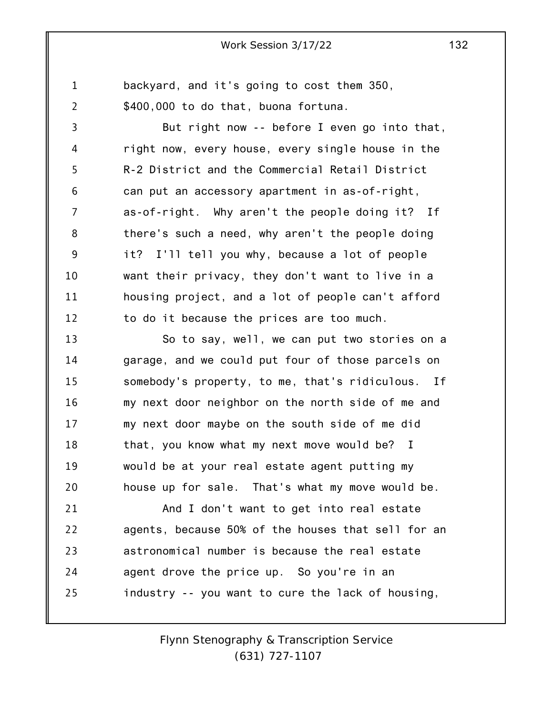1 2 backyard, and it's going to cost them 350, \$400,000 to do that, buona fortuna.

3 4 5 6 7 8 9 10 11 12 But right now -- before I even go into that, right now, every house, every single house in the R-2 District and the Commercial Retail District can put an accessory apartment in as-of-right, as-of-right. Why aren't the people doing it? If there's such a need, why aren't the people doing it? I'll tell you why, because a lot of people want their privacy, they don't want to live in a housing project, and a lot of people can't afford to do it because the prices are too much.

13 14 15 16 17 18 19 20 So to say, well, we can put two stories on a garage, and we could put four of those parcels on somebody's property, to me, that's ridiculous. If my next door neighbor on the north side of me and my next door maybe on the south side of me did that, you know what my next move would be? I would be at your real estate agent putting my house up for sale. That's what my move would be.

21 22 23 24 25 And I don't want to get into real estate agents, because 50% of the houses that sell for an astronomical number is because the real estate agent drove the price up. So you're in an industry -- you want to cure the lack of housing,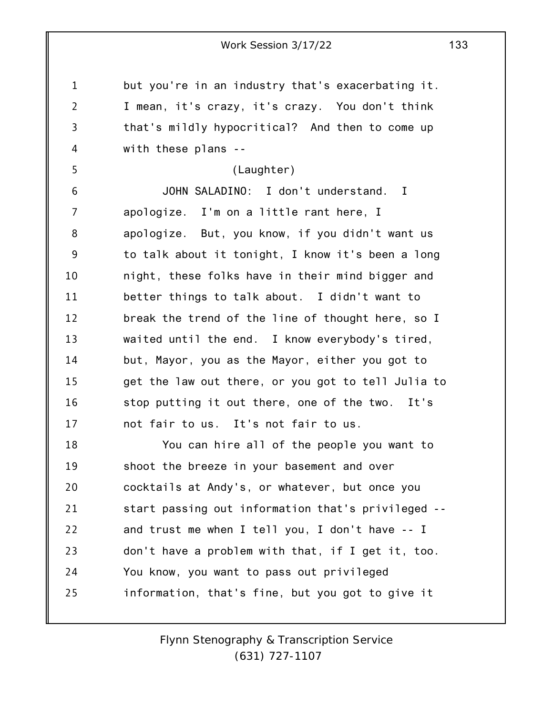1 2 3 4 5 6 7 8 9 10 11 12 13 14 15 16 17 18 19 20 21 22 23 24 25 Work Session 3/17/22 133 but you're in an industry that's exacerbating it. I mean, it's crazy, it's crazy. You don't think that's mildly hypocritical? And then to come up with these plans -- (Laughter) JOHN SALADINO: I don't understand. I apologize. I'm on a little rant here, I apologize. But, you know, if you didn't want us to talk about it tonight, I know it's been a long night, these folks have in their mind bigger and better things to talk about. I didn't want to break the trend of the line of thought here, so I waited until the end. I know everybody's tired, but, Mayor, you as the Mayor, either you got to get the law out there, or you got to tell Julia to stop putting it out there, one of the two. It's not fair to us. It's not fair to us. You can hire all of the people you want to shoot the breeze in your basement and over cocktails at Andy's, or whatever, but once you start passing out information that's privileged - and trust me when I tell you, I don't have -- I don't have a problem with that, if I get it, too. You know, you want to pass out privileged information, that's fine, but you got to give it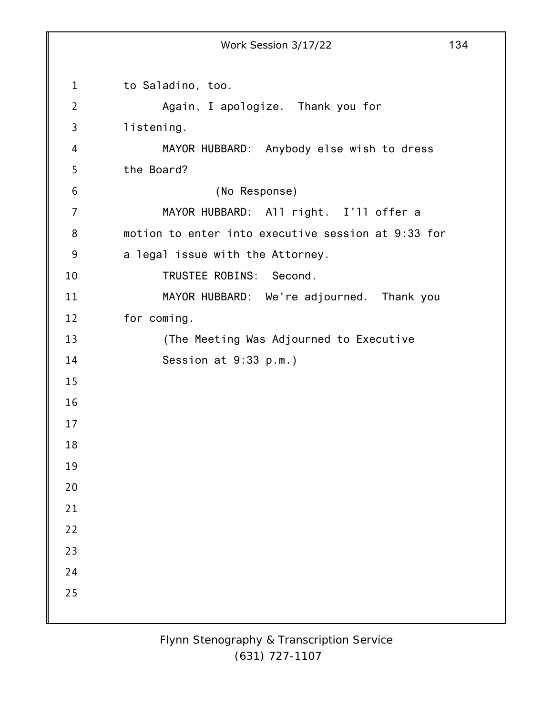1 2 3 4 5 6 7 8 9 10 11 12 13 14 15 16 17 18 19 20 21 22 23 24 25 Work Session 3/17/22 134 to Saladino, too. Again, I apologize. Thank you for listening. MAYOR HUBBARD: Anybody else wish to dress the Board? (No Response) MAYOR HUBBARD: All right. I'll offer a motion to enter into executive session at 9:33 for a legal issue with the Attorney. TRUSTEE ROBINS: Second. MAYOR HUBBARD: We're adjourned. Thank you for coming. (The Meeting Was Adjourned to Executive Session at 9:33 p.m.)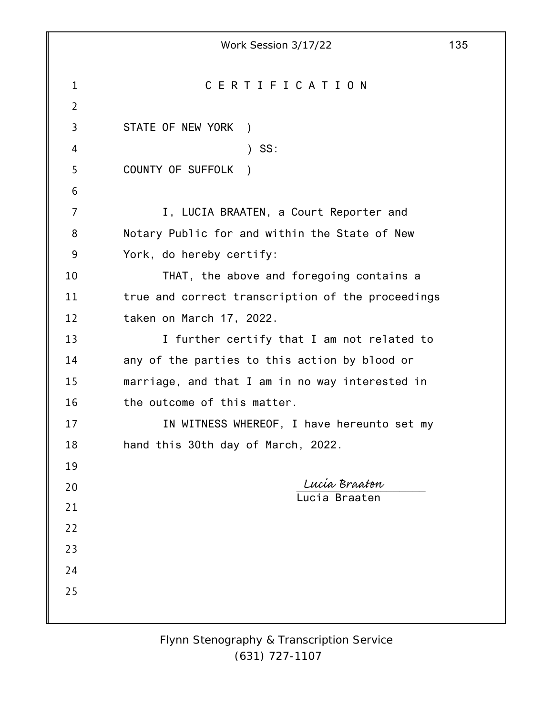|                | Work Session 3/17/22                              | 135 |
|----------------|---------------------------------------------------|-----|
|                |                                                   |     |
| $\mathbf{1}$   | CERTIFICATION                                     |     |
| $\overline{2}$ |                                                   |     |
| 3              | STATE OF NEW YORK<br>$\rightarrow$                |     |
| 4              | SS:<br>$\mathcal{L}$                              |     |
| 5              | COUNTY OF SUFFOLK                                 |     |
| 6              |                                                   |     |
| 7              | I, LUCIA BRAATEN, a Court Reporter and            |     |
| 8              | Notary Public for and within the State of New     |     |
| 9              | York, do hereby certify:                          |     |
| 10             | THAT, the above and foregoing contains a          |     |
| 11             | true and correct transcription of the proceedings |     |
| 12             | taken on March 17, 2022.                          |     |
| 13             | I further certify that I am not related to        |     |
| 14             | any of the parties to this action by blood or     |     |
| 15             | marriage, and that I am in no way interested in   |     |
| 16             | the outcome of this matter.                       |     |
| 17             | IN WITNESS WHEREOF, I have hereunto set my        |     |
| 18             | hand this 30th day of March, 2022.                |     |
| 19             |                                                   |     |
| 20             | Lucia Braaten<br>Lucia Braaten                    |     |
| 21             |                                                   |     |
| 22             |                                                   |     |
| 23             |                                                   |     |
| 24             |                                                   |     |
| 25             |                                                   |     |
|                |                                                   |     |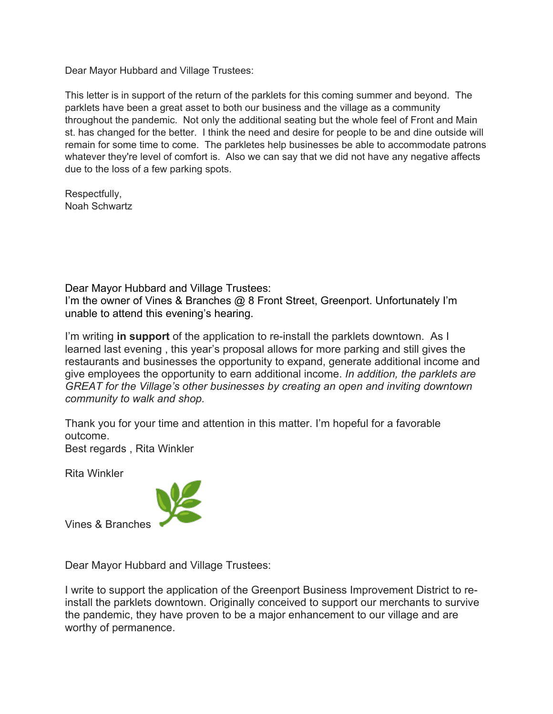Dear Mayor Hubbard and Village Trustees:

This letter is in support of the return of the parklets for this coming summer and beyond. The parklets have been a great asset to both our business and the village as a community throughout the pandemic. Not only the additional seating but the whole feel of Front and Main st. has changed for the better. I think the need and desire for people to be and dine outside will remain for some time to come. The parkletes help businesses be able to accommodate patrons whatever they're level of comfort is. Also we can say that we did not have any negative affects due to the loss of a few parking spots.

Respectfully, Noah Schwartz

Dear Mayor Hubbard and Village Trustees: I'm the owner of Vines & Branches @ 8 Front Street, Greenport. Unfortunately I'm unable to attend this evening's hearing.

I'm writing **in support** of the application to re-install the parklets downtown. As I learned last evening , this year's proposal allows for more parking and still gives the restaurants and businesses the opportunity to expand, generate additional income and give employees the opportunity to earn additional income. *In addition, the parklets are GREAT for the Village's other businesses by creating an open and inviting downtown community to walk and shop.*

Thank you for your time and attention in this matter. I'm hopeful for a favorable outcome.

Best regards , Rita Winkler

Rita Winkler



Vines & Branches

Dear Mayor Hubbard and Village Trustees:

I write to support the application of the Greenport Business Improvement District to reinstall the parklets downtown. Originally conceived to support our merchants to survive the pandemic, they have proven to be a major enhancement to our village and are worthy of permanence.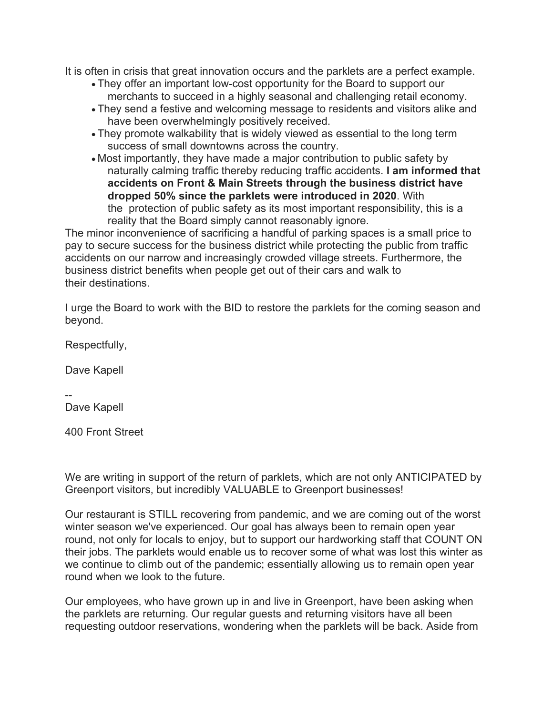It is often in crisis that great innovation occurs and the parklets are a perfect example.

- They offer an important low-cost opportunity for the Board to support our merchants to succeed in a highly seasonal and challenging retail economy.
- They send a festive and welcoming message to residents and visitors alike and have been overwhelmingly positively received.
- They promote walkability that is widely viewed as essential to the long term success of small downtowns across the country.

• Most importantly, they have made a major contribution to public safety by naturally calming traffic thereby reducing traffic accidents. **I am informed that accidents on Front & Main Streets through the business district have dropped 50% since the parklets were introduced in 2020**. With the protection of public safety as its most important responsibility, this is a reality that the Board simply cannot reasonably ignore.

The minor inconvenience of sacrificing a handful of parking spaces is a small price to pay to secure success for the business district while protecting the public from traffic accidents on our narrow and increasingly crowded village streets. Furthermore, the business district benefits when people get out of their cars and walk to their destinations.

I urge the Board to work with the BID to restore the parklets for the coming season and beyond.

Respectfully,

Dave Kapell

--

Dave Kapell

400 Front Street

We are writing in support of the return of parklets, which are not only ANTICIPATED by Greenport visitors, but incredibly VALUABLE to Greenport businesses!

Our restaurant is STILL recovering from pandemic, and we are coming out of the worst winter season we've experienced. Our goal has always been to remain open year round, not only for locals to enjoy, but to support our hardworking staff that COUNT ON their jobs. The parklets would enable us to recover some of what was lost this winter as we continue to climb out of the pandemic; essentially allowing us to remain open year round when we look to the future.

Our employees, who have grown up in and live in Greenport, have been asking when the parklets are returning. Our regular guests and returning visitors have all been requesting outdoor reservations, wondering when the parklets will be back. Aside from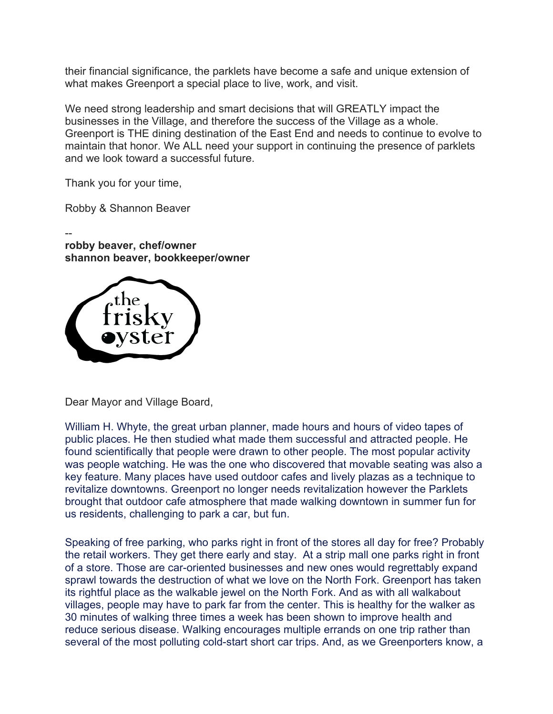their financial significance, the parklets have become a safe and unique extension of what makes Greenport a special place to live, work, and visit.

We need strong leadership and smart decisions that will GREATLY impact the businesses in the Village, and therefore the success of the Village as a whole. Greenport is THE dining destination of the East End and needs to continue to evolve to maintain that honor. We ALL need your support in continuing the presence of parklets and we look toward a successful future.

Thank you for your time,

Robby & Shannon Beaver

- **robby beaver, chef/owner shannon beaver, bookkeeper/owner**



Dear Mayor and Village Board,

William H. Whyte, the great urban planner, made hours and hours of video tapes of public places. He then studied what made them successful and attracted people. He found scientifically that people were drawn to other people. The most popular activity was people watching. He was the one who discovered that movable seating was also a key feature. Many places have used outdoor cafes and lively plazas as a technique to revitalize downtowns. Greenport no longer needs revitalization however the Parklets brought that outdoor cafe atmosphere that made walking downtown in summer fun for us residents, challenging to park a car, but fun.

Speaking of free parking, who parks right in front of the stores all day for free? Probably the retail workers. They get there early and stay. At a strip mall one parks right in front of a store. Those are car-oriented businesses and new ones would regrettably expand sprawl towards the destruction of what we love on the North Fork. Greenport has taken its rightful place as the walkable jewel on the North Fork. And as with all walkabout villages, people may have to park far from the center. This is healthy for the walker as 30 minutes of walking three times a week has been shown to improve health and reduce serious disease. Walking encourages multiple errands on one trip rather than several of the most polluting cold-start short car trips. And, as we Greenporters know, a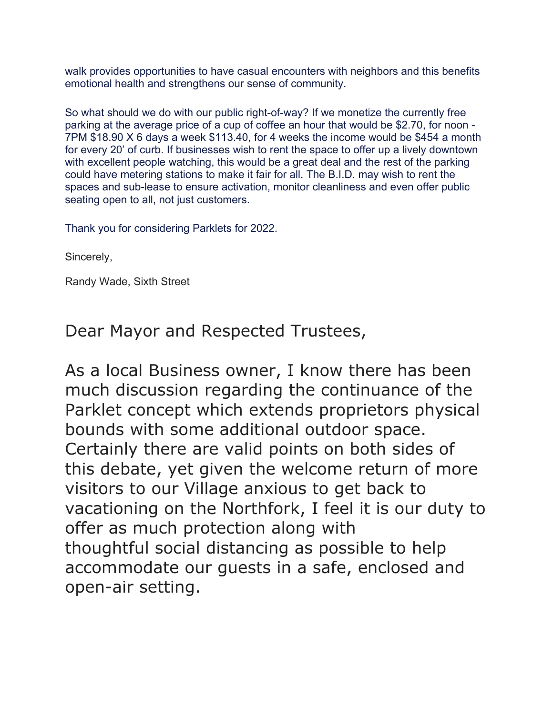walk provides opportunities to have casual encounters with neighbors and this benefits emotional health and strengthens our sense of community.

So what should we do with our public right-of-way? If we monetize the currently free parking at the average price of a cup of coffee an hour that would be \$2.70, for noon - 7PM \$18.90 X 6 days a week \$113.40, for 4 weeks the income would be \$454 a month for every 20' of curb. If businesses wish to rent the space to offer up a lively downtown with excellent people watching, this would be a great deal and the rest of the parking could have metering stations to make it fair for all. The B.I.D. may wish to rent the spaces and sub-lease to ensure activation, monitor cleanliness and even offer public seating open to all, not just customers.

Thank you for considering Parklets for 2022.

Sincerely,

Randy Wade, Sixth Street

Dear Mayor and Respected Trustees,

As a local Business owner, I know there has been much discussion regarding the continuance of the Parklet concept which extends proprietors physical bounds with some additional outdoor space. Certainly there are valid points on both sides of this debate, yet given the welcome return of more visitors to our Village anxious to get back to vacationing on the Northfork, I feel it is our duty to offer as much protection along with thoughtful social distancing as possible to help accommodate our guests in a safe, enclosed and open-air setting.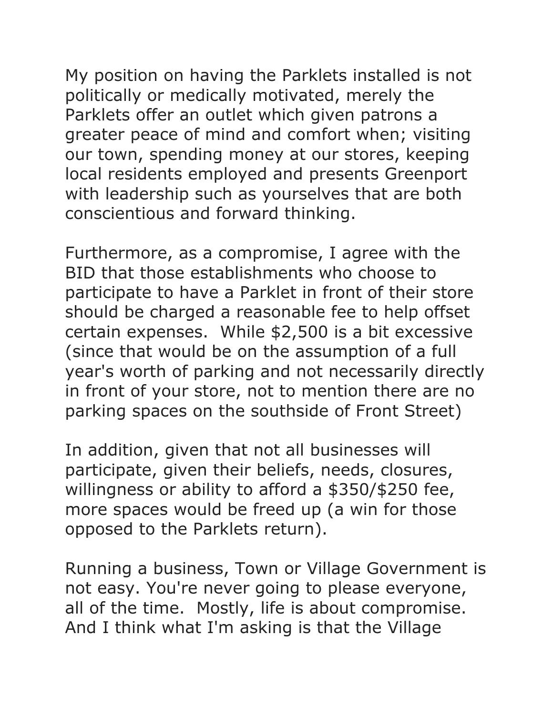My position on having the Parklets installed is not politically or medically motivated, merely the Parklets offer an outlet which given patrons a greater peace of mind and comfort when; visiting our town, spending money at our stores, keeping local residents employed and presents Greenport with leadership such as yourselves that are both conscientious and forward thinking.

Furthermore, as a compromise, I agree with the BID that those establishments who choose to participate to have a Parklet in front of their store should be charged a reasonable fee to help offset certain expenses. While \$2,500 is a bit excessive (since that would be on the assumption of a full year's worth of parking and not necessarily directly in front of your store, not to mention there are no parking spaces on the southside of Front Street)

In addition, given that not all businesses will participate, given their beliefs, needs, closures, willingness or ability to afford a \$350/\$250 fee, more spaces would be freed up (a win for those opposed to the Parklets return).

Running a business, Town or Village Government is not easy. You're never going to please everyone, all of the time. Mostly, life is about compromise. And I think what I'm asking is that the Village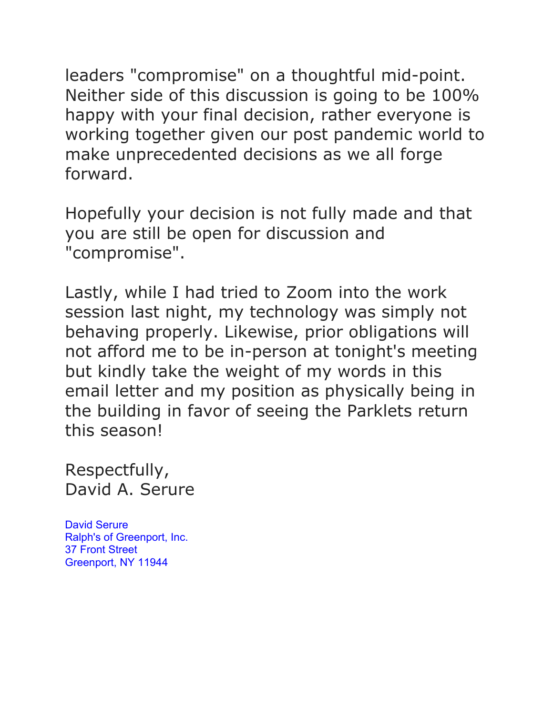leaders "compromise" on a thoughtful mid-point. Neither side of this discussion is going to be 100% happy with your final decision, rather everyone is working together given our post pandemic world to make unprecedented decisions as we all forge forward.

Hopefully your decision is not fully made and that you are still be open for discussion and "compromise".

Lastly, while I had tried to Zoom into the work session last night, my technology was simply not behaving properly. Likewise, prior obligations will not afford me to be in-person at tonight's meeting but kindly take the weight of my words in this email letter and my position as physically being in the building in favor of seeing the Parklets return this season!

Respectfully, David A. Serure

David Serure Ralph's of Greenport, Inc. 37 Front Street Greenport, NY 11944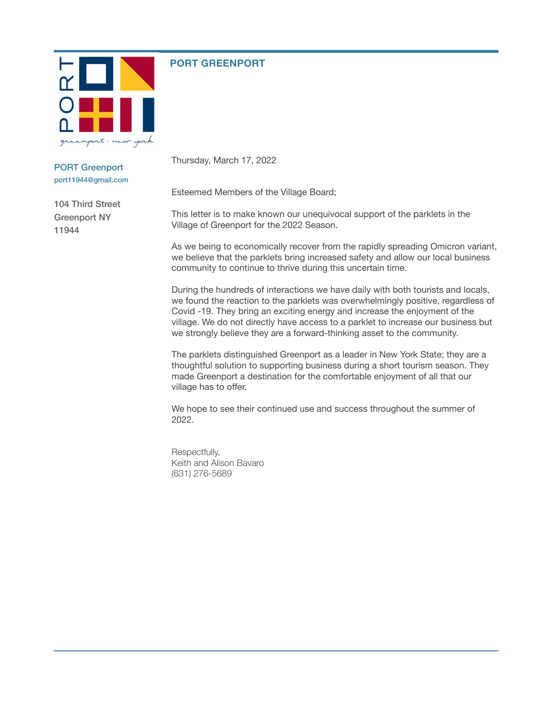

#### **PORT GREENPORT**

PORT Greenport port11944@gmail.com

104 Third Street Greenport NY 11944

Thursday, March 17, 2022

Esteemed Members of the Village Board;

This letter is to make known our unequivocal support of the parklets in the Village of Greenport for the 2022 Season.

As we being to economically recover from the rapidly spreading Omicron variant, we believe that the parklets bring increased safety and allow our local business community to continue to thrive during this uncertain time.

During the hundreds of interactions we have daily with both tourists and locals, we found the reaction to the parklets was overwhelmingly positive, regardless of Covid -19. They bring an exciting energy and increase the enjoyment of the village. We do not directly have access to a parklet to increase our business but we strongly believe they are a forward-thinking asset to the community.

The parklets distinguished Greenport as a leader in New York State; they are a thoughtful solution to supporting business during a short tourism season. They made Greenport a destination for the comfortable enjoyment of all that our village has to offer.

We hope to see their continued use and success throughout the summer of 2022.

Respectfully, Keith and Alison Bavaro (631) 276-5689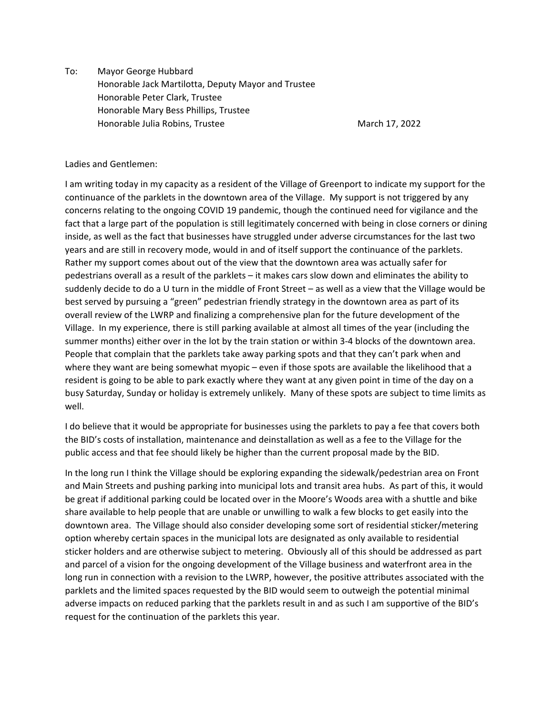To: Mayor George Hubbard Honorable Jack Martilotta, Deputy Mayor and Trustee Honorable Peter Clark, Trustee Honorable Mary Bess Phillips, Trustee Honorable Julia Robins, Trustee March 17, 2022

#### Ladies and Gentlemen:

I am writing today in my capacity as a resident of the Village of Greenport to indicate my support for the continuance of the parklets in the downtown area of the Village. My support is not triggered by any concerns relating to the ongoing COVID 19 pandemic, though the continued need for vigilance and the fact that a large part of the population is still legitimately concerned with being in close corners or dining inside, as well as the fact that businesses have struggled under adverse circumstances for the last two years and are still in recovery mode, would in and of itself support the continuance of the parklets. Rather my support comes about out of the view that the downtown area was actually safer for pedestrians overall as a result of the parklets – it makes cars slow down and eliminates the ability to suddenly decide to do a U turn in the middle of Front Street – as well as a view that the Village would be best served by pursuing a "green" pedestrian friendly strategy in the downtown area as part of its overall review of the LWRP and finalizing a comprehensive plan for the future development of the Village. In my experience, there is still parking available at almost all times of the year (including the summer months) either over in the lot by the train station or within 3-4 blocks of the downtown area. People that complain that the parklets take away parking spots and that they can't park when and where they want are being somewhat myopic – even if those spots are available the likelihood that a resident is going to be able to park exactly where they want at any given point in time of the day on a busy Saturday, Sunday or holiday is extremely unlikely. Many of these spots are subject to time limits as well.

I do believe that it would be appropriate for businesses using the parklets to pay a fee that covers both the BID's costs of installation, maintenance and deinstallation as well as a fee to the Village for the public access and that fee should likely be higher than the current proposal made by the BID.

In the long run I think the Village should be exploring expanding the sidewalk/pedestrian area on Front and Main Streets and pushing parking into municipal lots and transit area hubs. As part of this, it would be great if additional parking could be located over in the Moore's Woods area with a shuttle and bike share available to help people that are unable or unwilling to walk a few blocks to get easily into the downtown area. The Village should also consider developing some sort of residential sticker/metering option whereby certain spaces in the municipal lots are designated as only available to residential sticker holders and are otherwise subject to metering. Obviously all of this should be addressed as part and parcel of a vision for the ongoing development of the Village business and waterfront area in the long run in connection with a revision to the LWRP, however, the positive attributes associated with the parklets and the limited spaces requested by the BID would seem to outweigh the potential minimal adverse impacts on reduced parking that the parklets result in and as such I am supportive of the BID's request for the continuation of the parklets this year.